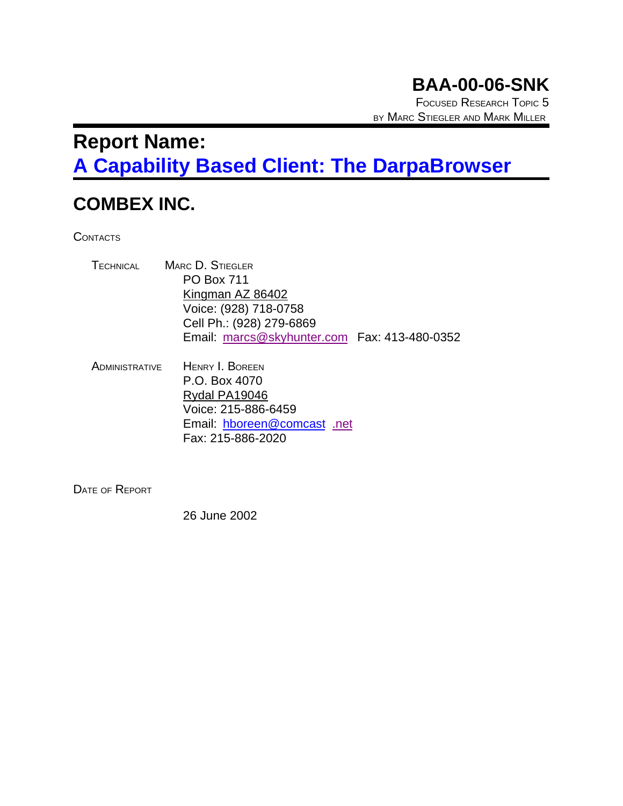# **BAA-00-06-SNK**

FOCUSED RESEARCH TOPIC 5 BY MARC STIEGLER AND MARK MILLER

# **Report Name: A Capability Based Client: The DarpaBrowser**

## **COMBEX INC.**

**CONTACTS** 

| <b>MARC D. STIEGLER</b>                      |  |
|----------------------------------------------|--|
| <b>PO Box 711</b>                            |  |
| Kingman AZ 86402                             |  |
| Voice: (928) 718-0758                        |  |
| Cell Ph.: (928) 279-6869                     |  |
| Email: marcs@skyhunter.com Fax: 413-480-0352 |  |
|                                              |  |

ADMINISTRATIVE HENRY I. BOREEN P.O. Box 4070 Rydal PA19046 Voice: 215-886-6459 Email: hboreen@comcast .net Fax: 215-886-2020

DATE OF REPORT

26 June 2002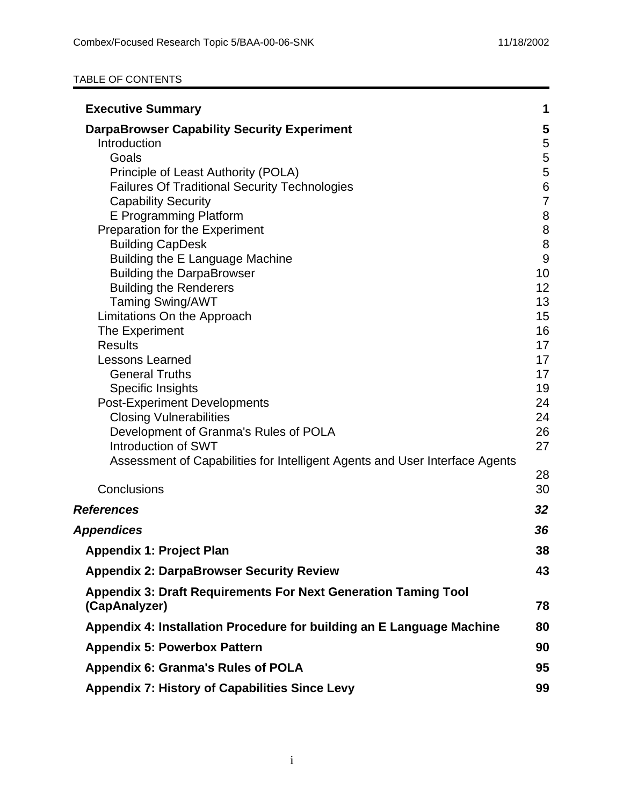#### TABLE OF CONTENTS

| <b>Executive Summary</b>                                                               | 1                  |
|----------------------------------------------------------------------------------------|--------------------|
| <b>DarpaBrowser Capability Security Experiment</b>                                     | 5                  |
| Introduction                                                                           | $\sqrt{5}$         |
| Goals                                                                                  | 5                  |
| Principle of Least Authority (POLA)                                                    | 5                  |
| <b>Failures Of Traditional Security Technologies</b>                                   | $\,6$              |
| <b>Capability Security</b>                                                             | $\overline{7}$     |
| E Programming Platform<br>Preparation for the Experiment                               | $\bf 8$<br>$\,8\,$ |
| <b>Building CapDesk</b>                                                                | $\, 8$             |
| Building the E Language Machine                                                        | $\overline{9}$     |
| <b>Building the DarpaBrowser</b>                                                       | 10                 |
| <b>Building the Renderers</b>                                                          | 12                 |
| <b>Taming Swing/AWT</b>                                                                | 13                 |
| Limitations On the Approach                                                            | 15                 |
| The Experiment                                                                         | 16                 |
| <b>Results</b>                                                                         | 17                 |
| <b>Lessons Learned</b>                                                                 | 17                 |
| <b>General Truths</b>                                                                  | 17<br>19           |
| Specific Insights<br><b>Post-Experiment Developments</b>                               | 24                 |
| <b>Closing Vulnerabilities</b>                                                         | 24                 |
| Development of Granma's Rules of POLA                                                  | 26                 |
| Introduction of SWT                                                                    | 27                 |
| Assessment of Capabilities for Intelligent Agents and User Interface Agents            |                    |
|                                                                                        | 28                 |
| Conclusions                                                                            | 30                 |
| <b>References</b>                                                                      | 32                 |
| <b>Appendices</b>                                                                      | 36                 |
| <b>Appendix 1: Project Plan</b>                                                        | 38                 |
| <b>Appendix 2: DarpaBrowser Security Review</b>                                        | 43                 |
| <b>Appendix 3: Draft Requirements For Next Generation Taming Tool</b><br>(CapAnalyzer) | 78                 |
| Appendix 4: Installation Procedure for building an E Language Machine                  | 80                 |
| <b>Appendix 5: Powerbox Pattern</b>                                                    | 90                 |
| <b>Appendix 6: Granma's Rules of POLA</b>                                              | 95                 |
| <b>Appendix 7: History of Capabilities Since Levy</b>                                  | 99                 |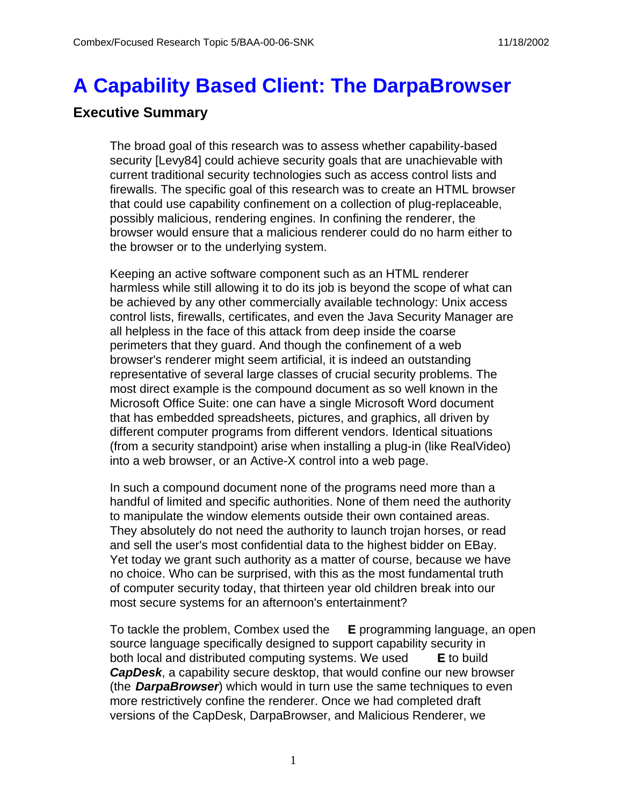# **A Capability Based Client: The DarpaBrowser**

## **Executive Summary**

The broad goal of this research was to assess whether capability-based security [Levy84] could achieve security goals that are unachievable with current traditional security technologies such as access control lists and firewalls. The specific goal of this research was to create an HTML browser that could use capability confinement on a collection of plug-replaceable, possibly malicious, rendering engines. In confining the renderer, the browser would ensure that a malicious renderer could do no harm either to the browser or to the underlying system.

Keeping an active software component such as an HTML renderer harmless while still allowing it to do its job is beyond the scope of what can be achieved by any other commercially available technology: Unix access control lists, firewalls, certificates, and even the Java Security Manager are all helpless in the face of this attack from deep inside the coarse perimeters that they guard. And though the confinement of a web browser's renderer might seem artificial, it is indeed an outstanding representative of several large classes of crucial security problems. The most direct example is the compound document as so well known in the Microsoft Office Suite: one can have a single Microsoft Word document that has embedded spreadsheets, pictures, and graphics, all driven by different computer programs from different vendors. Identical situations (from a security standpoint) arise when installing a plug-in (like RealVideo) into a web browser, or an Active-X control into a web page.

In such a compound document none of the programs need more than a handful of limited and specific authorities. None of them need the authority to manipulate the window elements outside their own contained areas. They absolutely do not need the authority to launch trojan horses, or read and sell the user's most confidential data to the highest bidder on EBay. Yet today we grant such authority as a matter of course, because we have no choice. Who can be surprised, with this as the most fundamental truth of computer security today, that thirteen year old children break into our most secure systems for an afternoon's entertainment?

To tackle the problem, Combex used the **E** programming language, an open source language specifically designed to support capability security in both local and distributed computing systems. We used **E** to build **CapDesk**, a capability secure desktop, that would confine our new browser (the **DarpaBrowser**) which would in turn use the same techniques to even more restrictively confine the renderer. Once we had completed draft versions of the CapDesk, DarpaBrowser, and Malicious Renderer, we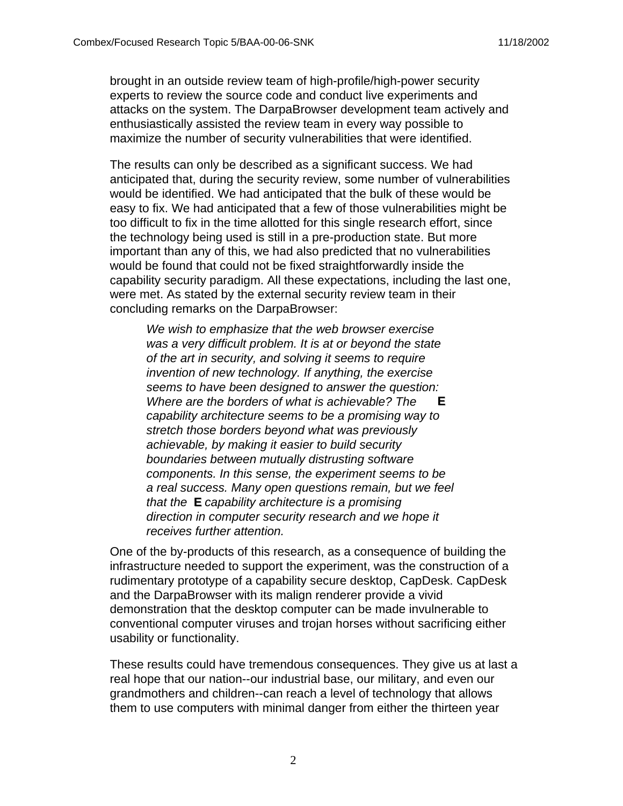brought in an outside review team of high-profile/high-power security experts to review the source code and conduct live experiments and attacks on the system. The DarpaBrowser development team actively and enthusiastically assisted the review team in every way possible to maximize the number of security vulnerabilities that were identified.

The results can only be described as a significant success. We had anticipated that, during the security review, some number of vulnerabilities would be identified. We had anticipated that the bulk of these would be easy to fix. We had anticipated that a few of those vulnerabilities might be too difficult to fix in the time allotted for this single research effort, since the technology being used is still in a pre-production state. But more important than any of this, we had also predicted that no vulnerabilities would be found that could not be fixed straightforwardly inside the capability security paradigm. All these expectations, including the last one, were met. As stated by the external security review team in their concluding remarks on the DarpaBrowser:

We wish to emphasize that the web browser exercise was a very difficult problem. It is at or beyond the state of the art in security, and solving it seems to require invention of new technology. If anything, the exercise seems to have been designed to answer the question: Where are the borders of what is achievable? The **E** capability architecture seems to be a promising way to stretch those borders beyond what was previously achievable, by making it easier to build security boundaries between mutually distrusting software components. In this sense, the experiment seems to be a real success. Many open questions remain, but we feel that the **E** capability architecture is a promising direction in computer security research and we hope it receives further attention.

One of the by-products of this research, as a consequence of building the infrastructure needed to support the experiment, was the construction of a rudimentary prototype of a capability secure desktop, CapDesk. CapDesk and the DarpaBrowser with its malign renderer provide a vivid demonstration that the desktop computer can be made invulnerable to conventional computer viruses and trojan horses without sacrificing either usability or functionality.

These results could have tremendous consequences. They give us at last a real hope that our nation--our industrial base, our military, and even our grandmothers and children--can reach a level of technology that allows them to use computers with minimal danger from either the thirteen year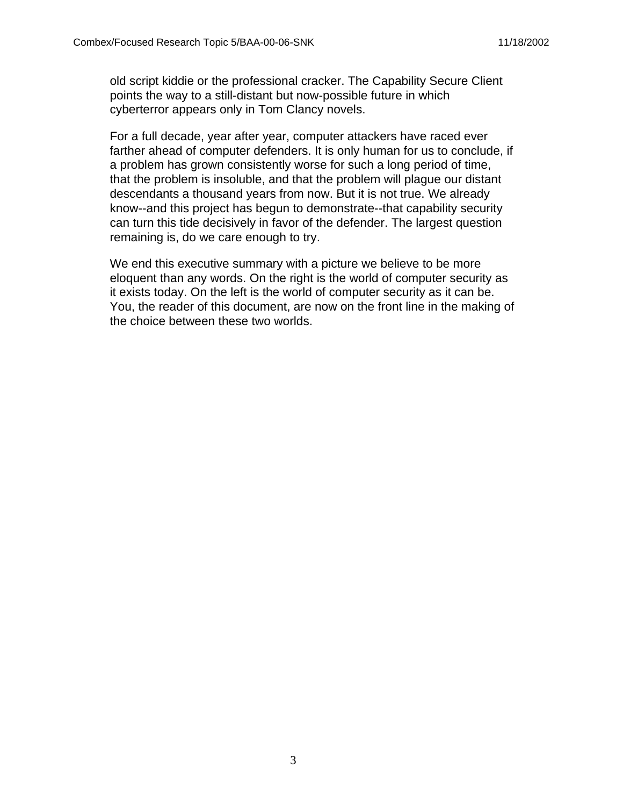old script kiddie or the professional cracker. The Capability Secure Client points the way to a still-distant but now-possible future in which cyberterror appears only in Tom Clancy novels.

For a full decade, year after year, computer attackers have raced ever farther ahead of computer defenders. It is only human for us to conclude, if a problem has grown consistently worse for such a long period of time, that the problem is insoluble, and that the problem will plague our distant descendants a thousand years from now. But it is not true. We already know--and this project has begun to demonstrate--that capability security can turn this tide decisively in favor of the defender. The largest question remaining is, do we care enough to try.

We end this executive summary with a picture we believe to be more eloquent than any words. On the right is the world of computer security as it exists today. On the left is the world of computer security as it can be. You, the reader of this document, are now on the front line in the making of the choice between these two worlds.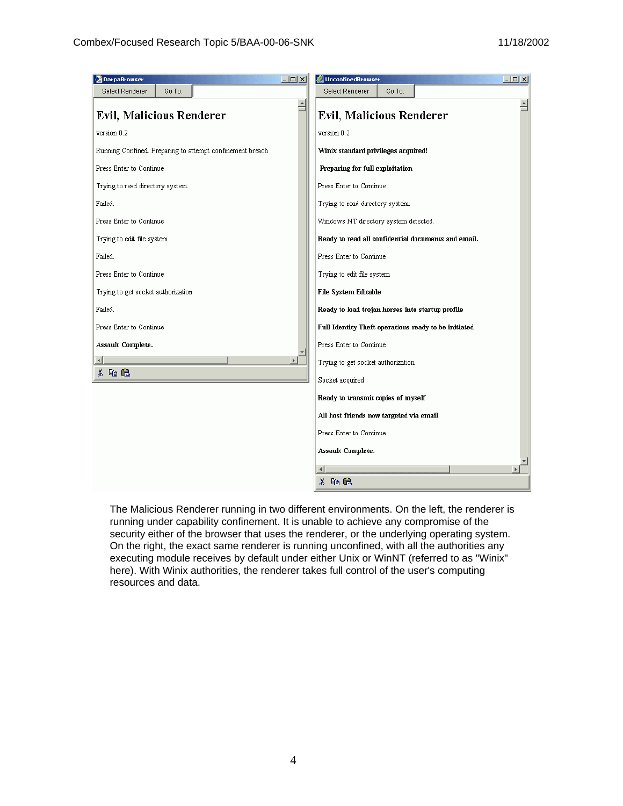| <b>DarpaBrowser</b>                                       | $\Box$ D $\times$     | $\Box$ D $\times$<br><b>UnconfinedBrowser</b>        |  |
|-----------------------------------------------------------|-----------------------|------------------------------------------------------|--|
| Go To:<br>Select Renderer                                 |                       | Go To:<br>Select Renderer                            |  |
| Evil, Malicious Renderer                                  | $\blacktriangle$      | $\blacktriangle$<br><b>Evil, Malicious Renderer</b>  |  |
| version 0.2                                               |                       | version 0.2                                          |  |
| Running Confined. Preparing to attempt confinement breach |                       | Winix standard privileges acquired!                  |  |
| Press Enter to Continue                                   |                       | Preparing for full exploitation                      |  |
| Trying to read directory system.                          |                       | Press Enter to Continue                              |  |
| Failed.                                                   |                       | Trying to read directory system.                     |  |
| Press Enter to Continue                                   |                       | Windows NT directory system detected.                |  |
| Trying to edit file system                                |                       | Ready to read all confidential documents and email.  |  |
| Failed.                                                   |                       | Press Enter to Continue                              |  |
| Press Enter to Continue                                   |                       | Trying to edit file system                           |  |
| Trying to get socket authorization                        |                       | File System Editable                                 |  |
| Failed.                                                   |                       | Ready to load trojan horses into startup profile     |  |
| Press Enter to Continue                                   |                       | Full Identity Theft operations ready to be initiated |  |
| Assault Complete.                                         |                       | Press Enter to Continue                              |  |
|                                                           | $\blacktriangleright$ | Trying to get socket authorization                   |  |
| 人名追                                                       |                       | Socket acquired                                      |  |
|                                                           |                       | Ready to transmit copies of myself                   |  |
|                                                           |                       | All host friends now targeted via email              |  |
|                                                           |                       | Press Enter to Continue                              |  |
|                                                           |                       | Assault Complete.                                    |  |
|                                                           |                       |                                                      |  |
|                                                           |                       | 人名尼                                                  |  |

The Malicious Renderer running in two different environments. On the left, the renderer is running under capability confinement. It is unable to achieve any compromise of the security either of the browser that uses the renderer, or the underlying operating system. On the right, the exact same renderer is running unconfined, with all the authorities any executing module receives by default under either Unix or WinNT (referred to as "Winix" here). With Winix authorities, the renderer takes full control of the user's computing resources and data.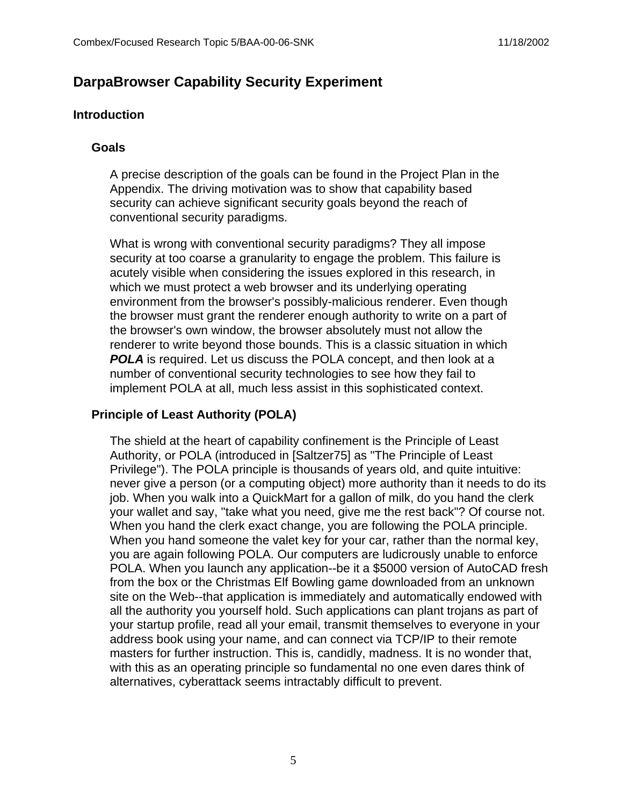## **DarpaBrowser Capability Security Experiment**

#### **Introduction**

#### **Goals**

A precise description of the goals can be found in the Project Plan in the Appendix. The driving motivation was to show that capability based security can achieve significant security goals beyond the reach of conventional security paradigms.

What is wrong with conventional security paradigms? They all impose security at too coarse a granularity to engage the problem. This failure is acutely visible when considering the issues explored in this research, in which we must protect a web browser and its underlying operating environment from the browser's possibly-malicious renderer. Even though the browser must grant the renderer enough authority to write on a part of the browser's own window, the browser absolutely must not allow the renderer to write beyond those bounds. This is a classic situation in which **POLA** is required. Let us discuss the POLA concept, and then look at a number of conventional security technologies to see how they fail to implement POLA at all, much less assist in this sophisticated context.

#### **Principle of Least Authority (POLA)**

The shield at the heart of capability confinement is the Principle of Least Authority, or POLA (introduced in [Saltzer75] as "The Principle of Least Privilege"). The POLA principle is thousands of years old, and quite intuitive: never give a person (or a computing object) more authority than it needs to do its job. When you walk into a QuickMart for a gallon of milk, do you hand the clerk your wallet and say, "take what you need, give me the rest back"? Of course not. When you hand the clerk exact change, you are following the POLA principle. When you hand someone the valet key for your car, rather than the normal key, you are again following POLA. Our computers are ludicrously unable to enforce POLA. When you launch any application--be it a \$5000 version of AutoCAD fresh from the box or the Christmas Elf Bowling game downloaded from an unknown site on the Web--that application is immediately and automatically endowed with all the authority you yourself hold. Such applications can plant trojans as part of your startup profile, read all your email, transmit themselves to everyone in your address book using your name, and can connect via TCP/IP to their remote masters for further instruction. This is, candidly, madness. It is no wonder that, with this as an operating principle so fundamental no one even dares think of alternatives, cyberattack seems intractably difficult to prevent.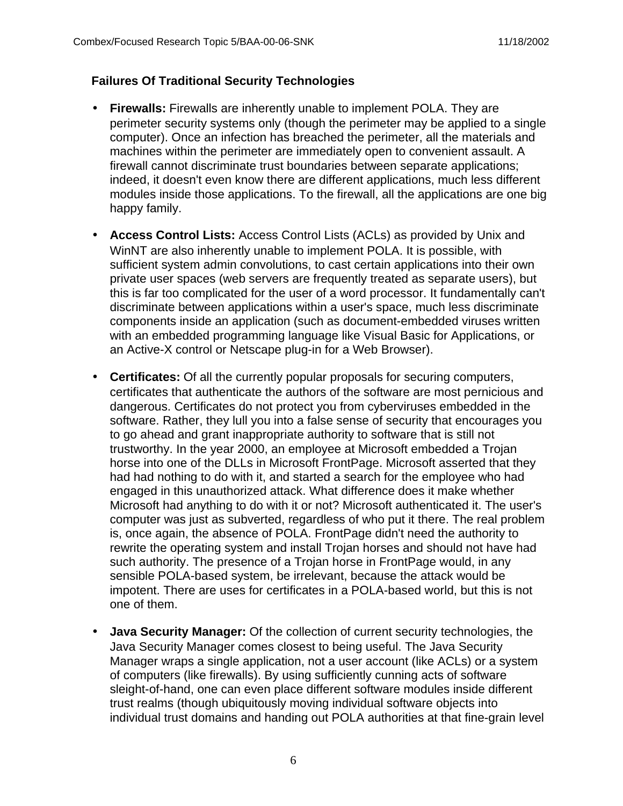## **Failures Of Traditional Security Technologies**

- **Firewalls:** Firewalls are inherently unable to implement POLA. They are perimeter security systems only (though the perimeter may be applied to a single computer). Once an infection has breached the perimeter, all the materials and machines within the perimeter are immediately open to convenient assault. A firewall cannot discriminate trust boundaries between separate applications; indeed, it doesn't even know there are different applications, much less different modules inside those applications. To the firewall, all the applications are one big happy family.
- **Access Control Lists:** Access Control Lists (ACLs) as provided by Unix and WinNT are also inherently unable to implement POLA. It is possible, with sufficient system admin convolutions, to cast certain applications into their own private user spaces (web servers are frequently treated as separate users), but this is far too complicated for the user of a word processor. It fundamentally can't discriminate between applications within a user's space, much less discriminate components inside an application (such as document-embedded viruses written with an embedded programming language like Visual Basic for Applications, or an Active-X control or Netscape plug-in for a Web Browser).
- **Certificates:** Of all the currently popular proposals for securing computers, certificates that authenticate the authors of the software are most pernicious and dangerous. Certificates do not protect you from cyberviruses embedded in the software. Rather, they lull you into a false sense of security that encourages you to go ahead and grant inappropriate authority to software that is still not trustworthy. In the year 2000, an employee at Microsoft embedded a Trojan horse into one of the DLLs in Microsoft FrontPage. Microsoft asserted that they had had nothing to do with it, and started a search for the employee who had engaged in this unauthorized attack. What difference does it make whether Microsoft had anything to do with it or not? Microsoft authenticated it. The user's computer was just as subverted, regardless of who put it there. The real problem is, once again, the absence of POLA. FrontPage didn't need the authority to rewrite the operating system and install Trojan horses and should not have had such authority. The presence of a Trojan horse in FrontPage would, in any sensible POLA-based system, be irrelevant, because the attack would be impotent. There are uses for certificates in a POLA-based world, but this is not one of them.
- **Java Security Manager:** Of the collection of current security technologies, the Java Security Manager comes closest to being useful. The Java Security Manager wraps a single application, not a user account (like ACLs) or a system of computers (like firewalls). By using sufficiently cunning acts of software sleight-of-hand, one can even place different software modules inside different trust realms (though ubiquitously moving individual software objects into individual trust domains and handing out POLA authorities at that fine-grain level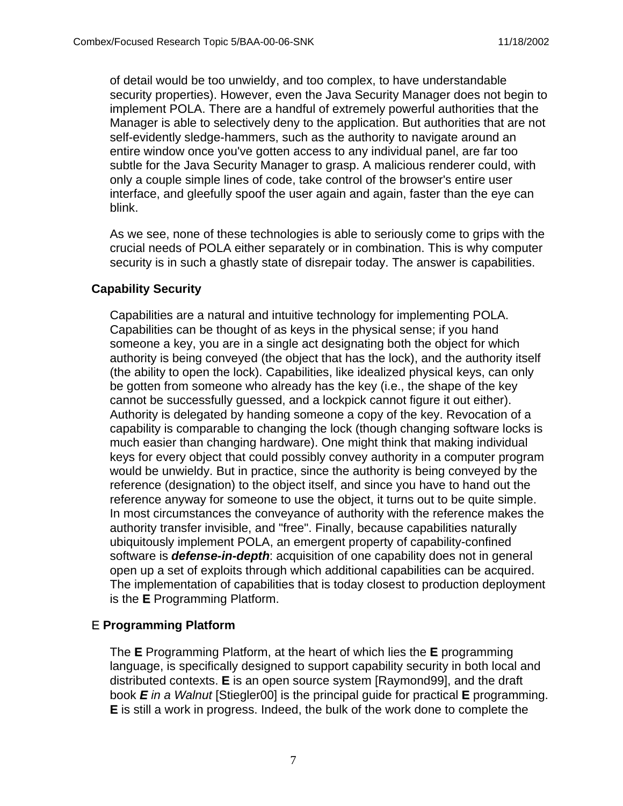of detail would be too unwieldy, and too complex, to have understandable security properties). However, even the Java Security Manager does not begin to implement POLA. There are a handful of extremely powerful authorities that the Manager is able to selectively deny to the application. But authorities that are not self-evidently sledge-hammers, such as the authority to navigate around an entire window once you've gotten access to any individual panel, are far too subtle for the Java Security Manager to grasp. A malicious renderer could, with only a couple simple lines of code, take control of the browser's entire user interface, and gleefully spoof the user again and again, faster than the eye can blink.

As we see, none of these technologies is able to seriously come to grips with the crucial needs of POLA either separately or in combination. This is why computer security is in such a ghastly state of disrepair today. The answer is capabilities.

### **Capability Security**

Capabilities are a natural and intuitive technology for implementing POLA. Capabilities can be thought of as keys in the physical sense; if you hand someone a key, you are in a single act designating both the object for which authority is being conveyed (the object that has the lock), and the authority itself (the ability to open the lock). Capabilities, like idealized physical keys, can only be gotten from someone who already has the key (i.e., the shape of the key cannot be successfully guessed, and a lockpick cannot figure it out either). Authority is delegated by handing someone a copy of the key. Revocation of a capability is comparable to changing the lock (though changing software locks is much easier than changing hardware). One might think that making individual keys for every object that could possibly convey authority in a computer program would be unwieldy. But in practice, since the authority is being conveyed by the reference (designation) to the object itself, and since you have to hand out the reference anyway for someone to use the object, it turns out to be quite simple. In most circumstances the conveyance of authority with the reference makes the authority transfer invisible, and "free". Finally, because capabilities naturally ubiquitously implement POLA, an emergent property of capability-confined software is **defense-in-depth**: acquisition of one capability does not in general open up a set of exploits through which additional capabilities can be acquired. The implementation of capabilities that is today closest to production deployment is the **E** Programming Platform.

## E **Programming Platform**

The **E** Programming Platform, at the heart of which lies the **E** programming language, is specifically designed to support capability security in both local and distributed contexts. **E** is an open source system [Raymond99], and the draft book **E** in a Walnut [Stiegler00] is the principal guide for practical **E** programming. **E** is still a work in progress. Indeed, the bulk of the work done to complete the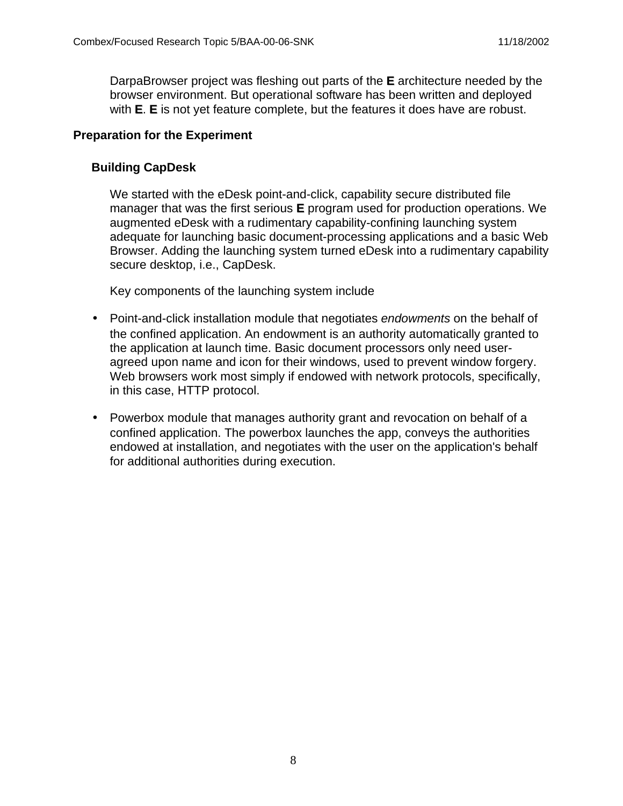DarpaBrowser project was fleshing out parts of the **E** architecture needed by the browser environment. But operational software has been written and deployed with **E**. **E** is not yet feature complete, but the features it does have are robust.

### **Preparation for the Experiment**

## **Building CapDesk**

We started with the eDesk point-and-click, capability secure distributed file manager that was the first serious **E** program used for production operations. We augmented eDesk with a rudimentary capability-confining launching system adequate for launching basic document-processing applications and a basic Web Browser. Adding the launching system turned eDesk into a rudimentary capability secure desktop, i.e., CapDesk.

Key components of the launching system include

- Point-and-click installation module that negotiates endowments on the behalf of the confined application. An endowment is an authority automatically granted to the application at launch time. Basic document processors only need useragreed upon name and icon for their windows, used to prevent window forgery. Web browsers work most simply if endowed with network protocols, specifically, in this case, HTTP protocol.
- Powerbox module that manages authority grant and revocation on behalf of a confined application. The powerbox launches the app, conveys the authorities endowed at installation, and negotiates with the user on the application's behalf for additional authorities during execution.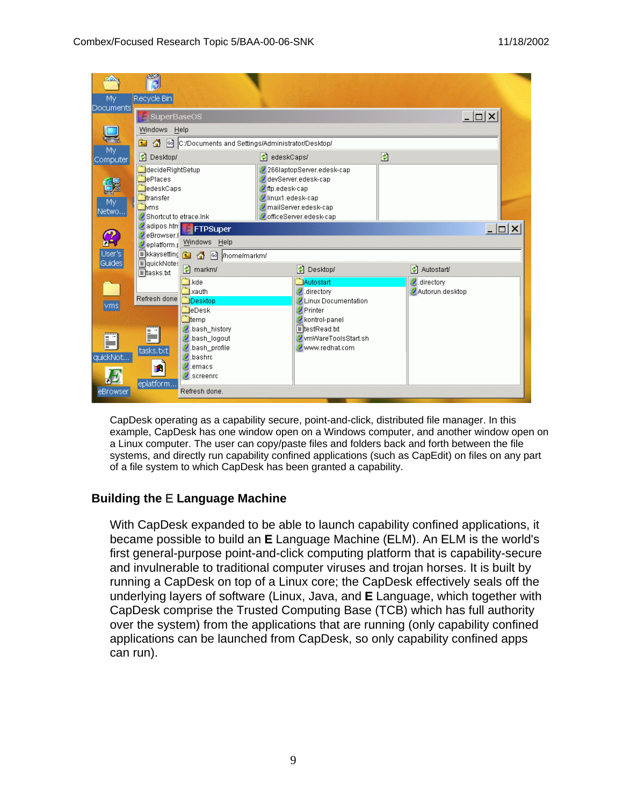

CapDesk operating as a capability secure, point-and-click, distributed file manager. In this example, CapDesk has one window open on a Windows computer, and another window open on a Linux computer. The user can copy/paste files and folders back and forth between the file systems, and directly run capability confined applications (such as CapEdit) on files on any part of a file system to which CapDesk has been granted a capability.

#### **Building the** E **Language Machine**

With CapDesk expanded to be able to launch capability confined applications, it became possible to build an **E** Language Machine (ELM). An ELM is the world's first general-purpose point-and-click computing platform that is capability-secure and invulnerable to traditional computer viruses and trojan horses. It is built by running a CapDesk on top of a Linux core; the CapDesk effectively seals off the underlying layers of software (Linux, Java, and **E** Language, which together with CapDesk comprise the Trusted Computing Base (TCB) which has full authority over the system) from the applications that are running (only capability confined applications can be launched from CapDesk, so only capability confined apps can run).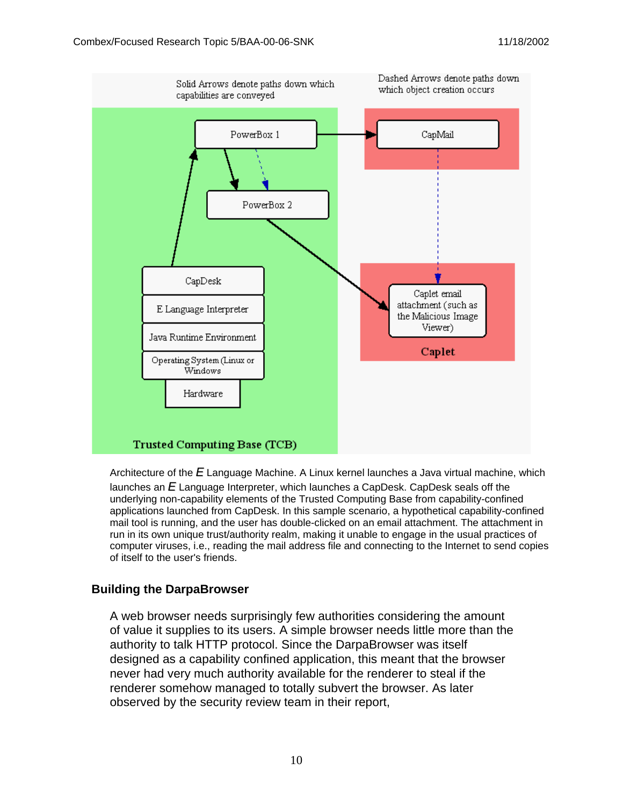

Architecture of the  $E$  Language Machine. A Linux kernel launches a Java virtual machine, which launches an  $E$  Language Interpreter, which launches a CapDesk. CapDesk seals off the underlying non-capability elements of the Trusted Computing Base from capability-confined applications launched from CapDesk. In this sample scenario, a hypothetical capability-confined mail tool is running, and the user has double-clicked on an email attachment. The attachment in run in its own unique trust/authority realm, making it unable to engage in the usual practices of computer viruses, i.e., reading the mail address file and connecting to the Internet to send copies of itself to the user's friends.

#### **Building the DarpaBrowser**

A web browser needs surprisingly few authorities considering the amount of value it supplies to its users. A simple browser needs little more than the authority to talk HTTP protocol. Since the DarpaBrowser was itself designed as a capability confined application, this meant that the browser never had very much authority available for the renderer to steal if the renderer somehow managed to totally subvert the browser. As later observed by the security review team in their report,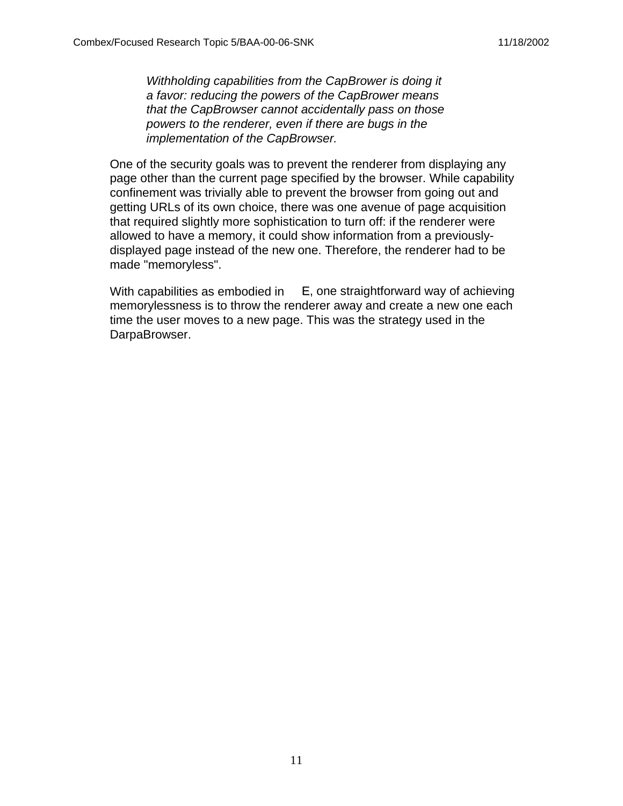Withholding capabilities from the CapBrower is doing it a favor: reducing the powers of the CapBrower means that the CapBrowser cannot accidentally pass on those powers to the renderer, even if there are bugs in the implementation of the CapBrowser.

One of the security goals was to prevent the renderer from displaying any page other than the current page specified by the browser. While capability confinement was trivially able to prevent the browser from going out and getting URLs of its own choice, there was one avenue of page acquisition that required slightly more sophistication to turn off: if the renderer were allowed to have a memory, it could show information from a previouslydisplayed page instead of the new one. Therefore, the renderer had to be made "memoryless".

With capabilities as embodied in  $E$ , one straightforward way of achieving memorylessness is to throw the renderer away and create a new one each time the user moves to a new page. This was the strategy used in the DarpaBrowser.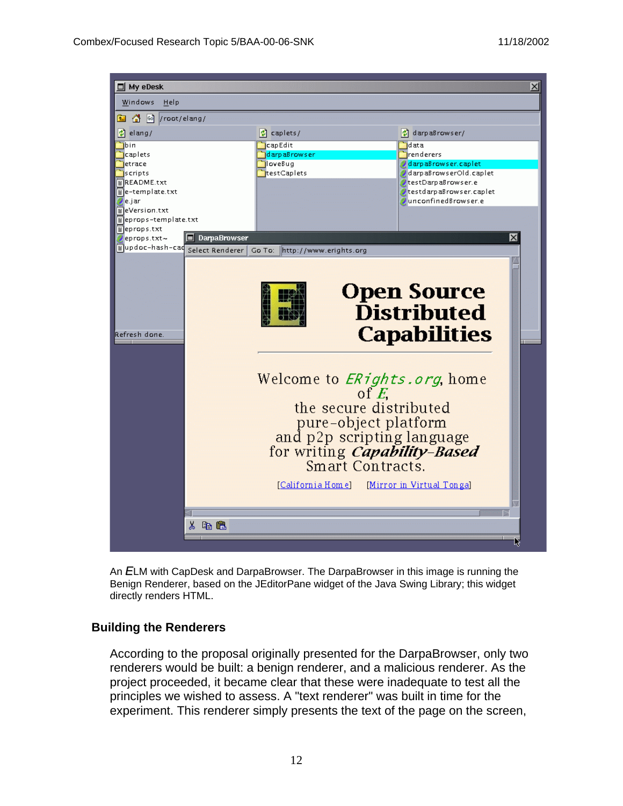

An ELM with CapDesk and DarpaBrowser. The DarpaBrowser in this image is running the Benign Renderer, based on the JEditorPane widget of the Java Swing Library; this widget directly renders HTML.

#### **Building the Renderers**

According to the proposal originally presented for the DarpaBrowser, only two renderers would be built: a benign renderer, and a malicious renderer. As the project proceeded, it became clear that these were inadequate to test all the principles we wished to assess. A "text renderer" was built in time for the experiment. This renderer simply presents the text of the page on the screen,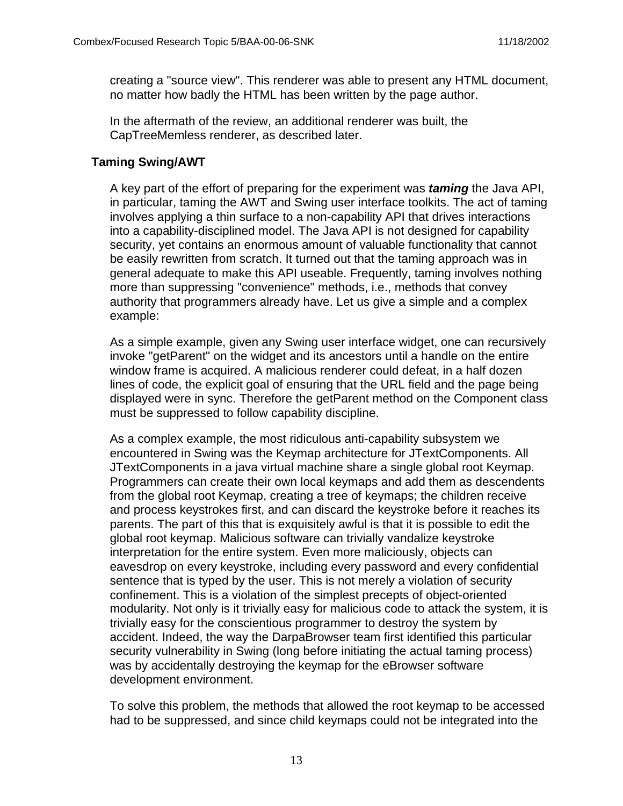creating a "source view". This renderer was able to present any HTML document, no matter how badly the HTML has been written by the page author.

In the aftermath of the review, an additional renderer was built, the CapTreeMemless renderer, as described later.

#### **Taming Swing/AWT**

A key part of the effort of preparing for the experiment was **taming** the Java API, in particular, taming the AWT and Swing user interface toolkits. The act of taming involves applying a thin surface to a non-capability API that drives interactions into a capability-disciplined model. The Java API is not designed for capability security, yet contains an enormous amount of valuable functionality that cannot be easily rewritten from scratch. It turned out that the taming approach was in general adequate to make this API useable. Frequently, taming involves nothing more than suppressing "convenience" methods, i.e., methods that convey authority that programmers already have. Let us give a simple and a complex example:

As a simple example, given any Swing user interface widget, one can recursively invoke "getParent" on the widget and its ancestors until a handle on the entire window frame is acquired. A malicious renderer could defeat, in a half dozen lines of code, the explicit goal of ensuring that the URL field and the page being displayed were in sync. Therefore the getParent method on the Component class must be suppressed to follow capability discipline.

As a complex example, the most ridiculous anti-capability subsystem we encountered in Swing was the Keymap architecture for JTextComponents. All JTextComponents in a java virtual machine share a single global root Keymap. Programmers can create their own local keymaps and add them as descendents from the global root Keymap, creating a tree of keymaps; the children receive and process keystrokes first, and can discard the keystroke before it reaches its parents. The part of this that is exquisitely awful is that it is possible to edit the global root keymap. Malicious software can trivially vandalize keystroke interpretation for the entire system. Even more maliciously, objects can eavesdrop on every keystroke, including every password and every confidential sentence that is typed by the user. This is not merely a violation of security confinement. This is a violation of the simplest precepts of object-oriented modularity. Not only is it trivially easy for malicious code to attack the system, it is trivially easy for the conscientious programmer to destroy the system by accident. Indeed, the way the DarpaBrowser team first identified this particular security vulnerability in Swing (long before initiating the actual taming process) was by accidentally destroying the keymap for the eBrowser software development environment.

To solve this problem, the methods that allowed the root keymap to be accessed had to be suppressed, and since child keymaps could not be integrated into the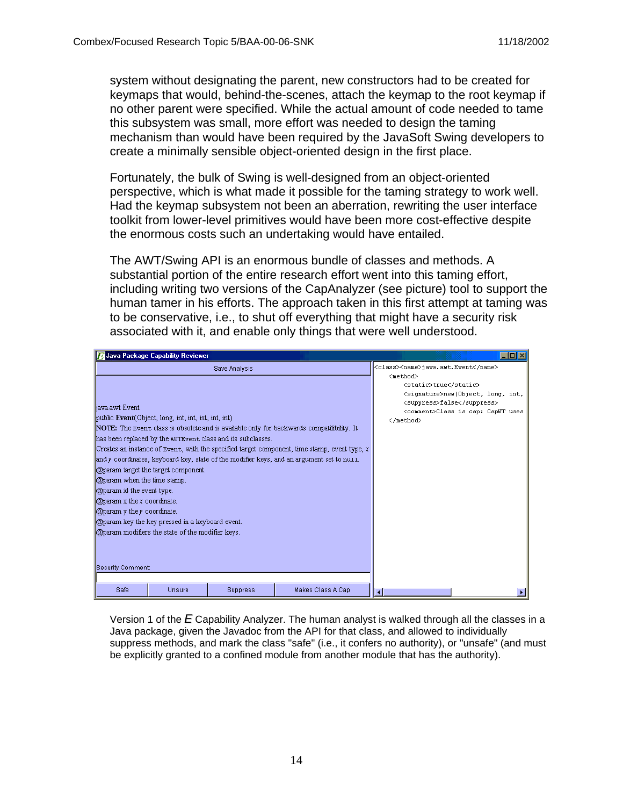system without designating the parent, new constructors had to be created for keymaps that would, behind-the-scenes, attach the keymap to the root keymap if no other parent were specified. While the actual amount of code needed to tame this subsystem was small, more effort was needed to design the taming mechanism than would have been required by the JavaSoft Swing developers to create a minimally sensible object-oriented design in the first place.

Fortunately, the bulk of Swing is well-designed from an object-oriented perspective, which is what made it possible for the taming strategy to work well. Had the keymap subsystem not been an aberration, rewriting the user interface toolkit from lower-level primitives would have been more cost-effective despite the enormous costs such an undertaking would have entailed.

The AWT/Swing API is an enormous bundle of classes and methods. A substantial portion of the entire research effort went into this taming effort, including writing two versions of the CapAnalyzer (see picture) tool to support the human tamer in his efforts. The approach taken in this first attempt at taming was to be conservative, i.e., to shut off everything that might have a security risk associated with it, and enable only things that were well understood.

| Java Package Capability Reviewer                                                                                                                                                                                                                                                                                                                                                                                                                                                                                                                      |                                                                                                                                                                                                                                  |                   | $\Box$ $\Box$ $\times$ |
|-------------------------------------------------------------------------------------------------------------------------------------------------------------------------------------------------------------------------------------------------------------------------------------------------------------------------------------------------------------------------------------------------------------------------------------------------------------------------------------------------------------------------------------------------------|----------------------------------------------------------------------------------------------------------------------------------------------------------------------------------------------------------------------------------|-------------------|------------------------|
| liava.awt Event<br>public Event (Object, long, int, int, int, int)<br>NOTE: The Event class is obsolete and is available only for backwards compatilibility. It<br>has been replaced by the AWTEvent class and its subclasses.<br>Creates an instance of Event, with the specified target component, time stamp, event type, $x$<br>and y coordinates, keyboard key, state of the modifier keys, and an argument set to nu11.<br><b>Oparam</b> target the target component.<br><b>Oparam</b> when the time stamp.<br><b>Oparam</b> id the event type. | <class><name>java.awt.Event</name><br/><method><br/><static>true</static><br/><signature>new(Object, long, int,<br/><suppress>false</suppress><br/><comment>Class is cap: CapWT uses<br/></comment></signature></method></class> |                   |                        |
| $\Box$ @param x the x coordinate.<br><b>Oparam</b> y the y coordinate.<br>@param key the key pressed in a keyboard event.<br>@param modifiers the state of the modifier keys.<br>Security Comment:                                                                                                                                                                                                                                                                                                                                                    |                                                                                                                                                                                                                                  |                   |                        |
| Safe<br>Unsure                                                                                                                                                                                                                                                                                                                                                                                                                                                                                                                                        | <b>Suppress</b>                                                                                                                                                                                                                  | Makes Class A Cap | ⊣                      |

Version 1 of the  $E$  Capability Analyzer. The human analyst is walked through all the classes in a Java package, given the Javadoc from the API for that class, and allowed to individually suppress methods, and mark the class "safe" (i.e., it confers no authority), or "unsafe" (and must be explicitly granted to a confined module from another module that has the authority).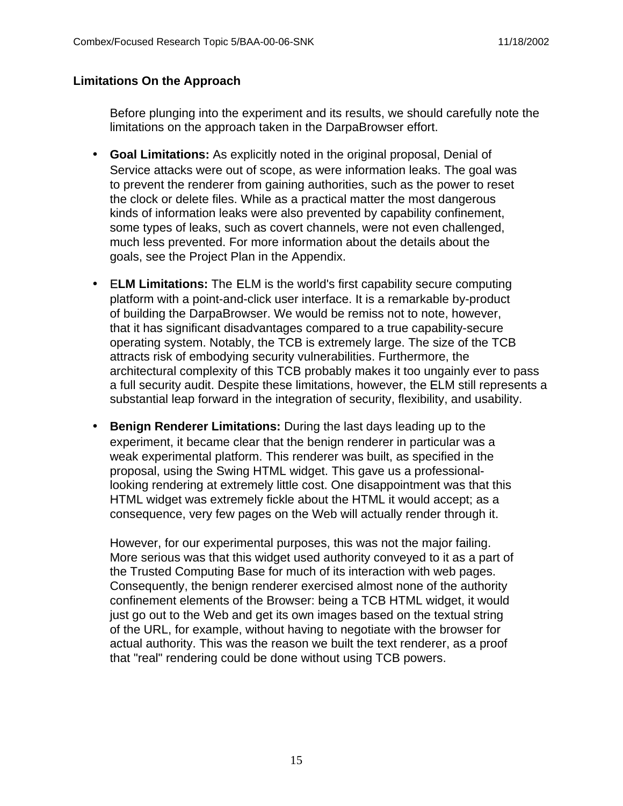#### **Limitations On the Approach**

Before plunging into the experiment and its results, we should carefully note the limitations on the approach taken in the DarpaBrowser effort.

- **Goal Limitations:** As explicitly noted in the original proposal, Denial of Service attacks were out of scope, as were information leaks. The goal was to prevent the renderer from gaining authorities, such as the power to reset the clock or delete files. While as a practical matter the most dangerous kinds of information leaks were also prevented by capability confinement, some types of leaks, such as covert channels, were not even challenged, much less prevented. For more information about the details about the goals, see the Project Plan in the Appendix.
- E**LM Limitations:** The ELM is the world's first capability secure computing platform with a point-and-click user interface. It is a remarkable by-product of building the DarpaBrowser. We would be remiss not to note, however, that it has significant disadvantages compared to a true capability-secure operating system. Notably, the TCB is extremely large. The size of the TCB attracts risk of embodying security vulnerabilities. Furthermore, the architectural complexity of this TCB probably makes it too ungainly ever to pass a full security audit. Despite these limitations, however, the ELM still represents a substantial leap forward in the integration of security, flexibility, and usability.
- **Benign Renderer Limitations:** During the last days leading up to the experiment, it became clear that the benign renderer in particular was a weak experimental platform. This renderer was built, as specified in the proposal, using the Swing HTML widget. This gave us a professionallooking rendering at extremely little cost. One disappointment was that this HTML widget was extremely fickle about the HTML it would accept; as a consequence, very few pages on the Web will actually render through it.

However, for our experimental purposes, this was not the major failing. More serious was that this widget used authority conveyed to it as a part of the Trusted Computing Base for much of its interaction with web pages. Consequently, the benign renderer exercised almost none of the authority confinement elements of the Browser: being a TCB HTML widget, it would just go out to the Web and get its own images based on the textual string of the URL, for example, without having to negotiate with the browser for actual authority. This was the reason we built the text renderer, as a proof that "real" rendering could be done without using TCB powers.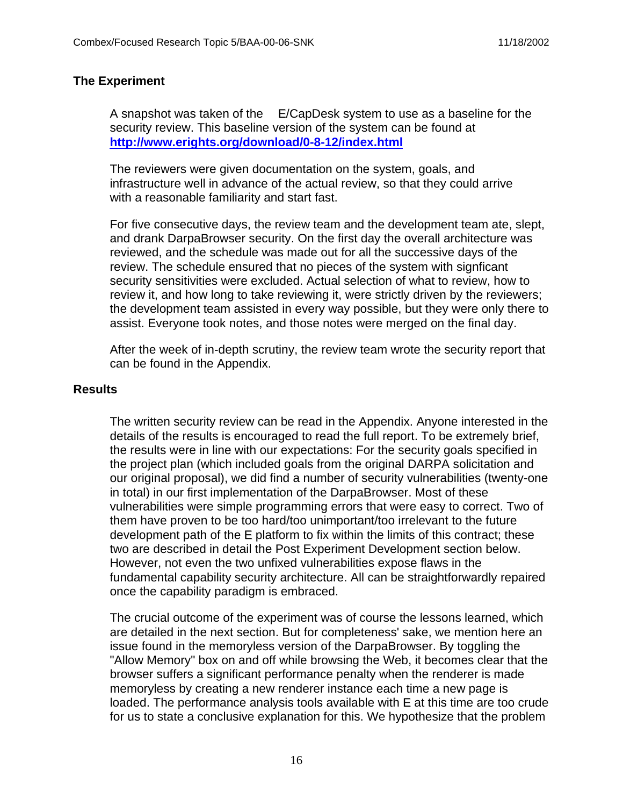#### **The Experiment**

A snapshot was taken of the E/CapDesk system to use as a baseline for the security review. This baseline version of the system can be found at **http://www.erights.org/download/0-8-12/index.html**

The reviewers were given documentation on the system, goals, and infrastructure well in advance of the actual review, so that they could arrive with a reasonable familiarity and start fast.

For five consecutive days, the review team and the development team ate, slept, and drank DarpaBrowser security. On the first day the overall architecture was reviewed, and the schedule was made out for all the successive days of the review. The schedule ensured that no pieces of the system with signficant security sensitivities were excluded. Actual selection of what to review, how to review it, and how long to take reviewing it, were strictly driven by the reviewers; the development team assisted in every way possible, but they were only there to assist. Everyone took notes, and those notes were merged on the final day.

After the week of in-depth scrutiny, the review team wrote the security report that can be found in the Appendix.

#### **Results**

The written security review can be read in the Appendix. Anyone interested in the details of the results is encouraged to read the full report. To be extremely brief, the results were in line with our expectations: For the security goals specified in the project plan (which included goals from the original DARPA solicitation and our original proposal), we did find a number of security vulnerabilities (twenty-one in total) in our first implementation of the DarpaBrowser. Most of these vulnerabilities were simple programming errors that were easy to correct. Two of them have proven to be too hard/too unimportant/too irrelevant to the future development path of the E platform to fix within the limits of this contract; these two are described in detail the Post Experiment Development section below. However, not even the two unfixed vulnerabilities expose flaws in the fundamental capability security architecture. All can be straightforwardly repaired once the capability paradigm is embraced.

The crucial outcome of the experiment was of course the lessons learned, which are detailed in the next section. But for completeness' sake, we mention here an issue found in the memoryless version of the DarpaBrowser. By toggling the "Allow Memory" box on and off while browsing the Web, it becomes clear that the browser suffers a significant performance penalty when the renderer is made memoryless by creating a new renderer instance each time a new page is loaded. The performance analysis tools available with E at this time are too crude for us to state a conclusive explanation for this. We hypothesize that the problem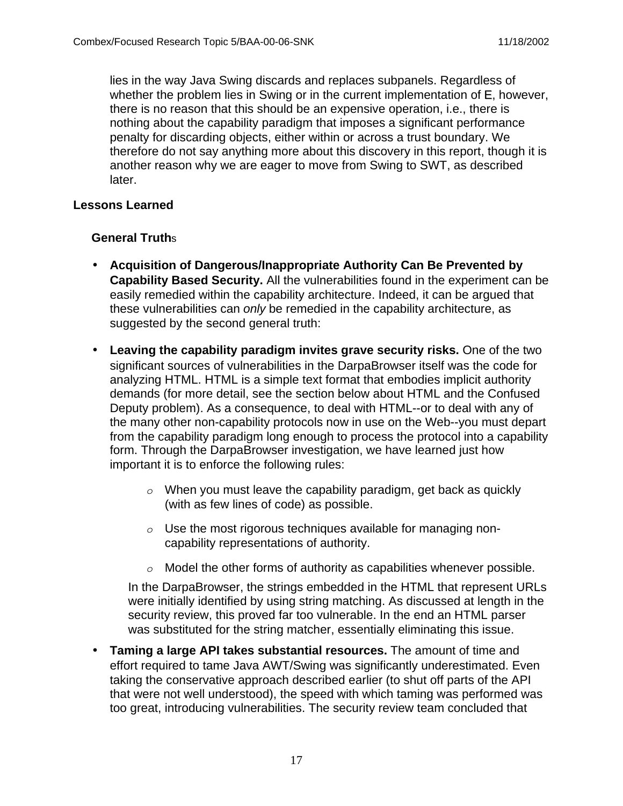lies in the way Java Swing discards and replaces subpanels. Regardless of whether the problem lies in Swing or in the current implementation of E, however, there is no reason that this should be an expensive operation, i.e., there is nothing about the capability paradigm that imposes a significant performance penalty for discarding objects, either within or across a trust boundary. We therefore do not say anything more about this discovery in this report, though it is another reason why we are eager to move from Swing to SWT, as described later.

#### **Lessons Learned**

## **General Truth**s

- **Acquisition of Dangerous/Inappropriate Authority Can Be Prevented by Capability Based Security.** All the vulnerabilities found in the experiment can be easily remedied within the capability architecture. Indeed, it can be argued that these vulnerabilities can only be remedied in the capability architecture, as suggested by the second general truth:
- **Leaving the capability paradigm invites grave security risks.** One of the two significant sources of vulnerabilities in the DarpaBrowser itself was the code for analyzing HTML. HTML is a simple text format that embodies implicit authority demands (for more detail, see the section below about HTML and the Confused Deputy problem). As a consequence, to deal with HTML--or to deal with any of the many other non-capability protocols now in use on the Web--you must depart from the capability paradigm long enough to process the protocol into a capability form. Through the DarpaBrowser investigation, we have learned just how important it is to enforce the following rules:
	- *o* When you must leave the capability paradigm, get back as quickly (with as few lines of code) as possible.
	- *o* Use the most rigorous techniques available for managing noncapability representations of authority.
	- *o* Model the other forms of authority as capabilities whenever possible.

In the DarpaBrowser, the strings embedded in the HTML that represent URLs were initially identified by using string matching. As discussed at length in the security review, this proved far too vulnerable. In the end an HTML parser was substituted for the string matcher, essentially eliminating this issue.

• **Taming a large API takes substantial resources.** The amount of time and effort required to tame Java AWT/Swing was significantly underestimated. Even taking the conservative approach described earlier (to shut off parts of the API that were not well understood), the speed with which taming was performed was too great, introducing vulnerabilities. The security review team concluded that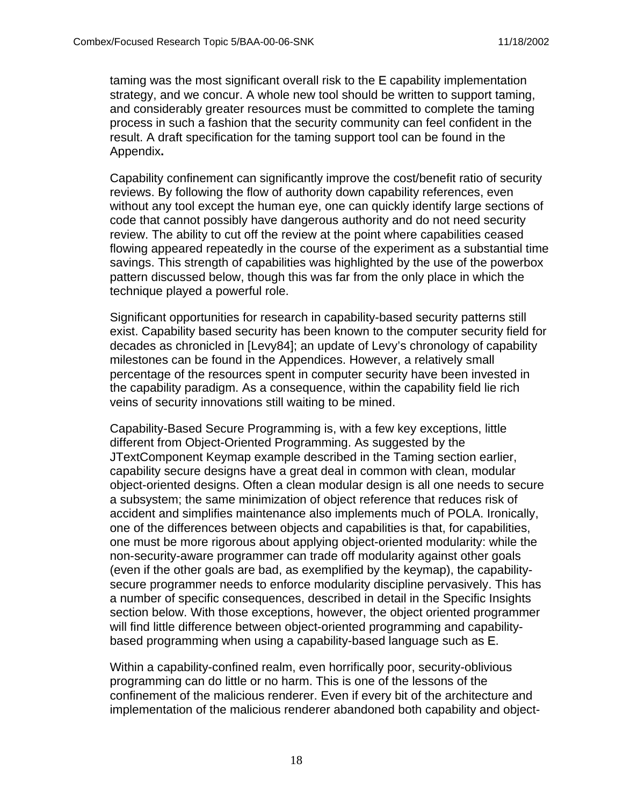taming was the most significant overall risk to the E capability implementation strategy, and we concur. A whole new tool should be written to support taming, and considerably greater resources must be committed to complete the taming process in such a fashion that the security community can feel confident in the result. A draft specification for the taming support tool can be found in the Appendix**.**

Capability confinement can significantly improve the cost/benefit ratio of security reviews. By following the flow of authority down capability references, even without any tool except the human eye, one can quickly identify large sections of code that cannot possibly have dangerous authority and do not need security review. The ability to cut off the review at the point where capabilities ceased flowing appeared repeatedly in the course of the experiment as a substantial time savings. This strength of capabilities was highlighted by the use of the powerbox pattern discussed below, though this was far from the only place in which the technique played a powerful role.

Significant opportunities for research in capability-based security patterns still exist. Capability based security has been known to the computer security field for decades as chronicled in [Levy84]; an update of Levy's chronology of capability milestones can be found in the Appendices. However, a relatively small percentage of the resources spent in computer security have been invested in the capability paradigm. As a consequence, within the capability field lie rich veins of security innovations still waiting to be mined.

Capability-Based Secure Programming is, with a few key exceptions, little different from Object-Oriented Programming. As suggested by the JTextComponent Keymap example described in the Taming section earlier, capability secure designs have a great deal in common with clean, modular object-oriented designs. Often a clean modular design is all one needs to secure a subsystem; the same minimization of object reference that reduces risk of accident and simplifies maintenance also implements much of POLA. Ironically, one of the differences between objects and capabilities is that, for capabilities, one must be more rigorous about applying object-oriented modularity: while the non-security-aware programmer can trade off modularity against other goals (even if the other goals are bad, as exemplified by the keymap), the capabilitysecure programmer needs to enforce modularity discipline pervasively. This has a number of specific consequences, described in detail in the Specific Insights section below. With those exceptions, however, the object oriented programmer will find little difference between object-oriented programming and capabilitybased programming when using a capability-based language such as E.

Within a capability-confined realm, even horrifically poor, security-oblivious programming can do little or no harm. This is one of the lessons of the confinement of the malicious renderer. Even if every bit of the architecture and implementation of the malicious renderer abandoned both capability and object-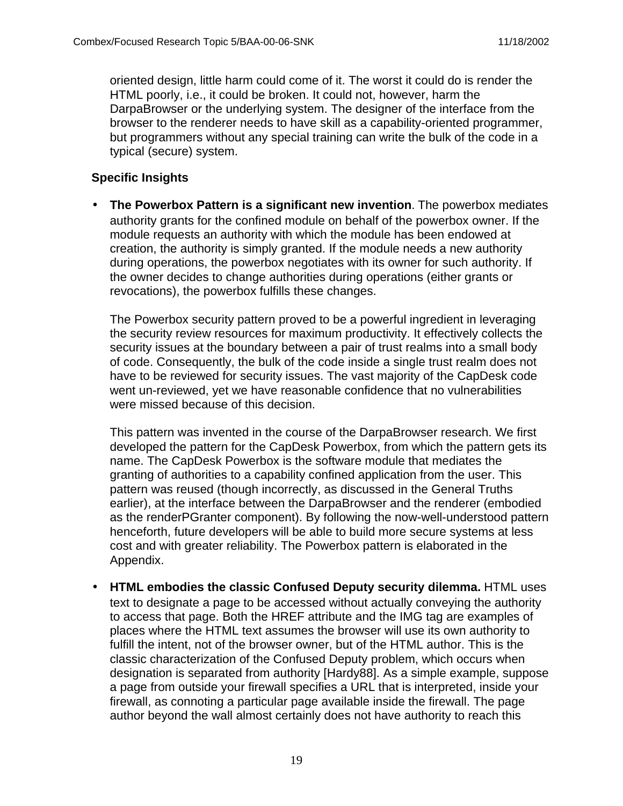oriented design, little harm could come of it. The worst it could do is render the HTML poorly, i.e., it could be broken. It could not, however, harm the DarpaBrowser or the underlying system. The designer of the interface from the browser to the renderer needs to have skill as a capability-oriented programmer, but programmers without any special training can write the bulk of the code in a typical (secure) system.

## **Specific Insights**

• **The Powerbox Pattern is a significant new invention**. The powerbox mediates authority grants for the confined module on behalf of the powerbox owner. If the module requests an authority with which the module has been endowed at creation, the authority is simply granted. If the module needs a new authority during operations, the powerbox negotiates with its owner for such authority. If the owner decides to change authorities during operations (either grants or revocations), the powerbox fulfills these changes.

The Powerbox security pattern proved to be a powerful ingredient in leveraging the security review resources for maximum productivity. It effectively collects the security issues at the boundary between a pair of trust realms into a small body of code. Consequently, the bulk of the code inside a single trust realm does not have to be reviewed for security issues. The vast majority of the CapDesk code went un-reviewed, yet we have reasonable confidence that no vulnerabilities were missed because of this decision.

This pattern was invented in the course of the DarpaBrowser research. We first developed the pattern for the CapDesk Powerbox, from which the pattern gets its name. The CapDesk Powerbox is the software module that mediates the granting of authorities to a capability confined application from the user. This pattern was reused (though incorrectly, as discussed in the General Truths earlier), at the interface between the DarpaBrowser and the renderer (embodied as the renderPGranter component). By following the now-well-understood pattern henceforth, future developers will be able to build more secure systems at less cost and with greater reliability. The Powerbox pattern is elaborated in the Appendix.

• **HTML embodies the classic Confused Deputy security dilemma.** HTML uses text to designate a page to be accessed without actually conveying the authority to access that page. Both the HREF attribute and the IMG tag are examples of places where the HTML text assumes the browser will use its own authority to fulfill the intent, not of the browser owner, but of the HTML author. This is the classic characterization of the Confused Deputy problem, which occurs when designation is separated from authority [Hardy88]. As a simple example, suppose a page from outside your firewall specifies a URL that is interpreted, inside your firewall, as connoting a particular page available inside the firewall. The page author beyond the wall almost certainly does not have authority to reach this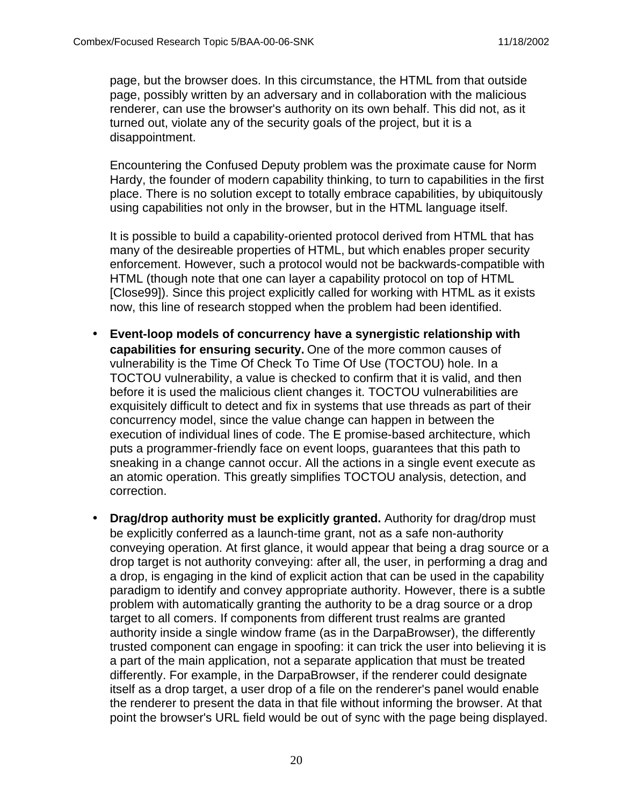page, but the browser does. In this circumstance, the HTML from that outside page, possibly written by an adversary and in collaboration with the malicious renderer, can use the browser's authority on its own behalf. This did not, as it turned out, violate any of the security goals of the project, but it is a disappointment.

Encountering the Confused Deputy problem was the proximate cause for Norm Hardy, the founder of modern capability thinking, to turn to capabilities in the first place. There is no solution except to totally embrace capabilities, by ubiquitously using capabilities not only in the browser, but in the HTML language itself.

It is possible to build a capability-oriented protocol derived from HTML that has many of the desireable properties of HTML, but which enables proper security enforcement. However, such a protocol would not be backwards-compatible with HTML (though note that one can layer a capability protocol on top of HTML [Close99]). Since this project explicitly called for working with HTML as it exists now, this line of research stopped when the problem had been identified.

- **Event-loop models of concurrency have a synergistic relationship with capabilities for ensuring security.** One of the more common causes of vulnerability is the Time Of Check To Time Of Use (TOCTOU) hole. In a TOCTOU vulnerability, a value is checked to confirm that it is valid, and then before it is used the malicious client changes it. TOCTOU vulnerabilities are exquisitely difficult to detect and fix in systems that use threads as part of their concurrency model, since the value change can happen in between the execution of individual lines of code. The E promise-based architecture, which puts a programmer-friendly face on event loops, guarantees that this path to sneaking in a change cannot occur. All the actions in a single event execute as an atomic operation. This greatly simplifies TOCTOU analysis, detection, and correction.
- **Drag/drop authority must be explicitly granted.** Authority for drag/drop must be explicitly conferred as a launch-time grant, not as a safe non-authority conveying operation. At first glance, it would appear that being a drag source or a drop target is not authority conveying: after all, the user, in performing a drag and a drop, is engaging in the kind of explicit action that can be used in the capability paradigm to identify and convey appropriate authority. However, there is a subtle problem with automatically granting the authority to be a drag source or a drop target to all comers. If components from different trust realms are granted authority inside a single window frame (as in the DarpaBrowser), the differently trusted component can engage in spoofing: it can trick the user into believing it is a part of the main application, not a separate application that must be treated differently. For example, in the DarpaBrowser, if the renderer could designate itself as a drop target, a user drop of a file on the renderer's panel would enable the renderer to present the data in that file without informing the browser. At that point the browser's URL field would be out of sync with the page being displayed.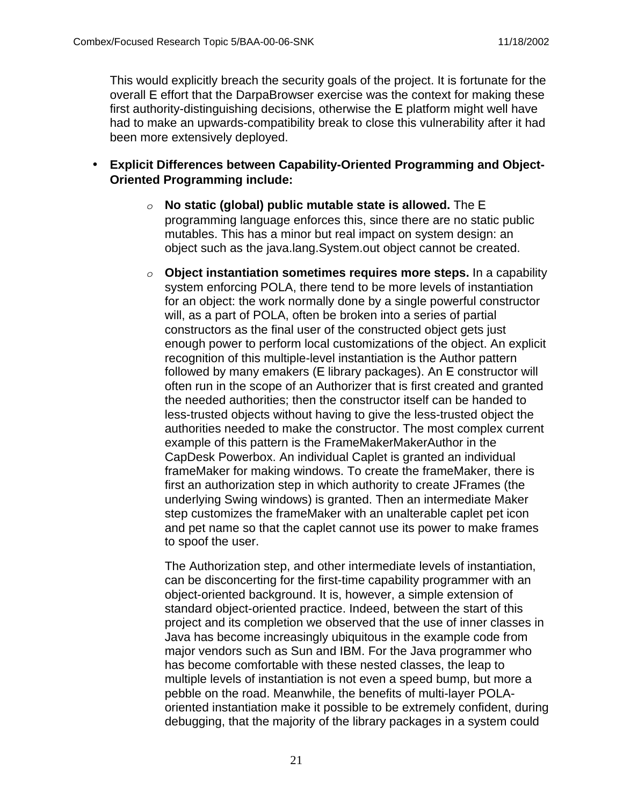This would explicitly breach the security goals of the project. It is fortunate for the overall E effort that the DarpaBrowser exercise was the context for making these first authority-distinguishing decisions, otherwise the E platform might well have had to make an upwards-compatibility break to close this vulnerability after it had been more extensively deployed.

- **Explicit Differences between Capability-Oriented Programming and Object-Oriented Programming include:**
	- *o* **No static (global) public mutable state is allowed.** The E programming language enforces this, since there are no static public mutables. This has a minor but real impact on system design: an object such as the java.lang.System.out object cannot be created.
	- *o* **Object instantiation sometimes requires more steps.** In a capability system enforcing POLA, there tend to be more levels of instantiation for an object: the work normally done by a single powerful constructor will, as a part of POLA, often be broken into a series of partial constructors as the final user of the constructed object gets just enough power to perform local customizations of the object. An explicit recognition of this multiple-level instantiation is the Author pattern followed by many emakers (E library packages). An E constructor will often run in the scope of an Authorizer that is first created and granted the needed authorities; then the constructor itself can be handed to less-trusted objects without having to give the less-trusted object the authorities needed to make the constructor. The most complex current example of this pattern is the FrameMakerMakerAuthor in the CapDesk Powerbox. An individual Caplet is granted an individual frameMaker for making windows. To create the frameMaker, there is first an authorization step in which authority to create JFrames (the underlying Swing windows) is granted. Then an intermediate Maker step customizes the frameMaker with an unalterable caplet pet icon and pet name so that the caplet cannot use its power to make frames to spoof the user.

The Authorization step, and other intermediate levels of instantiation, can be disconcerting for the first-time capability programmer with an object-oriented background. It is, however, a simple extension of standard object-oriented practice. Indeed, between the start of this project and its completion we observed that the use of inner classes in Java has become increasingly ubiquitous in the example code from major vendors such as Sun and IBM. For the Java programmer who has become comfortable with these nested classes, the leap to multiple levels of instantiation is not even a speed bump, but more a pebble on the road. Meanwhile, the benefits of multi-layer POLAoriented instantiation make it possible to be extremely confident, during debugging, that the majority of the library packages in a system could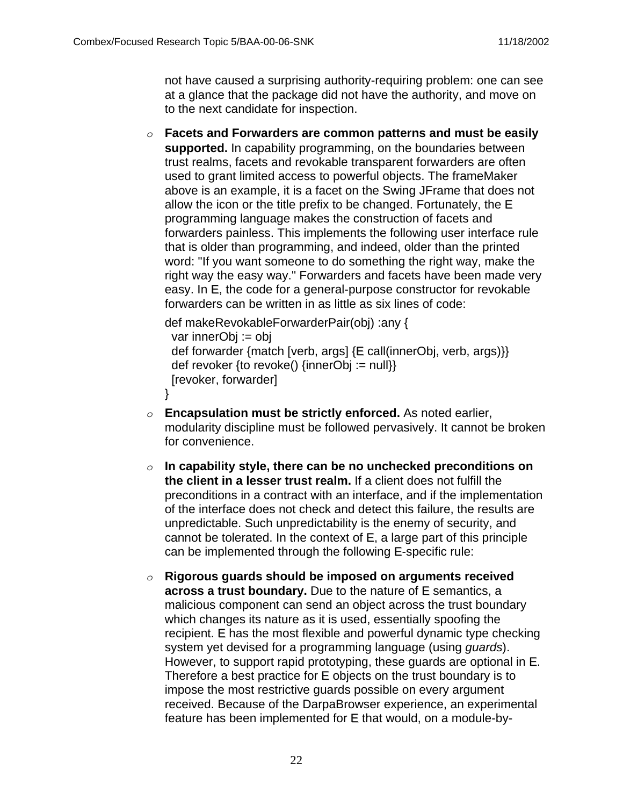not have caused a surprising authority-requiring problem: one can see at a glance that the package did not have the authority, and move on to the next candidate for inspection.

*o* **Facets and Forwarders are common patterns and must be easily supported.** In capability programming, on the boundaries between trust realms, facets and revokable transparent forwarders are often used to grant limited access to powerful objects. The frameMaker above is an example, it is a facet on the Swing JFrame that does not allow the icon or the title prefix to be changed. Fortunately, the E programming language makes the construction of facets and forwarders painless. This implements the following user interface rule that is older than programming, and indeed, older than the printed word: "If you want someone to do something the right way, make the right way the easy way." Forwarders and facets have been made very easy. In E, the code for a general-purpose constructor for revokable forwarders can be written in as little as six lines of code:

```
def makeRevokableForwarderPair(obj) :any {
  var innerObj := obj
  def forwarder {match [verb, args] {E call(innerObj, verb, args)}}
  def revoker {to revoke() {innerObj := null}}
  [revoker, forwarder]
}
```
- *o* **Encapsulation must be strictly enforced.** As noted earlier, modularity discipline must be followed pervasively. It cannot be broken for convenience.
- *o* **In capability style, there can be no unchecked preconditions on the client in a lesser trust realm.** If a client does not fulfill the preconditions in a contract with an interface, and if the implementation of the interface does not check and detect this failure, the results are unpredictable. Such unpredictability is the enemy of security, and cannot be tolerated. In the context of E, a large part of this principle can be implemented through the following E-specific rule:
- *o* **Rigorous guards should be imposed on arguments received across a trust boundary.** Due to the nature of E semantics, a malicious component can send an object across the trust boundary which changes its nature as it is used, essentially spoofing the recipient. E has the most flexible and powerful dynamic type checking system yet devised for a programming language (using *quards*). However, to support rapid prototyping, these guards are optional in E. Therefore a best practice for E objects on the trust boundary is to impose the most restrictive guards possible on every argument received. Because of the DarpaBrowser experience, an experimental feature has been implemented for E that would, on a module-by-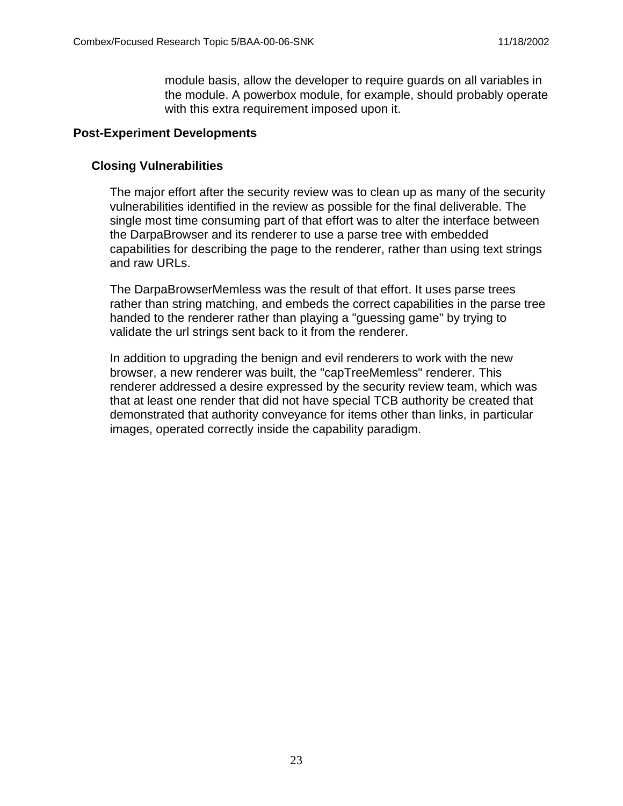module basis, allow the developer to require guards on all variables in the module. A powerbox module, for example, should probably operate with this extra requirement imposed upon it.

#### **Post-Experiment Developments**

#### **Closing Vulnerabilities**

The major effort after the security review was to clean up as many of the security vulnerabilities identified in the review as possible for the final deliverable. The single most time consuming part of that effort was to alter the interface between the DarpaBrowser and its renderer to use a parse tree with embedded capabilities for describing the page to the renderer, rather than using text strings and raw URLs.

The DarpaBrowserMemless was the result of that effort. It uses parse trees rather than string matching, and embeds the correct capabilities in the parse tree handed to the renderer rather than playing a "guessing game" by trying to validate the url strings sent back to it from the renderer.

In addition to upgrading the benign and evil renderers to work with the new browser, a new renderer was built, the "capTreeMemless" renderer. This renderer addressed a desire expressed by the security review team, which was that at least one render that did not have special TCB authority be created that demonstrated that authority conveyance for items other than links, in particular images, operated correctly inside the capability paradigm.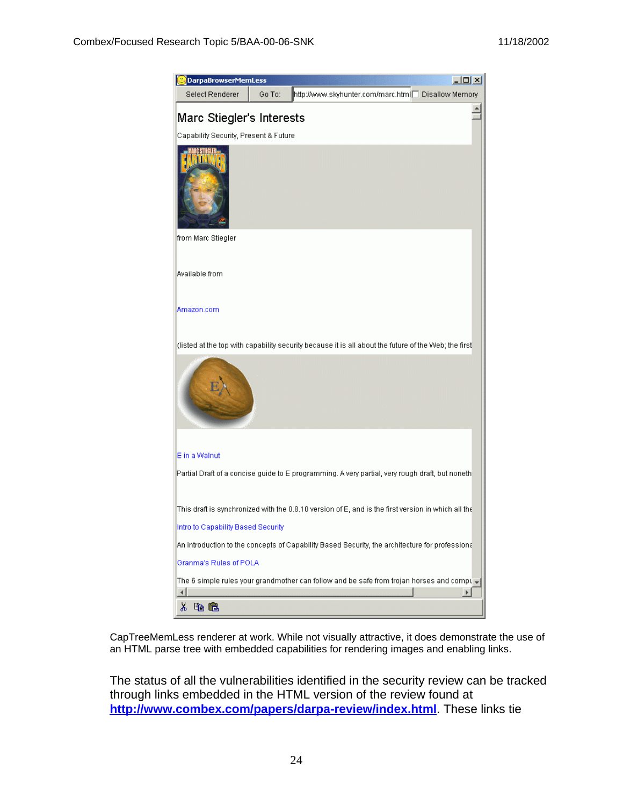

CapTreeMemLess renderer at work. While not visually attractive, it does demonstrate the use of an HTML parse tree with embedded capabilities for rendering images and enabling links.

The status of all the vulnerabilities identified in the security review can be tracked through links embedded in the HTML version of the review found at **http://www.combex.com/papers/darpa-review/index.html**. These links tie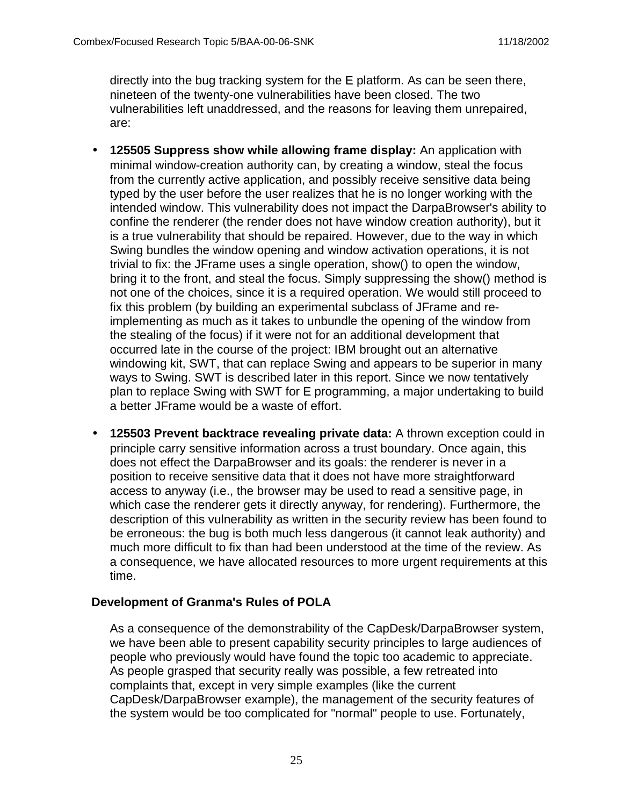directly into the bug tracking system for the E platform. As can be seen there, nineteen of the twenty-one vulnerabilities have been closed. The two vulnerabilities left unaddressed, and the reasons for leaving them unrepaired, are:

- **125505 Suppress show while allowing frame display:** An application with minimal window-creation authority can, by creating a window, steal the focus from the currently active application, and possibly receive sensitive data being typed by the user before the user realizes that he is no longer working with the intended window. This vulnerability does not impact the DarpaBrowser's ability to confine the renderer (the render does not have window creation authority), but it is a true vulnerability that should be repaired. However, due to the way in which Swing bundles the window opening and window activation operations, it is not trivial to fix: the JFrame uses a single operation, show() to open the window, bring it to the front, and steal the focus. Simply suppressing the show() method is not one of the choices, since it is a required operation. We would still proceed to fix this problem (by building an experimental subclass of JFrame and reimplementing as much as it takes to unbundle the opening of the window from the stealing of the focus) if it were not for an additional development that occurred late in the course of the project: IBM brought out an alternative windowing kit, SWT, that can replace Swing and appears to be superior in many ways to Swing. SWT is described later in this report. Since we now tentatively plan to replace Swing with SWT for E programming, a major undertaking to build a better JFrame would be a waste of effort.
- **125503 Prevent backtrace revealing private data:** A thrown exception could in principle carry sensitive information across a trust boundary. Once again, this does not effect the DarpaBrowser and its goals: the renderer is never in a position to receive sensitive data that it does not have more straightforward access to anyway (i.e., the browser may be used to read a sensitive page, in which case the renderer gets it directly anyway, for rendering). Furthermore, the description of this vulnerability as written in the security review has been found to be erroneous: the bug is both much less dangerous (it cannot leak authority) and much more difficult to fix than had been understood at the time of the review. As a consequence, we have allocated resources to more urgent requirements at this time.

## **Development of Granma's Rules of POLA**

As a consequence of the demonstrability of the CapDesk/DarpaBrowser system, we have been able to present capability security principles to large audiences of people who previously would have found the topic too academic to appreciate. As people grasped that security really was possible, a few retreated into complaints that, except in very simple examples (like the current CapDesk/DarpaBrowser example), the management of the security features of the system would be too complicated for "normal" people to use. Fortunately,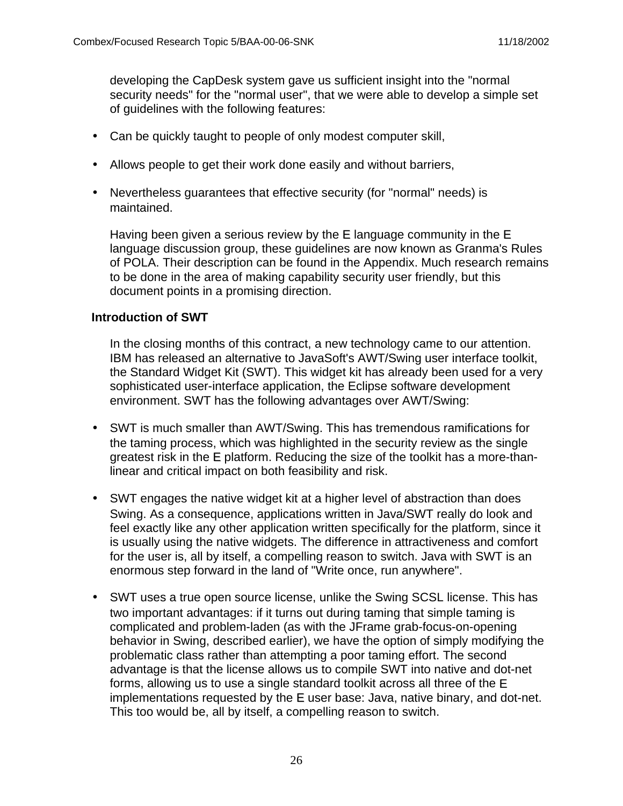developing the CapDesk system gave us sufficient insight into the "normal security needs" for the "normal user", that we were able to develop a simple set of guidelines with the following features:

- Can be quickly taught to people of only modest computer skill,
- Allows people to get their work done easily and without barriers,
- Nevertheless guarantees that effective security (for "normal" needs) is maintained.

Having been given a serious review by the E language community in the E language discussion group, these guidelines are now known as Granma's Rules of POLA. Their description can be found in the Appendix. Much research remains to be done in the area of making capability security user friendly, but this document points in a promising direction.

#### **Introduction of SWT**

In the closing months of this contract, a new technology came to our attention. IBM has released an alternative to JavaSoft's AWT/Swing user interface toolkit, the Standard Widget Kit (SWT). This widget kit has already been used for a very sophisticated user-interface application, the Eclipse software development environment. SWT has the following advantages over AWT/Swing:

- SWT is much smaller than AWT/Swing. This has tremendous ramifications for the taming process, which was highlighted in the security review as the single greatest risk in the E platform. Reducing the size of the toolkit has a more-thanlinear and critical impact on both feasibility and risk.
- SWT engages the native widget kit at a higher level of abstraction than does Swing. As a consequence, applications written in Java/SWT really do look and feel exactly like any other application written specifically for the platform, since it is usually using the native widgets. The difference in attractiveness and comfort for the user is, all by itself, a compelling reason to switch. Java with SWT is an enormous step forward in the land of "Write once, run anywhere".
- SWT uses a true open source license, unlike the Swing SCSL license. This has two important advantages: if it turns out during taming that simple taming is complicated and problem-laden (as with the JFrame grab-focus-on-opening behavior in Swing, described earlier), we have the option of simply modifying the problematic class rather than attempting a poor taming effort. The second advantage is that the license allows us to compile SWT into native and dot-net forms, allowing us to use a single standard toolkit across all three of the E implementations requested by the E user base: Java, native binary, and dot-net. This too would be, all by itself, a compelling reason to switch.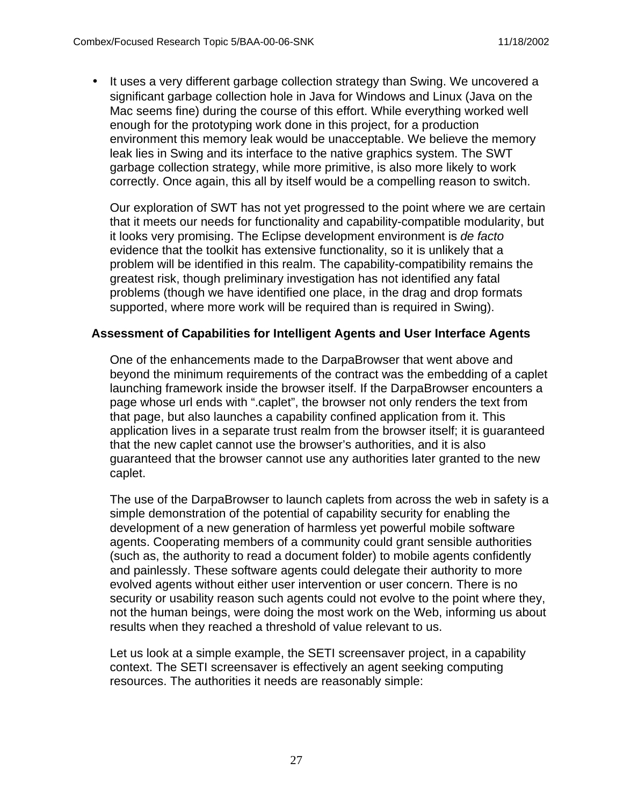• It uses a very different garbage collection strategy than Swing. We uncovered a significant garbage collection hole in Java for Windows and Linux (Java on the Mac seems fine) during the course of this effort. While everything worked well enough for the prototyping work done in this project, for a production environment this memory leak would be unacceptable. We believe the memory leak lies in Swing and its interface to the native graphics system. The SWT garbage collection strategy, while more primitive, is also more likely to work correctly. Once again, this all by itself would be a compelling reason to switch.

Our exploration of SWT has not yet progressed to the point where we are certain that it meets our needs for functionality and capability-compatible modularity, but it looks very promising. The Eclipse development environment is de facto evidence that the toolkit has extensive functionality, so it is unlikely that a problem will be identified in this realm. The capability-compatibility remains the greatest risk, though preliminary investigation has not identified any fatal problems (though we have identified one place, in the drag and drop formats supported, where more work will be required than is required in Swing).

#### **Assessment of Capabilities for Intelligent Agents and User Interface Agents**

One of the enhancements made to the DarpaBrowser that went above and beyond the minimum requirements of the contract was the embedding of a caplet launching framework inside the browser itself. If the DarpaBrowser encounters a page whose url ends with ".caplet", the browser not only renders the text from that page, but also launches a capability confined application from it. This application lives in a separate trust realm from the browser itself; it is guaranteed that the new caplet cannot use the browser's authorities, and it is also guaranteed that the browser cannot use any authorities later granted to the new caplet.

The use of the DarpaBrowser to launch caplets from across the web in safety is a simple demonstration of the potential of capability security for enabling the development of a new generation of harmless yet powerful mobile software agents. Cooperating members of a community could grant sensible authorities (such as, the authority to read a document folder) to mobile agents confidently and painlessly. These software agents could delegate their authority to more evolved agents without either user intervention or user concern. There is no security or usability reason such agents could not evolve to the point where they, not the human beings, were doing the most work on the Web, informing us about results when they reached a threshold of value relevant to us.

Let us look at a simple example, the SETI screensaver project, in a capability context. The SETI screensaver is effectively an agent seeking computing resources. The authorities it needs are reasonably simple: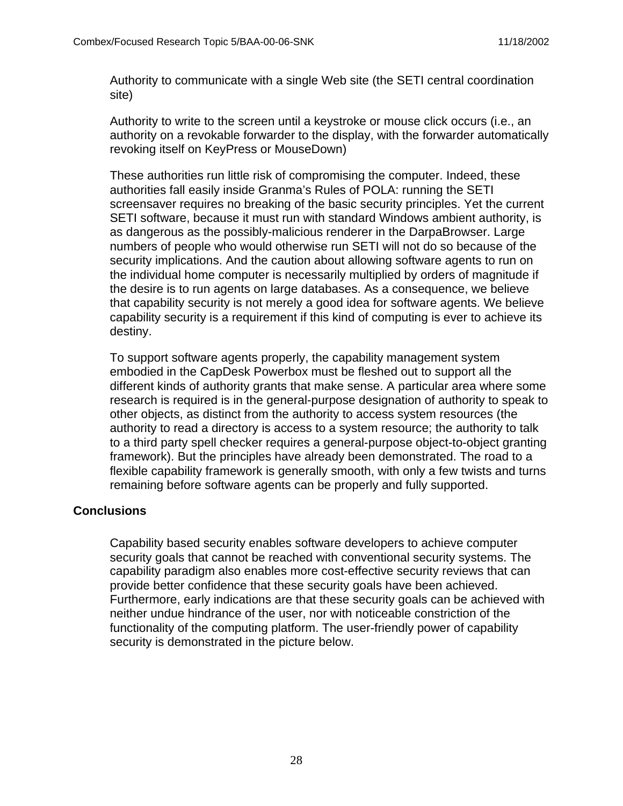Authority to communicate with a single Web site (the SETI central coordination site)

Authority to write to the screen until a keystroke or mouse click occurs (i.e., an authority on a revokable forwarder to the display, with the forwarder automatically revoking itself on KeyPress or MouseDown)

These authorities run little risk of compromising the computer. Indeed, these authorities fall easily inside Granma's Rules of POLA: running the SETI screensaver requires no breaking of the basic security principles. Yet the current SETI software, because it must run with standard Windows ambient authority, is as dangerous as the possibly-malicious renderer in the DarpaBrowser. Large numbers of people who would otherwise run SETI will not do so because of the security implications. And the caution about allowing software agents to run on the individual home computer is necessarily multiplied by orders of magnitude if the desire is to run agents on large databases. As a consequence, we believe that capability security is not merely a good idea for software agents. We believe capability security is a requirement if this kind of computing is ever to achieve its destiny.

To support software agents properly, the capability management system embodied in the CapDesk Powerbox must be fleshed out to support all the different kinds of authority grants that make sense. A particular area where some research is required is in the general-purpose designation of authority to speak to other objects, as distinct from the authority to access system resources (the authority to read a directory is access to a system resource; the authority to talk to a third party spell checker requires a general-purpose object-to-object granting framework). But the principles have already been demonstrated. The road to a flexible capability framework is generally smooth, with only a few twists and turns remaining before software agents can be properly and fully supported.

## **Conclusions**

Capability based security enables software developers to achieve computer security goals that cannot be reached with conventional security systems. The capability paradigm also enables more cost-effective security reviews that can provide better confidence that these security goals have been achieved. Furthermore, early indications are that these security goals can be achieved with neither undue hindrance of the user, nor with noticeable constriction of the functionality of the computing platform. The user-friendly power of capability security is demonstrated in the picture below.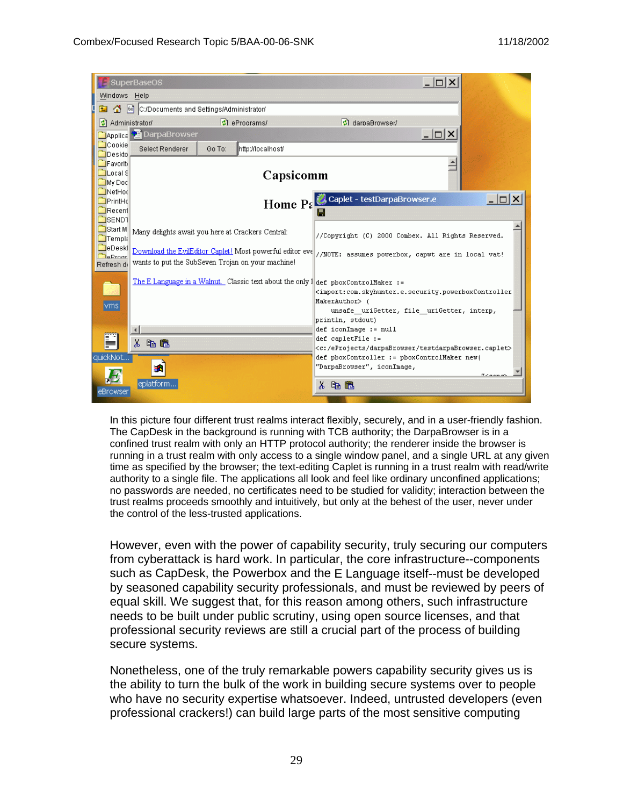

In this picture four different trust realms interact flexibly, securely, and in a user-friendly fashion. The CapDesk in the background is running with TCB authority; the DarpaBrowser is in a confined trust realm with only an HTTP protocol authority; the renderer inside the browser is running in a trust realm with only access to a single window panel, and a single URL at any given time as specified by the browser; the text-editing Caplet is running in a trust realm with read/write authority to a single file. The applications all look and feel like ordinary unconfined applications; no passwords are needed, no certificates need to be studied for validity; interaction between the trust realms proceeds smoothly and intuitively, but only at the behest of the user, never under the control of the less-trusted applications.

However, even with the power of capability security, truly securing our computers from cyberattack is hard work. In particular, the core infrastructure--components such as CapDesk, the Powerbox and the E Language itself--must be developed by seasoned capability security professionals, and must be reviewed by peers of equal skill. We suggest that, for this reason among others, such infrastructure needs to be built under public scrutiny, using open source licenses, and that professional security reviews are still a crucial part of the process of building secure systems.

Nonetheless, one of the truly remarkable powers capability security gives us is the ability to turn the bulk of the work in building secure systems over to people who have no security expertise whatsoever. Indeed, untrusted developers (even professional crackers!) can build large parts of the most sensitive computing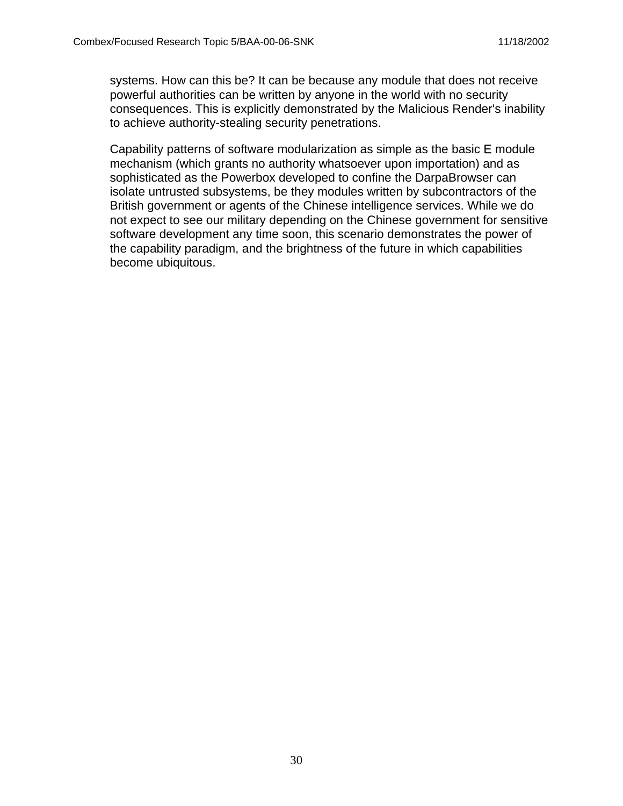systems. How can this be? It can be because any module that does not receive powerful authorities can be written by anyone in the world with no security consequences. This is explicitly demonstrated by the Malicious Render's inability to achieve authority-stealing security penetrations.

Capability patterns of software modularization as simple as the basic E module mechanism (which grants no authority whatsoever upon importation) and as sophisticated as the Powerbox developed to confine the DarpaBrowser can isolate untrusted subsystems, be they modules written by subcontractors of the British government or agents of the Chinese intelligence services. While we do not expect to see our military depending on the Chinese government for sensitive software development any time soon, this scenario demonstrates the power of the capability paradigm, and the brightness of the future in which capabilities become ubiquitous.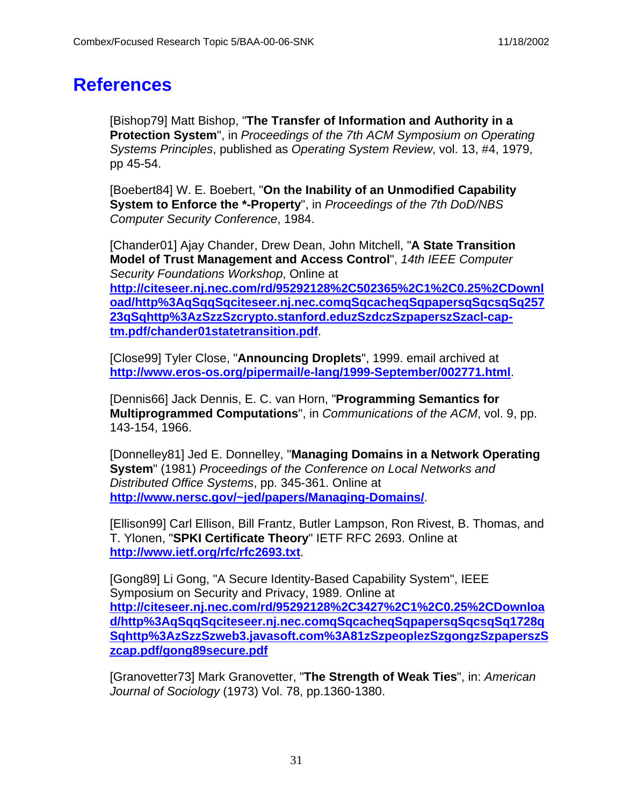## **References**

[Bishop79] Matt Bishop, "**The Transfer of Information and Authority in a Protection System**", in Proceedings of the 7th ACM Symposium on Operating Systems Principles, published as Operating System Review, vol. 13, #4, 1979, pp 45-54.

[Boebert84] W. E. Boebert, "**On the Inability of an Unmodified Capability System to Enforce the \*-Property**", in Proceedings of the 7th DoD/NBS Computer Security Conference, 1984.

[Chander01] Ajay Chander, Drew Dean, John Mitchell, "**A State Transition Model of Trust Management and Access Control**", 14th IEEE Computer Security Foundations Workshop, Online at **http://citeseer.nj.nec.com/rd/95292128%2C502365%2C1%2C0.25%2CDownl oad/http%3AqSqqSqciteseer.nj.nec.comqSqcacheqSqpapersqSqcsqSq257 23qSqhttp%3AzSzzSzcrypto.stanford.eduzSzdczSzpaperszSzacl-captm.pdf/chander01statetransition.pdf**.

[Close99] Tyler Close, "**Announcing Droplets**", 1999. email archived at **http://www.eros-os.org/pipermail/e-lang/1999-September/002771.html**.

[Dennis66] Jack Dennis, E. C. van Horn, "**Programming Semantics for Multiprogrammed Computations**", in Communications of the ACM, vol. 9, pp. 143-154, 1966.

[Donnelley81] Jed E. Donnelley, "**Managing Domains in a Network Operating System**" (1981) Proceedings of the Conference on Local Networks and Distributed Office Systems, pp. 345-361. Online at **http://www.nersc.gov/~jed/papers/Managing-Domains/**.

[Ellison99] Carl Ellison, Bill Frantz, Butler Lampson, Ron Rivest, B. Thomas, and T. Ylonen, "**SPKI Certificate Theory**" IETF RFC 2693. Online at **http://www.ietf.org/rfc/rfc2693.txt**.

[Gong89] Li Gong, "A Secure Identity-Based Capability System", IEEE Symposium on Security and Privacy, 1989. Online at **http://citeseer.nj.nec.com/rd/95292128%2C3427%2C1%2C0.25%2CDownloa d/http%3AqSqqSqciteseer.nj.nec.comqSqcacheqSqpapersqSqcsqSq1728q Sqhttp%3AzSzzSzweb3.javasoft.com%3A81zSzpeoplezSzgongzSzpaperszS zcap.pdf/gong89secure.pdf**

[Granovetter73] Mark Granovetter, "**The Strength of Weak Ties**", in: American Journal of Sociology (1973) Vol. 78, pp.1360-1380.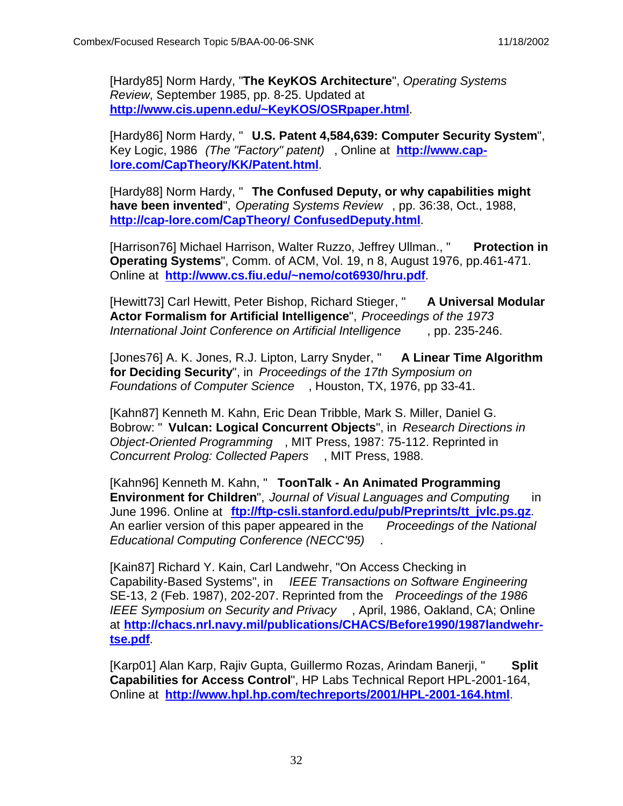[Hardy85] Norm Hardy, "**The KeyKOS Architecture**", Operating Systems Review, September 1985, pp. 8-25. Updated at **http://www.cis.upenn.edu/~KeyKOS/OSRpaper.html**.

[Hardy86] Norm Hardy, " **U.S. Patent 4,584,639: Computer Security System**", Key Logic, 1986 (The "Factory" patent) , Online at **http://www.caplore.com/CapTheory/KK/Patent.html**.

[Hardy88] Norm Hardy, " **The Confused Deputy, or why capabilities might have been invented**", Operating Systems Review , pp. 36:38, Oct., 1988, **http://cap-lore.com/CapTheory/ ConfusedDeputy.html**.

[Harrison76] Michael Harrison, Walter Ruzzo, Jeffrey Ullman., " **Protection in Operating Systems**", Comm. of ACM, Vol. 19, n 8, August 1976, pp.461-471. Online at **http://www.cs.fiu.edu/~nemo/cot6930/hru.pdf**.

[Hewitt73] Carl Hewitt, Peter Bishop, Richard Stieger, " **A Universal Modular Actor Formalism for Artificial Intelligence**", Proceedings of the 1973 International Joint Conference on Artificial Intelligence , pp. 235-246.

[Jones76] A. K. Jones, R.J. Lipton, Larry Snyder, " **A Linear Time Algorithm for Deciding Security**", in Proceedings of the 17th Symposium on Foundations of Computer Science , Houston, TX, 1976, pp 33-41.

[Kahn87] Kenneth M. Kahn, Eric Dean Tribble, Mark S. Miller, Daniel G. Bobrow: " **Vulcan: Logical Concurrent Objects**", in Research Directions in Object-Oriented Programming , MIT Press, 1987: 75-112. Reprinted in Concurrent Prolog: Collected Papers , MIT Press, 1988.

[Kahn96] Kenneth M. Kahn, " **ToonTalk - An Animated Programming Environment for Children**", Journal of Visual Languages and Computing in June 1996. Online at **ftp://ftp-csli.stanford.edu/pub/Preprints/tt\_jvlc.ps.gz**. An earlier version of this paper appeared in the Proceedings of the National Educational Computing Conference (NECC'95) .

[Kain87] Richard Y. Kain, Carl Landwehr, "On Access Checking in Capability-Based Systems", in IEEE Transactions on Software Engineering SE-13, 2 (Feb. 1987), 202-207. Reprinted from the *Proceedings of the 1986* IEEE Symposium on Security and Privacy , April, 1986, Oakland, CA; Online at **http://chacs.nrl.navy.mil/publications/CHACS/Before1990/1987landwehrtse.pdf**.

[Karp01] Alan Karp, Rajiv Gupta, Guillermo Rozas, Arindam Banerji, " **Split Capabilities for Access Control**", HP Labs Technical Report HPL-2001-164, Online at **http://www.hpl.hp.com/techreports/2001/HPL-2001-164.html**.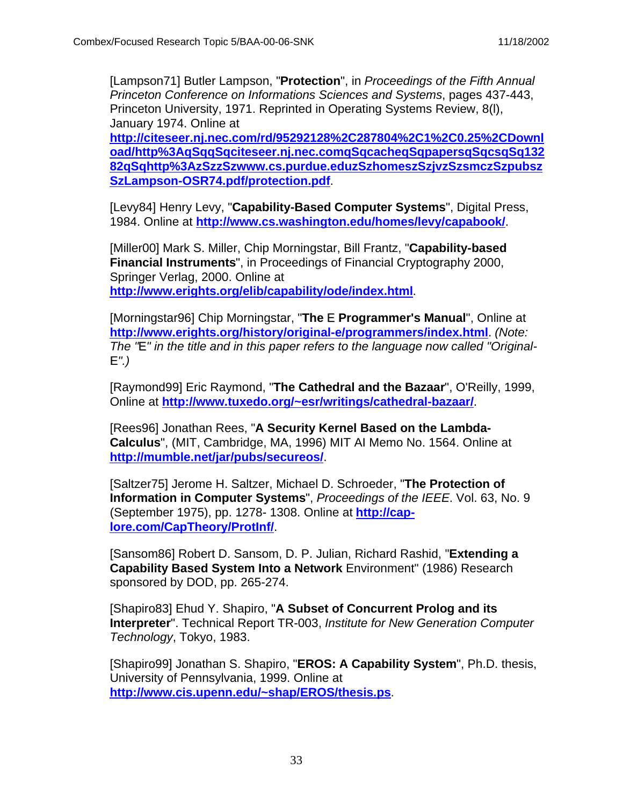[Lampson71] Butler Lampson, "**Protection**", in Proceedings of the Fifth Annual Princeton Conference on Informations Sciences and Systems, pages 437-443, Princeton University, 1971. Reprinted in Operating Systems Review, 8(l), January 1974. Online at **http://citeseer.nj.nec.com/rd/95292128%2C287804%2C1%2C0.25%2CDownl**

**oad/http%3AqSqqSqciteseer.nj.nec.comqSqcacheqSqpapersqSqcsqSq132 82qSqhttp%3AzSzzSzwww.cs.purdue.eduzSzhomeszSzjvzSzsmczSzpubsz SzLampson-OSR74.pdf/protection.pdf**.

[Levy84] Henry Levy, "**Capability-Based Computer Systems**", Digital Press, 1984. Online at **http://www.cs.washington.edu/homes/levy/capabook/**.

[Miller00] Mark S. Miller, Chip Morningstar, Bill Frantz, "**Capability-based Financial Instruments**", in Proceedings of Financial Cryptography 2000, Springer Verlag, 2000. Online at **http://www.erights.org/elib/capability/ode/index.html**.

[Morningstar96] Chip Morningstar, "**The** E **Programmer's Manual**", Online at **http://www.erights.org/history/original-e/programmers/index.html**. (Note: The "E" in the title and in this paper refers to the language now called "Original-E".)

[Raymond99] Eric Raymond, "**The Cathedral and the Bazaar**", O'Reilly, 1999, Online at **http://www.tuxedo.org/~esr/writings/cathedral-bazaar/**.

[Rees96] Jonathan Rees, "**A Security Kernel Based on the Lambda-Calculus**", (MIT, Cambridge, MA, 1996) MIT AI Memo No. 1564. Online at **http://mumble.net/jar/pubs/secureos/**.

[Saltzer75] Jerome H. Saltzer, Michael D. Schroeder, "**The Protection of Information in Computer Systems**", Proceedings of the IEEE. Vol. 63, No. 9 (September 1975), pp. 1278- 1308. Online at **http://caplore.com/CapTheory/ProtInf/**.

[Sansom86] Robert D. Sansom, D. P. Julian, Richard Rashid, "**Extending a Capability Based System Into a Network** Environment" (1986) Research sponsored by DOD, pp. 265-274.

[Shapiro83] Ehud Y. Shapiro, "**A Subset of Concurrent Prolog and its Interpreter**". Technical Report TR-003, Institute for New Generation Computer Technology, Tokyo, 1983.

[Shapiro99] Jonathan S. Shapiro, "**EROS: A Capability System**", Ph.D. thesis, University of Pennsylvania, 1999. Online at **http://www.cis.upenn.edu/~shap/EROS/thesis.ps**.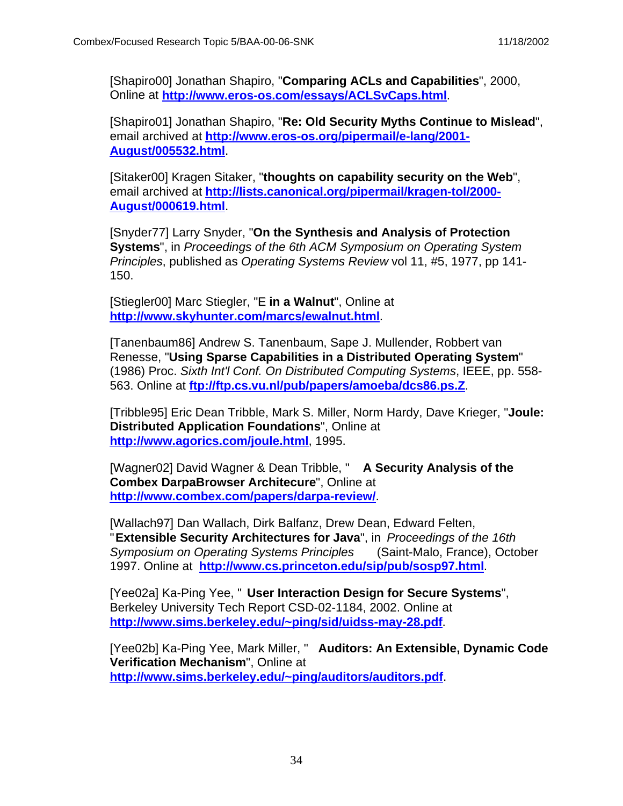[Shapiro00] Jonathan Shapiro, "**Comparing ACLs and Capabilities**", 2000, Online at **http://www.eros-os.com/essays/ACLSvCaps.html**.

[Shapiro01] Jonathan Shapiro, "**Re: Old Security Myths Continue to Mislead**", email archived at **http://www.eros-os.org/pipermail/e-lang/2001- August/005532.html**.

[Sitaker00] Kragen Sitaker, "**thoughts on capability security on the Web**", email archived at **http://lists.canonical.org/pipermail/kragen-tol/2000- August/000619.html**.

[Snyder77] Larry Snyder, "**On the Synthesis and Analysis of Protection Systems**", in Proceedings of the 6th ACM Symposium on Operating System Principles, published as Operating Systems Review vol 11, #5, 1977, pp 141- 150.

[Stiegler00] Marc Stiegler, "E **in a Walnut**", Online at **http://www.skyhunter.com/marcs/ewalnut.html**.

[Tanenbaum86] Andrew S. Tanenbaum, Sape J. Mullender, Robbert van Renesse, "**Using Sparse Capabilities in a Distributed Operating System**" (1986) Proc. Sixth Int'l Conf. On Distributed Computing Systems, IEEE, pp. 558- 563. Online at **ftp://ftp.cs.vu.nl/pub/papers/amoeba/dcs86.ps.Z**.

[Tribble95] Eric Dean Tribble, Mark S. Miller, Norm Hardy, Dave Krieger, "**Joule: Distributed Application Foundations**", Online at **http://www.agorics.com/joule.html**, 1995.

[Wagner02] David Wagner & Dean Tribble, " **A Security Analysis of the Combex DarpaBrowser Architecure**", Online at **http://www.combex.com/papers/darpa-review/**.

[Wallach97] Dan Wallach, Dirk Balfanz, Drew Dean, Edward Felten, "**Extensible Security Architectures for Java**", in Proceedings of the 16th Symposium on Operating Systems Principles (Saint-Malo, France), October 1997. Online at **http://www.cs.princeton.edu/sip/pub/sosp97.html**.

[Yee02a] Ka-Ping Yee, " **User Interaction Design for Secure Systems**", Berkeley University Tech Report CSD-02-1184, 2002. Online at **http://www.sims.berkeley.edu/~ping/sid/uidss-may-28.pdf**.

[Yee02b] Ka-Ping Yee, Mark Miller, " **Auditors: An Extensible, Dynamic Code Verification Mechanism**", Online at **http://www.sims.berkeley.edu/~ping/auditors/auditors.pdf**.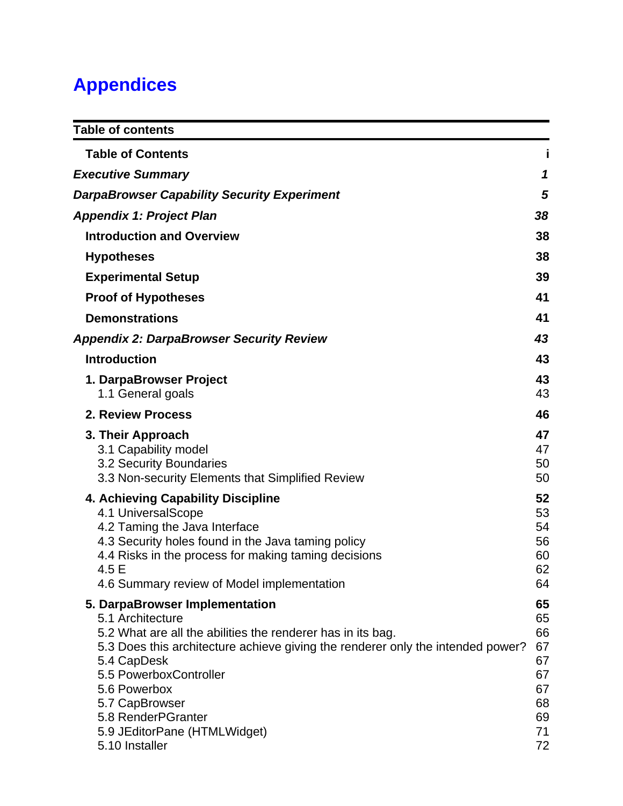# **Appendices**

| <b>Table of contents</b>                                                                                                                                                                                                                                                                                                                                |                                                                |
|---------------------------------------------------------------------------------------------------------------------------------------------------------------------------------------------------------------------------------------------------------------------------------------------------------------------------------------------------------|----------------------------------------------------------------|
| <b>Table of Contents</b>                                                                                                                                                                                                                                                                                                                                |                                                                |
| <b>Executive Summary</b>                                                                                                                                                                                                                                                                                                                                | 1                                                              |
| <b>DarpaBrowser Capability Security Experiment</b>                                                                                                                                                                                                                                                                                                      | 5                                                              |
| <b>Appendix 1: Project Plan</b>                                                                                                                                                                                                                                                                                                                         | 38                                                             |
| <b>Introduction and Overview</b>                                                                                                                                                                                                                                                                                                                        | 38                                                             |
| <b>Hypotheses</b>                                                                                                                                                                                                                                                                                                                                       | 38                                                             |
| <b>Experimental Setup</b>                                                                                                                                                                                                                                                                                                                               | 39                                                             |
| <b>Proof of Hypotheses</b>                                                                                                                                                                                                                                                                                                                              | 41                                                             |
| <b>Demonstrations</b>                                                                                                                                                                                                                                                                                                                                   | 41                                                             |
| <b>Appendix 2: DarpaBrowser Security Review</b>                                                                                                                                                                                                                                                                                                         | 43                                                             |
| <b>Introduction</b>                                                                                                                                                                                                                                                                                                                                     | 43                                                             |
| 1. DarpaBrowser Project                                                                                                                                                                                                                                                                                                                                 | 43                                                             |
| 1.1 General goals                                                                                                                                                                                                                                                                                                                                       | 43                                                             |
| <b>2. Review Process</b>                                                                                                                                                                                                                                                                                                                                | 46                                                             |
| 3. Their Approach<br>3.1 Capability model<br>3.2 Security Boundaries<br>3.3 Non-security Elements that Simplified Review                                                                                                                                                                                                                                | 47<br>47<br>50<br>50                                           |
| 4. Achieving Capability Discipline<br>4.1 UniversalScope<br>4.2 Taming the Java Interface<br>4.3 Security holes found in the Java taming policy<br>4.4 Risks in the process for making taming decisions<br>4.5 E<br>4.6 Summary review of Model implementation                                                                                          | 52<br>53<br>54<br>56<br>60<br>62<br>64                         |
| 5. DarpaBrowser Implementation<br>5.1 Architecture<br>5.2 What are all the abilities the renderer has in its bag.<br>5.3 Does this architecture achieve giving the renderer only the intended power?<br>5.4 CapDesk<br>5.5 PowerboxController<br>5.6 Powerbox<br>5.7 CapBrowser<br>5.8 RenderPGranter<br>5.9 JEditorPane (HTMLWidget)<br>5.10 Installer | 65<br>65<br>66<br>67<br>67<br>67<br>67<br>68<br>69<br>71<br>72 |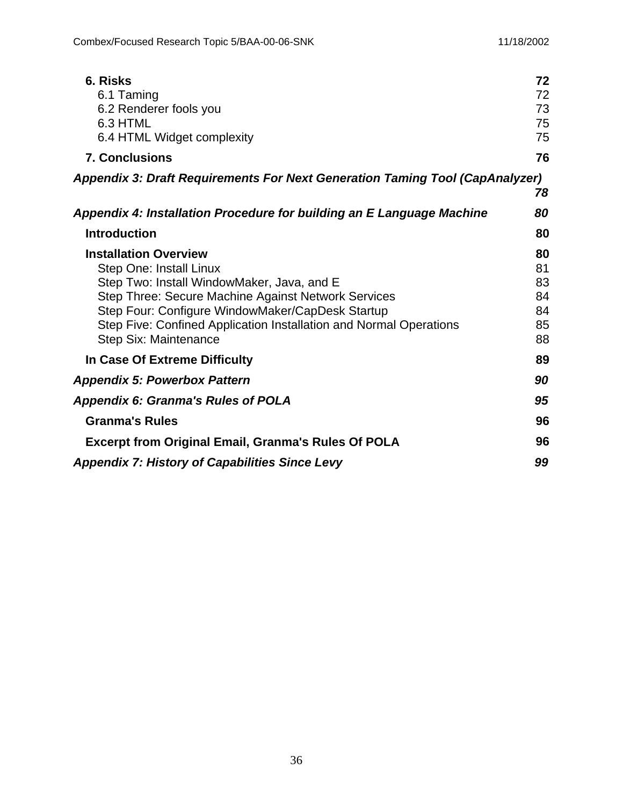| 6. Risks                                                                            | 72 |
|-------------------------------------------------------------------------------------|----|
| 6.1 Taming                                                                          | 72 |
| 6.2 Renderer fools you                                                              | 73 |
| 6.3 HTML                                                                            | 75 |
| 6.4 HTML Widget complexity                                                          | 75 |
| <b>7. Conclusions</b>                                                               | 76 |
| <b>Appendix 3: Draft Requirements For Next Generation Taming Tool (CapAnalyzer)</b> |    |
|                                                                                     | 78 |
| Appendix 4: Installation Procedure for building an E Language Machine               | 80 |
| <b>Introduction</b>                                                                 | 80 |
| <b>Installation Overview</b>                                                        | 80 |
| Step One: Install Linux                                                             | 81 |
| Step Two: Install WindowMaker, Java, and E                                          | 83 |
| Step Three: Secure Machine Against Network Services                                 | 84 |
| Step Four: Configure WindowMaker/CapDesk Startup                                    | 84 |
| Step Five: Confined Application Installation and Normal Operations                  | 85 |
| Step Six: Maintenance                                                               | 88 |
| In Case Of Extreme Difficulty                                                       | 89 |
| <b>Appendix 5: Powerbox Pattern</b>                                                 | 90 |
| <b>Appendix 6: Granma's Rules of POLA</b>                                           | 95 |
| <b>Granma's Rules</b>                                                               | 96 |
| <b>Excerpt from Original Email, Granma's Rules Of POLA</b>                          | 96 |
| <b>Appendix 7: History of Capabilities Since Levy</b>                               | 99 |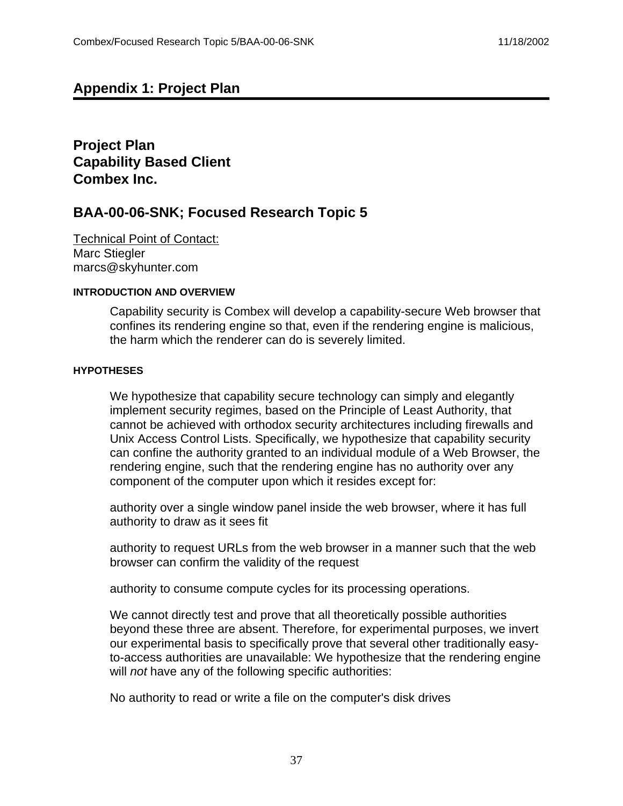# **Appendix 1: Project Plan**

**Project Plan Capability Based Client Combex Inc.**

# **BAA-00-06-SNK; Focused Research Topic 5**

Technical Point of Contact: Marc Stiegler marcs@skyhunter.com

#### **INTRODUCTION AND OVERVIEW**

Capability security is Combex will develop a capability-secure Web browser that confines its rendering engine so that, even if the rendering engine is malicious, the harm which the renderer can do is severely limited.

#### **HYPOTHESES**

We hypothesize that capability secure technology can simply and elegantly implement security regimes, based on the Principle of Least Authority, that cannot be achieved with orthodox security architectures including firewalls and Unix Access Control Lists. Specifically, we hypothesize that capability security can confine the authority granted to an individual module of a Web Browser, the rendering engine, such that the rendering engine has no authority over any component of the computer upon which it resides except for:

authority over a single window panel inside the web browser, where it has full authority to draw as it sees fit

authority to request URLs from the web browser in a manner such that the web browser can confirm the validity of the request

authority to consume compute cycles for its processing operations.

We cannot directly test and prove that all theoretically possible authorities beyond these three are absent. Therefore, for experimental purposes, we invert our experimental basis to specifically prove that several other traditionally easyto-access authorities are unavailable: We hypothesize that the rendering engine will not have any of the following specific authorities:

No authority to read or write a file on the computer's disk drives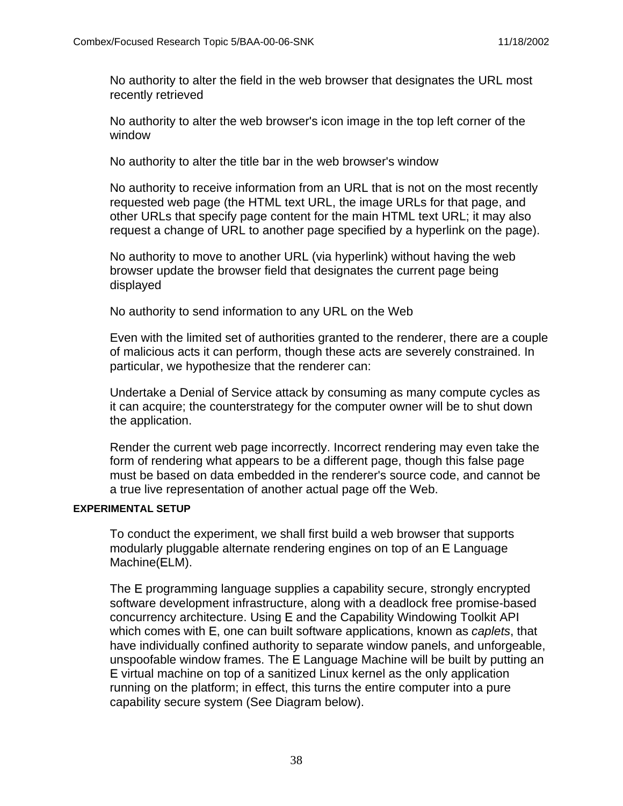No authority to alter the field in the web browser that designates the URL most recently retrieved

No authority to alter the web browser's icon image in the top left corner of the window

No authority to alter the title bar in the web browser's window

No authority to receive information from an URL that is not on the most recently requested web page (the HTML text URL, the image URLs for that page, and other URLs that specify page content for the main HTML text URL; it may also request a change of URL to another page specified by a hyperlink on the page).

No authority to move to another URL (via hyperlink) without having the web browser update the browser field that designates the current page being displayed

No authority to send information to any URL on the Web

Even with the limited set of authorities granted to the renderer, there are a couple of malicious acts it can perform, though these acts are severely constrained. In particular, we hypothesize that the renderer can:

Undertake a Denial of Service attack by consuming as many compute cycles as it can acquire; the counterstrategy for the computer owner will be to shut down the application.

Render the current web page incorrectly. Incorrect rendering may even take the form of rendering what appears to be a different page, though this false page must be based on data embedded in the renderer's source code, and cannot be a true live representation of another actual page off the Web.

#### **EXPERIMENTAL SETUP**

To conduct the experiment, we shall first build a web browser that supports modularly pluggable alternate rendering engines on top of an E Language Machine(ELM).

The E programming language supplies a capability secure, strongly encrypted software development infrastructure, along with a deadlock free promise-based concurrency architecture. Using E and the Capability Windowing Toolkit API which comes with E, one can built software applications, known as *caplets*, that have individually confined authority to separate window panels, and unforgeable, unspoofable window frames. The E Language Machine will be built by putting an E virtual machine on top of a sanitized Linux kernel as the only application running on the platform; in effect, this turns the entire computer into a pure capability secure system (See Diagram below).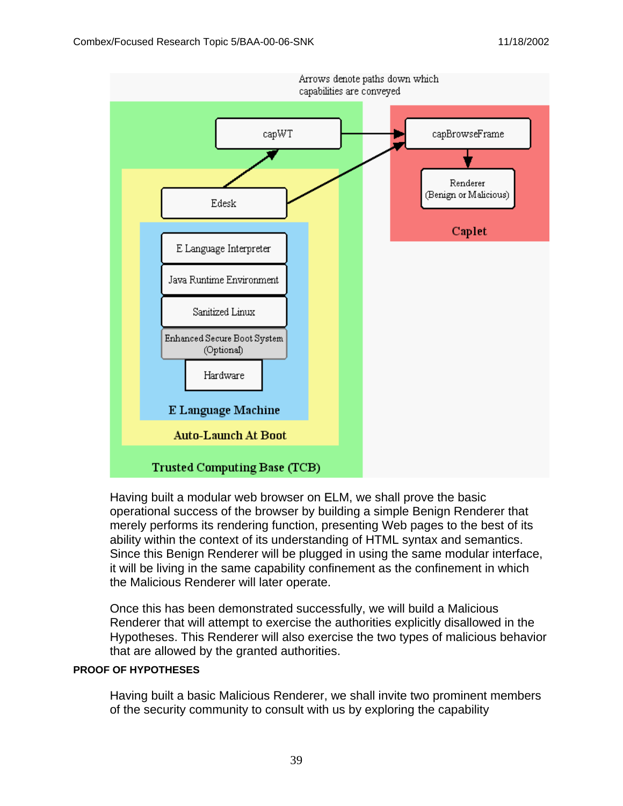

Having built a modular web browser on ELM, we shall prove the basic operational success of the browser by building a simple Benign Renderer that merely performs its rendering function, presenting Web pages to the best of its ability within the context of its understanding of HTML syntax and semantics. Since this Benign Renderer will be plugged in using the same modular interface, it will be living in the same capability confinement as the confinement in which the Malicious Renderer will later operate.

Once this has been demonstrated successfully, we will build a Malicious Renderer that will attempt to exercise the authorities explicitly disallowed in the Hypotheses. This Renderer will also exercise the two types of malicious behavior that are allowed by the granted authorities.

#### **PROOF OF HYPOTHESES**

Having built a basic Malicious Renderer, we shall invite two prominent members of the security community to consult with us by exploring the capability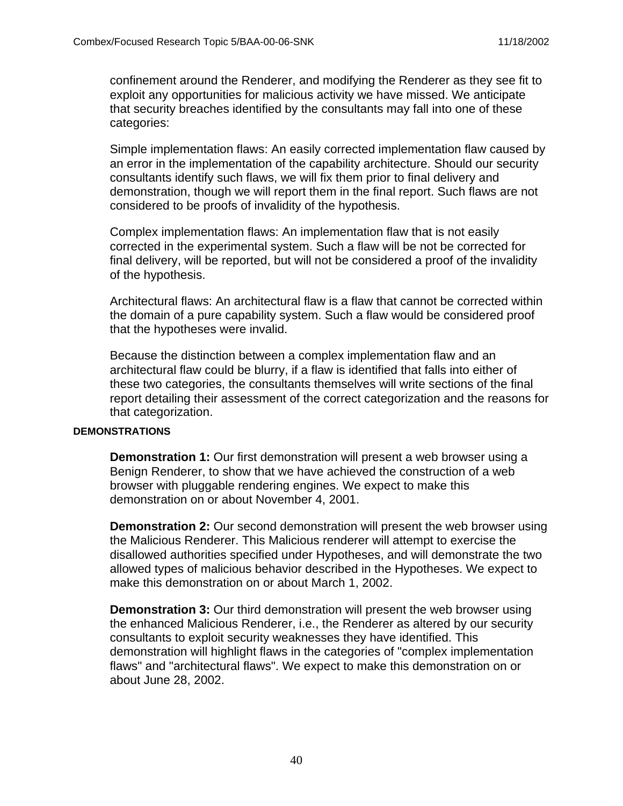confinement around the Renderer, and modifying the Renderer as they see fit to exploit any opportunities for malicious activity we have missed. We anticipate that security breaches identified by the consultants may fall into one of these categories:

Simple implementation flaws: An easily corrected implementation flaw caused by an error in the implementation of the capability architecture. Should our security consultants identify such flaws, we will fix them prior to final delivery and demonstration, though we will report them in the final report. Such flaws are not considered to be proofs of invalidity of the hypothesis.

Complex implementation flaws: An implementation flaw that is not easily corrected in the experimental system. Such a flaw will be not be corrected for final delivery, will be reported, but will not be considered a proof of the invalidity of the hypothesis.

Architectural flaws: An architectural flaw is a flaw that cannot be corrected within the domain of a pure capability system. Such a flaw would be considered proof that the hypotheses were invalid.

Because the distinction between a complex implementation flaw and an architectural flaw could be blurry, if a flaw is identified that falls into either of these two categories, the consultants themselves will write sections of the final report detailing their assessment of the correct categorization and the reasons for that categorization.

#### **DEMONSTRATIONS**

**Demonstration 1:** Our first demonstration will present a web browser using a Benign Renderer, to show that we have achieved the construction of a web browser with pluggable rendering engines. We expect to make this demonstration on or about November 4, 2001.

**Demonstration 2:** Our second demonstration will present the web browser using the Malicious Renderer. This Malicious renderer will attempt to exercise the disallowed authorities specified under Hypotheses, and will demonstrate the two allowed types of malicious behavior described in the Hypotheses. We expect to make this demonstration on or about March 1, 2002.

**Demonstration 3:** Our third demonstration will present the web browser using the enhanced Malicious Renderer, i.e., the Renderer as altered by our security consultants to exploit security weaknesses they have identified. This demonstration will highlight flaws in the categories of "complex implementation flaws" and "architectural flaws". We expect to make this demonstration on or about June 28, 2002.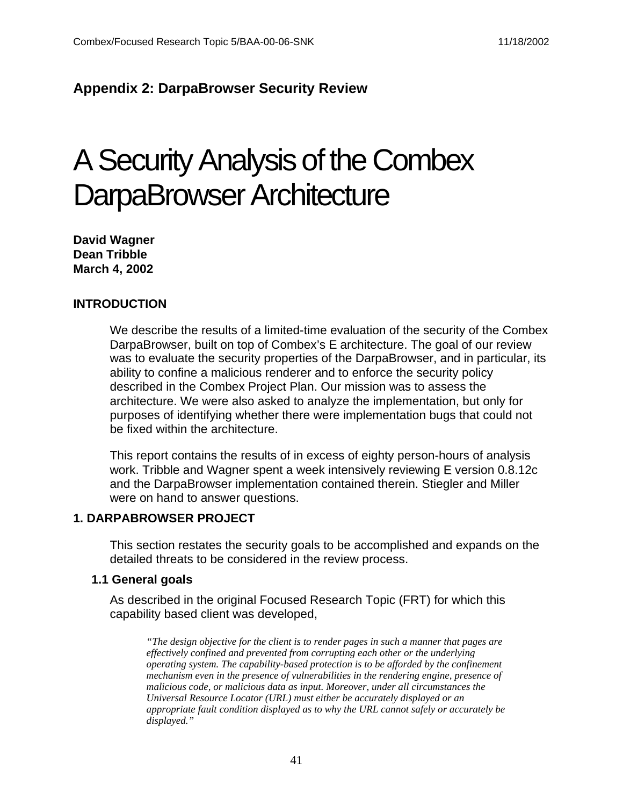# **Appendix 2: DarpaBrowser Security Review**

# A Security Analysis of the Combex DarpaBrowser Architecture

**David Wagner Dean Tribble March 4, 2002**

#### **INTRODUCTION**

We describe the results of a limited-time evaluation of the security of the Combex DarpaBrowser, built on top of Combex's E architecture. The goal of our review was to evaluate the security properties of the DarpaBrowser, and in particular, its ability to confine a malicious renderer and to enforce the security policy described in the Combex Project Plan. Our mission was to assess the architecture. We were also asked to analyze the implementation, but only for purposes of identifying whether there were implementation bugs that could not be fixed within the architecture.

This report contains the results of in excess of eighty person-hours of analysis work. Tribble and Wagner spent a week intensively reviewing E version 0.8.12c and the DarpaBrowser implementation contained therein. Stiegler and Miller were on hand to answer questions.

#### **1. DARPABROWSER PROJECT**

This section restates the security goals to be accomplished and expands on the detailed threats to be considered in the review process.

#### **1.1 General goals**

As described in the original Focused Research Topic (FRT) for which this capability based client was developed,

*"The design objective for the client is to render pages in such a manner that pages are effectively confined and prevented from corrupting each other or the underlying operating system. The capability-based protection is to be afforded by the confinement mechanism even in the presence of vulnerabilities in the rendering engine, presence of malicious code, or malicious data as input. Moreover, under all circumstances the Universal Resource Locator (URL) must either be accurately displayed or an appropriate fault condition displayed as to why the URL cannot safely or accurately be displayed."*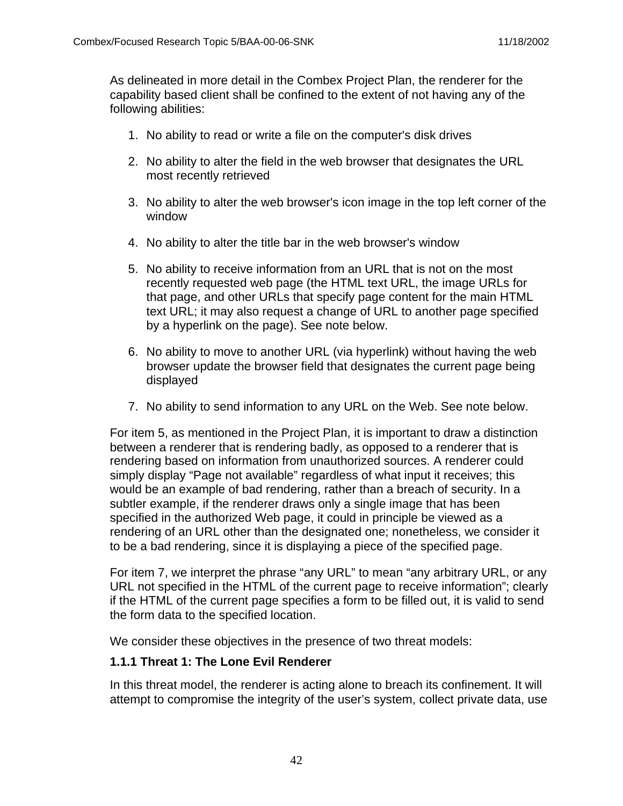As delineated in more detail in the Combex Project Plan, the renderer for the capability based client shall be confined to the extent of not having any of the following abilities:

- 1. No ability to read or write a file on the computer's disk drives
- 2. No ability to alter the field in the web browser that designates the URL most recently retrieved
- 3. No ability to alter the web browser's icon image in the top left corner of the window
- 4. No ability to alter the title bar in the web browser's window
- 5. No ability to receive information from an URL that is not on the most recently requested web page (the HTML text URL, the image URLs for that page, and other URLs that specify page content for the main HTML text URL; it may also request a change of URL to another page specified by a hyperlink on the page). See note below.
- 6. No ability to move to another URL (via hyperlink) without having the web browser update the browser field that designates the current page being displayed
- 7. No ability to send information to any URL on the Web. See note below.

For item 5, as mentioned in the Project Plan, it is important to draw a distinction between a renderer that is rendering badly, as opposed to a renderer that is rendering based on information from unauthorized sources. A renderer could simply display "Page not available" regardless of what input it receives; this would be an example of bad rendering, rather than a breach of security. In a subtler example, if the renderer draws only a single image that has been specified in the authorized Web page, it could in principle be viewed as a rendering of an URL other than the designated one; nonetheless, we consider it to be a bad rendering, since it is displaying a piece of the specified page.

For item 7, we interpret the phrase "any URL" to mean "any arbitrary URL, or any URL not specified in the HTML of the current page to receive information"; clearly if the HTML of the current page specifies a form to be filled out, it is valid to send the form data to the specified location.

We consider these objectives in the presence of two threat models:

#### **1.1.1 Threat 1: The Lone Evil Renderer**

In this threat model, the renderer is acting alone to breach its confinement. It will attempt to compromise the integrity of the user's system, collect private data, use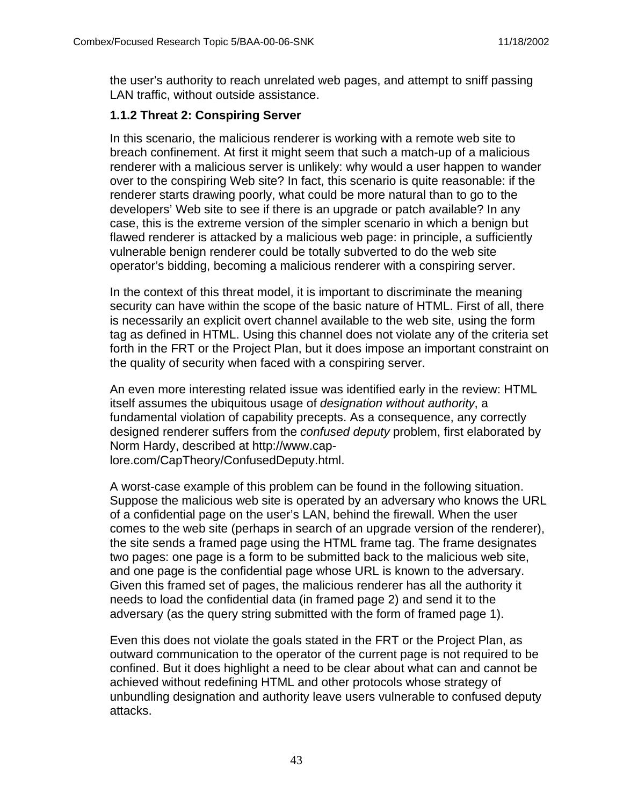the user's authority to reach unrelated web pages, and attempt to sniff passing LAN traffic, without outside assistance.

# **1.1.2 Threat 2: Conspiring Server**

In this scenario, the malicious renderer is working with a remote web site to breach confinement. At first it might seem that such a match-up of a malicious renderer with a malicious server is unlikely: why would a user happen to wander over to the conspiring Web site? In fact, this scenario is quite reasonable: if the renderer starts drawing poorly, what could be more natural than to go to the developers' Web site to see if there is an upgrade or patch available? In any case, this is the extreme version of the simpler scenario in which a benign but flawed renderer is attacked by a malicious web page: in principle, a sufficiently vulnerable benign renderer could be totally subverted to do the web site operator's bidding, becoming a malicious renderer with a conspiring server.

In the context of this threat model, it is important to discriminate the meaning security can have within the scope of the basic nature of HTML. First of all, there is necessarily an explicit overt channel available to the web site, using the form tag as defined in HTML. Using this channel does not violate any of the criteria set forth in the FRT or the Project Plan, but it does impose an important constraint on the quality of security when faced with a conspiring server.

An even more interesting related issue was identified early in the review: HTML itself assumes the ubiquitous usage of designation without authority, a fundamental violation of capability precepts. As a consequence, any correctly designed renderer suffers from the *confused deputy* problem, first elaborated by Norm Hardy, described at http://www.caplore.com/CapTheory/ConfusedDeputy.html.

A worst-case example of this problem can be found in the following situation. Suppose the malicious web site is operated by an adversary who knows the URL of a confidential page on the user's LAN, behind the firewall. When the user comes to the web site (perhaps in search of an upgrade version of the renderer), the site sends a framed page using the HTML frame tag. The frame designates two pages: one page is a form to be submitted back to the malicious web site, and one page is the confidential page whose URL is known to the adversary. Given this framed set of pages, the malicious renderer has all the authority it needs to load the confidential data (in framed page 2) and send it to the adversary (as the query string submitted with the form of framed page 1).

Even this does not violate the goals stated in the FRT or the Project Plan, as outward communication to the operator of the current page is not required to be confined. But it does highlight a need to be clear about what can and cannot be achieved without redefining HTML and other protocols whose strategy of unbundling designation and authority leave users vulnerable to confused deputy attacks.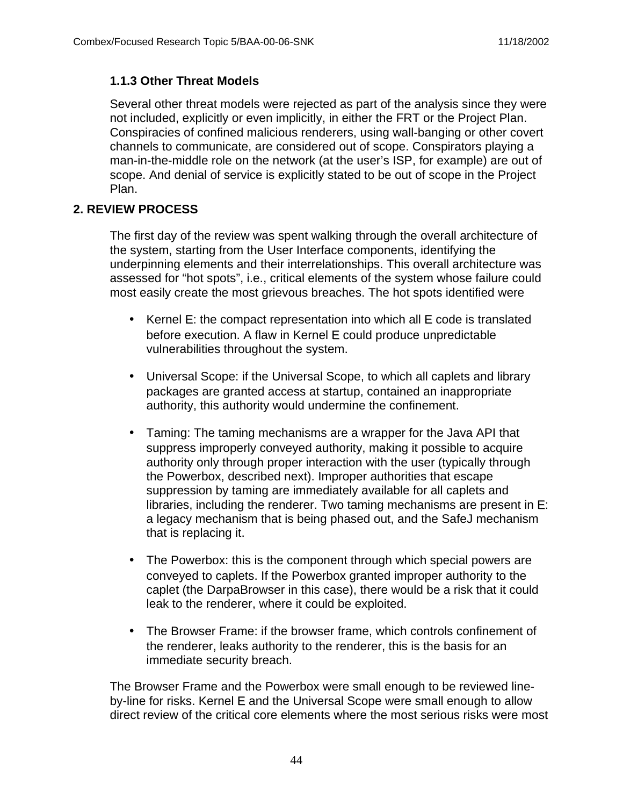# **1.1.3 Other Threat Models**

Several other threat models were rejected as part of the analysis since they were not included, explicitly or even implicitly, in either the FRT or the Project Plan. Conspiracies of confined malicious renderers, using wall-banging or other covert channels to communicate, are considered out of scope. Conspirators playing a man-in-the-middle role on the network (at the user's ISP, for example) are out of scope. And denial of service is explicitly stated to be out of scope in the Project Plan.

# **2. REVIEW PROCESS**

The first day of the review was spent walking through the overall architecture of the system, starting from the User Interface components, identifying the underpinning elements and their interrelationships. This overall architecture was assessed for "hot spots", i.e., critical elements of the system whose failure could most easily create the most grievous breaches. The hot spots identified were

- Kernel E: the compact representation into which all E code is translated before execution. A flaw in Kernel E could produce unpredictable vulnerabilities throughout the system.
- Universal Scope: if the Universal Scope, to which all caplets and library packages are granted access at startup, contained an inappropriate authority, this authority would undermine the confinement.
- Taming: The taming mechanisms are a wrapper for the Java API that suppress improperly conveyed authority, making it possible to acquire authority only through proper interaction with the user (typically through the Powerbox, described next). Improper authorities that escape suppression by taming are immediately available for all caplets and libraries, including the renderer. Two taming mechanisms are present in E: a legacy mechanism that is being phased out, and the SafeJ mechanism that is replacing it.
- The Powerbox: this is the component through which special powers are conveyed to caplets. If the Powerbox granted improper authority to the caplet (the DarpaBrowser in this case), there would be a risk that it could leak to the renderer, where it could be exploited.
- The Browser Frame: if the browser frame, which controls confinement of the renderer, leaks authority to the renderer, this is the basis for an immediate security breach.

The Browser Frame and the Powerbox were small enough to be reviewed lineby-line for risks. Kernel E and the Universal Scope were small enough to allow direct review of the critical core elements where the most serious risks were most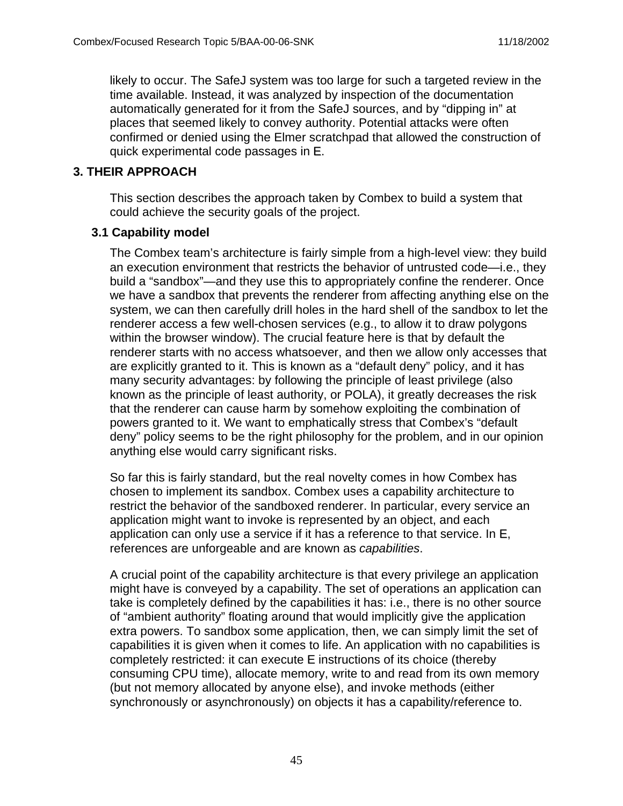likely to occur. The SafeJ system was too large for such a targeted review in the time available. Instead, it was analyzed by inspection of the documentation automatically generated for it from the SafeJ sources, and by "dipping in" at places that seemed likely to convey authority. Potential attacks were often confirmed or denied using the Elmer scratchpad that allowed the construction of quick experimental code passages in E.

# **3. THEIR APPROACH**

This section describes the approach taken by Combex to build a system that could achieve the security goals of the project.

### **3.1 Capability model**

The Combex team's architecture is fairly simple from a high-level view: they build an execution environment that restricts the behavior of untrusted code—i.e., they build a "sandbox"—and they use this to appropriately confine the renderer. Once we have a sandbox that prevents the renderer from affecting anything else on the system, we can then carefully drill holes in the hard shell of the sandbox to let the renderer access a few well-chosen services (e.g., to allow it to draw polygons within the browser window). The crucial feature here is that by default the renderer starts with no access whatsoever, and then we allow only accesses that are explicitly granted to it. This is known as a "default deny" policy, and it has many security advantages: by following the principle of least privilege (also known as the principle of least authority, or POLA), it greatly decreases the risk that the renderer can cause harm by somehow exploiting the combination of powers granted to it. We want to emphatically stress that Combex's "default deny" policy seems to be the right philosophy for the problem, and in our opinion anything else would carry significant risks.

So far this is fairly standard, but the real novelty comes in how Combex has chosen to implement its sandbox. Combex uses a capability architecture to restrict the behavior of the sandboxed renderer. In particular, every service an application might want to invoke is represented by an object, and each application can only use a service if it has a reference to that service. In E, references are unforgeable and are known as capabilities.

A crucial point of the capability architecture is that every privilege an application might have is conveyed by a capability. The set of operations an application can take is completely defined by the capabilities it has: i.e., there is no other source of "ambient authority" floating around that would implicitly give the application extra powers. To sandbox some application, then, we can simply limit the set of capabilities it is given when it comes to life. An application with no capabilities is completely restricted: it can execute E instructions of its choice (thereby consuming CPU time), allocate memory, write to and read from its own memory (but not memory allocated by anyone else), and invoke methods (either synchronously or asynchronously) on objects it has a capability/reference to.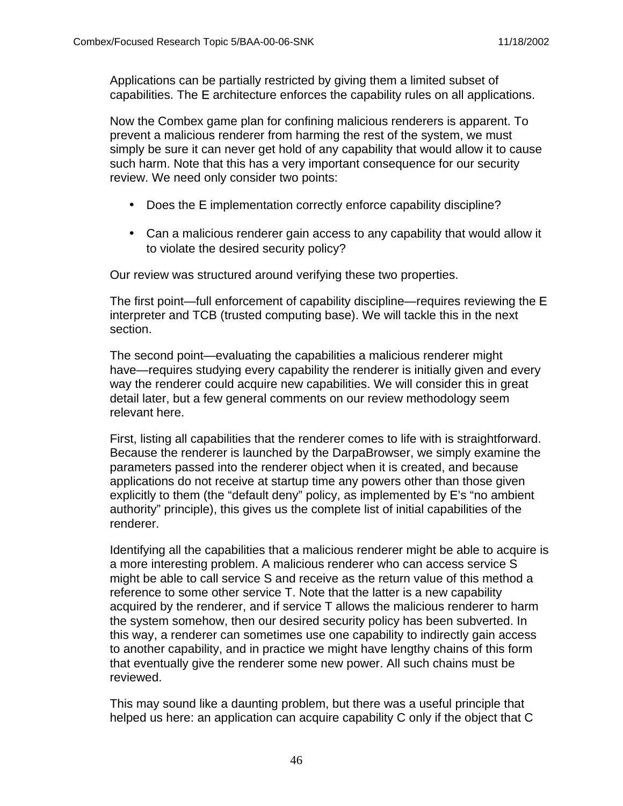Applications can be partially restricted by giving them a limited subset of capabilities. The E architecture enforces the capability rules on all applications.

Now the Combex game plan for confining malicious renderers is apparent. To prevent a malicious renderer from harming the rest of the system, we must simply be sure it can never get hold of any capability that would allow it to cause such harm. Note that this has a very important consequence for our security review. We need only consider two points:

- Does the E implementation correctly enforce capability discipline?
- Can a malicious renderer gain access to any capability that would allow it to violate the desired security policy?

Our review was structured around verifying these two properties.

The first point—full enforcement of capability discipline—requires reviewing the E interpreter and TCB (trusted computing base). We will tackle this in the next section.

The second point—evaluating the capabilities a malicious renderer might have—requires studying every capability the renderer is initially given and every way the renderer could acquire new capabilities. We will consider this in great detail later, but a few general comments on our review methodology seem relevant here.

First, listing all capabilities that the renderer comes to life with is straightforward. Because the renderer is launched by the DarpaBrowser, we simply examine the parameters passed into the renderer object when it is created, and because applications do not receive at startup time any powers other than those given explicitly to them (the "default deny" policy, as implemented by E's "no ambient authority" principle), this gives us the complete list of initial capabilities of the renderer.

Identifying all the capabilities that a malicious renderer might be able to acquire is a more interesting problem. A malicious renderer who can access service S might be able to call service S and receive as the return value of this method a reference to some other service T. Note that the latter is a new capability acquired by the renderer, and if service T allows the malicious renderer to harm the system somehow, then our desired security policy has been subverted. In this way, a renderer can sometimes use one capability to indirectly gain access to another capability, and in practice we might have lengthy chains of this form that eventually give the renderer some new power. All such chains must be reviewed.

This may sound like a daunting problem, but there was a useful principle that helped us here: an application can acquire capability C only if the object that C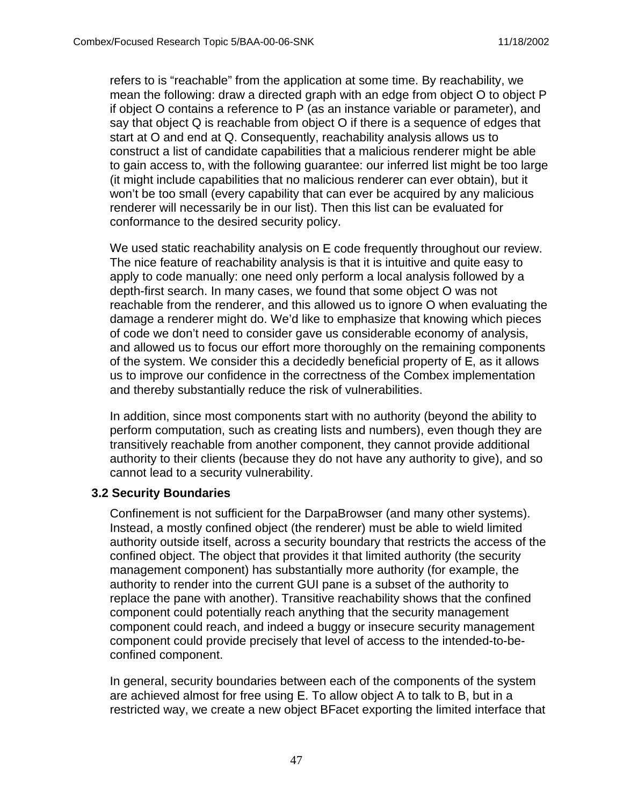refers to is "reachable" from the application at some time. By reachability, we mean the following: draw a directed graph with an edge from object O to object P if object O contains a reference to P (as an instance variable or parameter), and say that object Q is reachable from object O if there is a sequence of edges that start at O and end at Q. Consequently, reachability analysis allows us to construct a list of candidate capabilities that a malicious renderer might be able to gain access to, with the following guarantee: our inferred list might be too large (it might include capabilities that no malicious renderer can ever obtain), but it won't be too small (every capability that can ever be acquired by any malicious renderer will necessarily be in our list). Then this list can be evaluated for conformance to the desired security policy.

We used static reachability analysis on E code frequently throughout our review. The nice feature of reachability analysis is that it is intuitive and quite easy to apply to code manually: one need only perform a local analysis followed by a depth-first search. In many cases, we found that some object O was not reachable from the renderer, and this allowed us to ignore O when evaluating the damage a renderer might do. We'd like to emphasize that knowing which pieces of code we don't need to consider gave us considerable economy of analysis, and allowed us to focus our effort more thoroughly on the remaining components of the system. We consider this a decidedly beneficial property of E, as it allows us to improve our confidence in the correctness of the Combex implementation and thereby substantially reduce the risk of vulnerabilities.

In addition, since most components start with no authority (beyond the ability to perform computation, such as creating lists and numbers), even though they are transitively reachable from another component, they cannot provide additional authority to their clients (because they do not have any authority to give), and so cannot lead to a security vulnerability.

#### **3.2 Security Boundaries**

Confinement is not sufficient for the DarpaBrowser (and many other systems). Instead, a mostly confined object (the renderer) must be able to wield limited authority outside itself, across a security boundary that restricts the access of the confined object. The object that provides it that limited authority (the security management component) has substantially more authority (for example, the authority to render into the current GUI pane is a subset of the authority to replace the pane with another). Transitive reachability shows that the confined component could potentially reach anything that the security management component could reach, and indeed a buggy or insecure security management component could provide precisely that level of access to the intended-to-beconfined component.

In general, security boundaries between each of the components of the system are achieved almost for free using E. To allow object A to talk to B, but in a restricted way, we create a new object BFacet exporting the limited interface that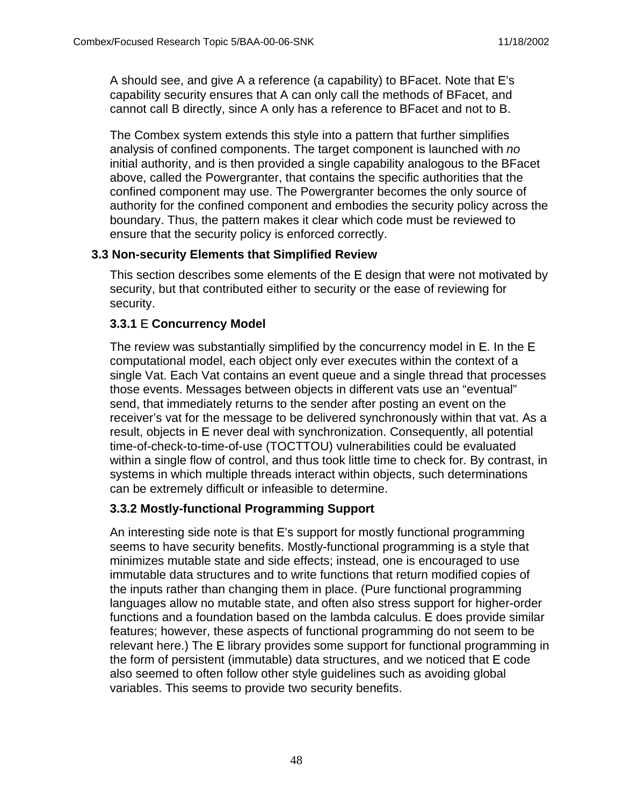A should see, and give A a reference (a capability) to BFacet. Note that E's capability security ensures that A can only call the methods of BFacet, and cannot call B directly, since A only has a reference to BFacet and not to B.

The Combex system extends this style into a pattern that further simplifies analysis of confined components. The target component is launched with no initial authority, and is then provided a single capability analogous to the BFacet above, called the Powergranter, that contains the specific authorities that the confined component may use. The Powergranter becomes the only source of authority for the confined component and embodies the security policy across the boundary. Thus, the pattern makes it clear which code must be reviewed to ensure that the security policy is enforced correctly.

### **3.3 Non-security Elements that Simplified Review**

This section describes some elements of the E design that were not motivated by security, but that contributed either to security or the ease of reviewing for security.

### **3.3.1** E **Concurrency Model**

The review was substantially simplified by the concurrency model in E. In the E computational model, each object only ever executes within the context of a single Vat. Each Vat contains an event queue and a single thread that processes those events. Messages between objects in different vats use an "eventual" send, that immediately returns to the sender after posting an event on the receiver's vat for the message to be delivered synchronously within that vat. As a result, objects in E never deal with synchronization. Consequently, all potential time-of-check-to-time-of-use (TOCTTOU) vulnerabilities could be evaluated within a single flow of control, and thus took little time to check for. By contrast, in systems in which multiple threads interact within objects, such determinations can be extremely difficult or infeasible to determine.

# **3.3.2 Mostly-functional Programming Support**

An interesting side note is that E's support for mostly functional programming seems to have security benefits. Mostly-functional programming is a style that minimizes mutable state and side effects; instead, one is encouraged to use immutable data structures and to write functions that return modified copies of the inputs rather than changing them in place. (Pure functional programming languages allow no mutable state, and often also stress support for higher-order functions and a foundation based on the lambda calculus. E does provide similar features; however, these aspects of functional programming do not seem to be relevant here.) The E library provides some support for functional programming in the form of persistent (immutable) data structures, and we noticed that E code also seemed to often follow other style guidelines such as avoiding global variables. This seems to provide two security benefits.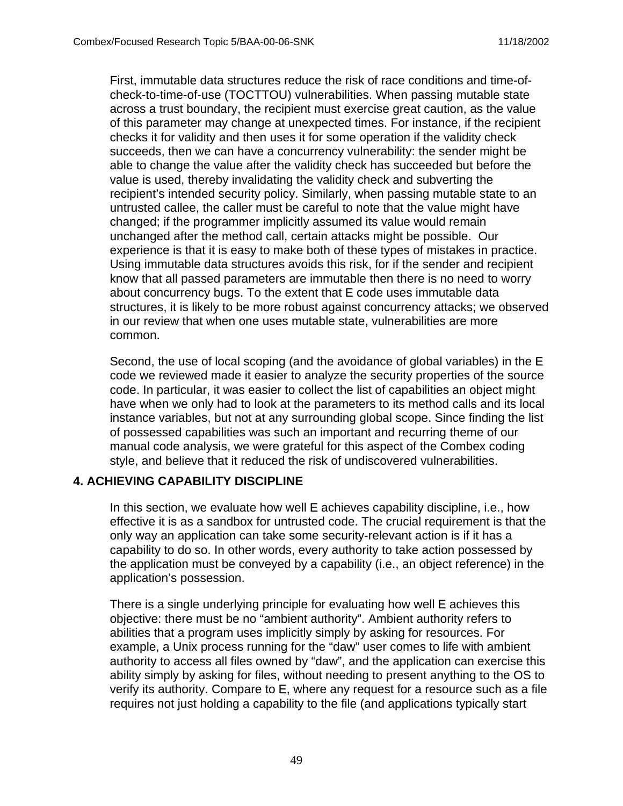First, immutable data structures reduce the risk of race conditions and time-ofcheck-to-time-of-use (TOCTTOU) vulnerabilities. When passing mutable state across a trust boundary, the recipient must exercise great caution, as the value of this parameter may change at unexpected times. For instance, if the recipient checks it for validity and then uses it for some operation if the validity check succeeds, then we can have a concurrency vulnerability: the sender might be able to change the value after the validity check has succeeded but before the value is used, thereby invalidating the validity check and subverting the recipient's intended security policy. Similarly, when passing mutable state to an untrusted callee, the caller must be careful to note that the value might have changed; if the programmer implicitly assumed its value would remain unchanged after the method call, certain attacks might be possible. Our experience is that it is easy to make both of these types of mistakes in practice. Using immutable data structures avoids this risk, for if the sender and recipient know that all passed parameters are immutable then there is no need to worry about concurrency bugs. To the extent that E code uses immutable data structures, it is likely to be more robust against concurrency attacks; we observed in our review that when one uses mutable state, vulnerabilities are more common.

Second, the use of local scoping (and the avoidance of global variables) in the E code we reviewed made it easier to analyze the security properties of the source code. In particular, it was easier to collect the list of capabilities an object might have when we only had to look at the parameters to its method calls and its local instance variables, but not at any surrounding global scope. Since finding the list of possessed capabilities was such an important and recurring theme of our manual code analysis, we were grateful for this aspect of the Combex coding style, and believe that it reduced the risk of undiscovered vulnerabilities.

#### **4. ACHIEVING CAPABILITY DISCIPLINE**

In this section, we evaluate how well E achieves capability discipline, i.e., how effective it is as a sandbox for untrusted code. The crucial requirement is that the only way an application can take some security-relevant action is if it has a capability to do so. In other words, every authority to take action possessed by the application must be conveyed by a capability (i.e., an object reference) in the application's possession.

There is a single underlying principle for evaluating how well E achieves this objective: there must be no "ambient authority". Ambient authority refers to abilities that a program uses implicitly simply by asking for resources. For example, a Unix process running for the "daw" user comes to life with ambient authority to access all files owned by "daw", and the application can exercise this ability simply by asking for files, without needing to present anything to the OS to verify its authority. Compare to E, where any request for a resource such as a file requires not just holding a capability to the file (and applications typically start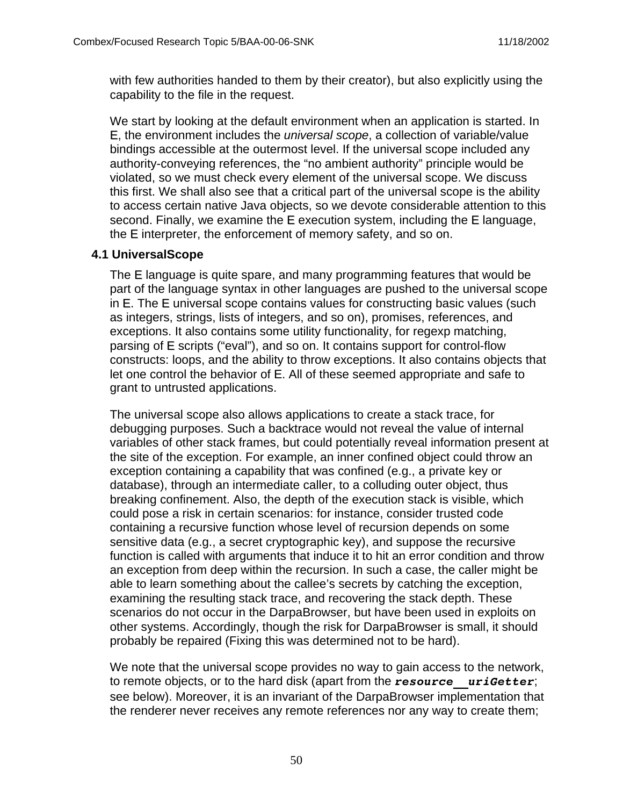with few authorities handed to them by their creator), but also explicitly using the capability to the file in the request.

We start by looking at the default environment when an application is started. In E, the environment includes the universal scope, a collection of variable/value bindings accessible at the outermost level. If the universal scope included any authority-conveying references, the "no ambient authority" principle would be violated, so we must check every element of the universal scope. We discuss this first. We shall also see that a critical part of the universal scope is the ability to access certain native Java objects, so we devote considerable attention to this second. Finally, we examine the E execution system, including the E language, the E interpreter, the enforcement of memory safety, and so on.

### **4.1 UniversalScope**

The E language is quite spare, and many programming features that would be part of the language syntax in other languages are pushed to the universal scope in E. The E universal scope contains values for constructing basic values (such as integers, strings, lists of integers, and so on), promises, references, and exceptions. It also contains some utility functionality, for regexp matching, parsing of E scripts ("eval"), and so on. It contains support for control-flow constructs: loops, and the ability to throw exceptions. It also contains objects that let one control the behavior of E. All of these seemed appropriate and safe to grant to untrusted applications.

The universal scope also allows applications to create a stack trace, for debugging purposes. Such a backtrace would not reveal the value of internal variables of other stack frames, but could potentially reveal information present at the site of the exception. For example, an inner confined object could throw an exception containing a capability that was confined (e.g., a private key or database), through an intermediate caller, to a colluding outer object, thus breaking confinement. Also, the depth of the execution stack is visible, which could pose a risk in certain scenarios: for instance, consider trusted code containing a recursive function whose level of recursion depends on some sensitive data (e.g., a secret cryptographic key), and suppose the recursive function is called with arguments that induce it to hit an error condition and throw an exception from deep within the recursion. In such a case, the caller might be able to learn something about the callee's secrets by catching the exception, examining the resulting stack trace, and recovering the stack depth. These scenarios do not occur in the DarpaBrowser, but have been used in exploits on other systems. Accordingly, though the risk for DarpaBrowser is small, it should probably be repaired (Fixing this was determined not to be hard).

We note that the universal scope provides no way to gain access to the network, to remote objects, or to the hard disk (apart from the *resource\_\_uriGetter*; see below). Moreover, it is an invariant of the DarpaBrowser implementation that the renderer never receives any remote references nor any way to create them;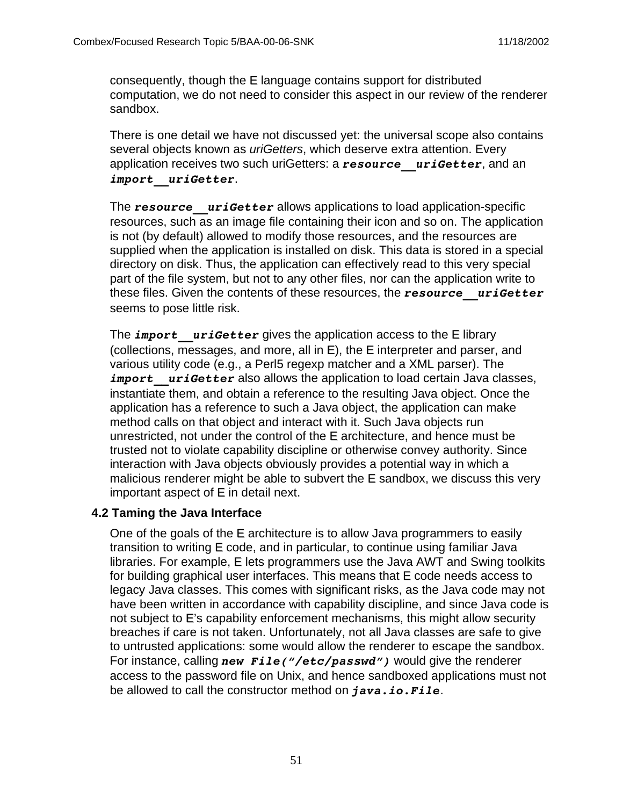consequently, though the E language contains support for distributed computation, we do not need to consider this aspect in our review of the renderer sandbox.

There is one detail we have not discussed yet: the universal scope also contains several objects known as *uriGetters*, which deserve extra attention. Every application receives two such uriGetters: a *resource\_\_uriGetter*, and an *import\_\_uriGetter*.

The **resource** uriGetter allows applications to load application-specific resources, such as an image file containing their icon and so on. The application is not (by default) allowed to modify those resources, and the resources are supplied when the application is installed on disk. This data is stored in a special directory on disk. Thus, the application can effectively read to this very special part of the file system, but not to any other files, nor can the application write to these files. Given the contents of these resources, the *resource\_\_uriGetter* seems to pose little risk.

The *import* uriGetter gives the application access to the E library (collections, messages, and more, all in E), the E interpreter and parser, and various utility code (e.g., a Perl5 regexp matcher and a XML parser). The *import* uriGetter also allows the application to load certain Java classes, instantiate them, and obtain a reference to the resulting Java object. Once the application has a reference to such a Java object, the application can make method calls on that object and interact with it. Such Java objects run unrestricted, not under the control of the E architecture, and hence must be trusted not to violate capability discipline or otherwise convey authority. Since interaction with Java objects obviously provides a potential way in which a malicious renderer might be able to subvert the E sandbox, we discuss this very important aspect of E in detail next.

#### **4.2 Taming the Java Interface**

One of the goals of the E architecture is to allow Java programmers to easily transition to writing E code, and in particular, to continue using familiar Java libraries. For example, E lets programmers use the Java AWT and Swing toolkits for building graphical user interfaces. This means that E code needs access to legacy Java classes. This comes with significant risks, as the Java code may not have been written in accordance with capability discipline, and since Java code is not subject to E's capability enforcement mechanisms, this might allow security breaches if care is not taken. Unfortunately, not all Java classes are safe to give to untrusted applications: some would allow the renderer to escape the sandbox. For instance, calling *new File("/etc/passwd")* would give the renderer access to the password file on Unix, and hence sandboxed applications must not be allowed to call the constructor method on *java.io.File*.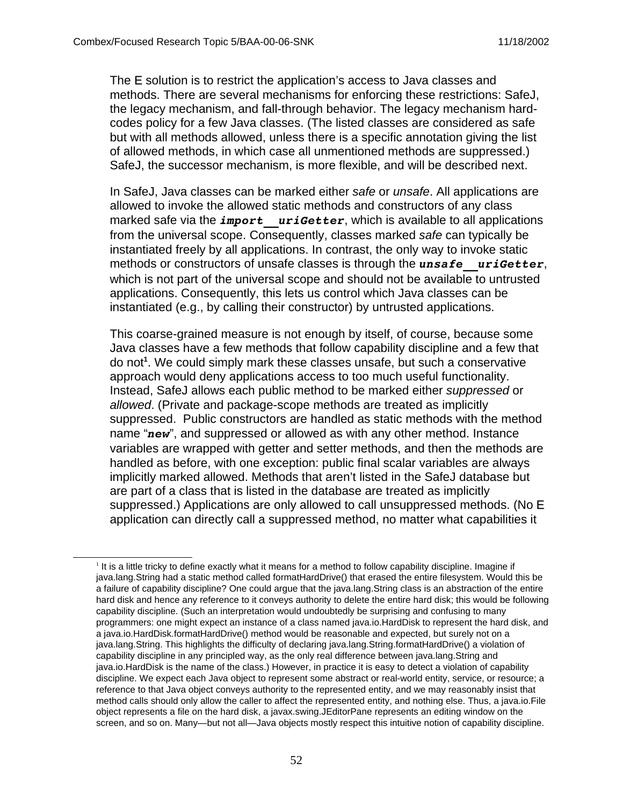The E solution is to restrict the application's access to Java classes and methods. There are several mechanisms for enforcing these restrictions: SafeJ, the legacy mechanism, and fall-through behavior. The legacy mechanism hardcodes policy for a few Java classes. (The listed classes are considered as safe but with all methods allowed, unless there is a specific annotation giving the list of allowed methods, in which case all unmentioned methods are suppressed.) SafeJ, the successor mechanism, is more flexible, and will be described next.

In SafeJ, Java classes can be marked either safe or *unsafe*. All applications are allowed to invoke the allowed static methods and constructors of any class marked safe via the *import* uriGetter, which is available to all applications from the universal scope. Consequently, classes marked safe can typically be instantiated freely by all applications. In contrast, the only way to invoke static methods or constructors of unsafe classes is through the *unsafe* uriGetter, which is not part of the universal scope and should not be available to untrusted applications. Consequently, this lets us control which Java classes can be instantiated (e.g., by calling their constructor) by untrusted applications.

This coarse-grained measure is not enough by itself, of course, because some Java classes have a few methods that follow capability discipline and a few that do not**<sup>1</sup>** . We could simply mark these classes unsafe, but such a conservative approach would deny applications access to too much useful functionality. Instead, SafeJ allows each public method to be marked either suppressed or allowed. (Private and package-scope methods are treated as implicitly suppressed. Public constructors are handled as static methods with the method name "*new*", and suppressed or allowed as with any other method. Instance variables are wrapped with getter and setter methods, and then the methods are handled as before, with one exception: public final scalar variables are always implicitly marked allowed. Methods that aren't listed in the SafeJ database but are part of a class that is listed in the database are treated as implicitly suppressed.) Applications are only allowed to call unsuppressed methods. (No E application can directly call a suppressed method, no matter what capabilities it

<sup>&</sup>lt;sup>1</sup> It is a little tricky to define exactly what it means for a method to follow capability discipline. Imagine if java.lang.String had a static method called formatHardDrive() that erased the entire filesystem. Would this be a failure of capability discipline? One could argue that the java.lang.String class is an abstraction of the entire hard disk and hence any reference to it conveys authority to delete the entire hard disk; this would be following capability discipline. (Such an interpretation would undoubtedly be surprising and confusing to many programmers: one might expect an instance of a class named java.io.HardDisk to represent the hard disk, and a java.io.HardDisk.formatHardDrive() method would be reasonable and expected, but surely not on a java.lang.String. This highlights the difficulty of declaring java.lang.String.formatHardDrive() a violation of capability discipline in any principled way, as the only real difference between java.lang.String and java.io.HardDisk is the name of the class.) However, in practice it is easy to detect a violation of capability discipline. We expect each Java object to represent some abstract or real-world entity, service, or resource; a reference to that Java object conveys authority to the represented entity, and we may reasonably insist that method calls should only allow the caller to affect the represented entity, and nothing else. Thus, a java.io.File object represents a file on the hard disk, a javax.swing.JEditorPane represents an editing window on the screen, and so on. Many—but not all—Java objects mostly respect this intuitive notion of capability discipline.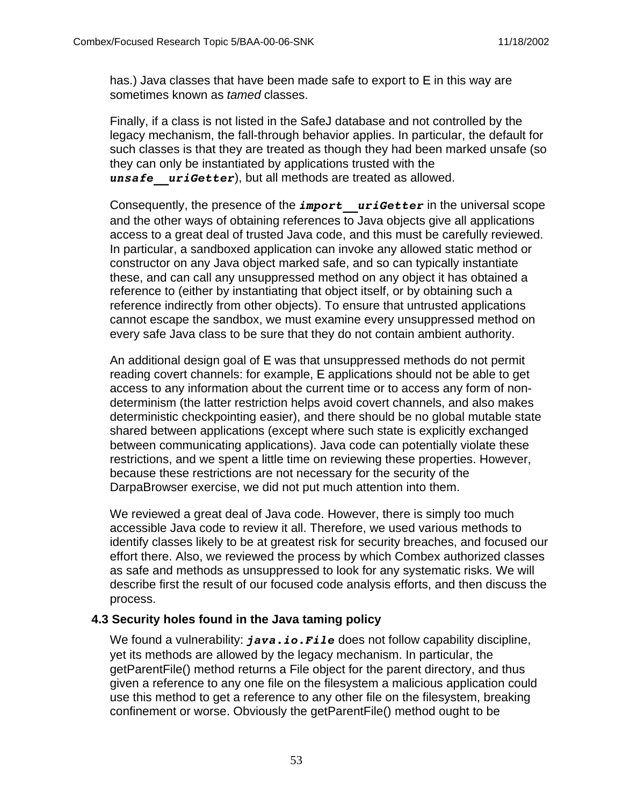has.) Java classes that have been made safe to export to E in this way are sometimes known as tamed classes.

Finally, if a class is not listed in the SafeJ database and not controlled by the legacy mechanism, the fall-through behavior applies. In particular, the default for such classes is that they are treated as though they had been marked unsafe (so they can only be instantiated by applications trusted with the *unsafe\_\_uriGetter*), but all methods are treated as allowed.

Consequently, the presence of the *import* uriGetter in the universal scope and the other ways of obtaining references to Java objects give all applications access to a great deal of trusted Java code, and this must be carefully reviewed. In particular, a sandboxed application can invoke any allowed static method or constructor on any Java object marked safe, and so can typically instantiate these, and can call any unsuppressed method on any object it has obtained a reference to (either by instantiating that object itself, or by obtaining such a reference indirectly from other objects). To ensure that untrusted applications cannot escape the sandbox, we must examine every unsuppressed method on every safe Java class to be sure that they do not contain ambient authority.

An additional design goal of E was that unsuppressed methods do not permit reading covert channels: for example, E applications should not be able to get access to any information about the current time or to access any form of nondeterminism (the latter restriction helps avoid covert channels, and also makes deterministic checkpointing easier), and there should be no global mutable state shared between applications (except where such state is explicitly exchanged between communicating applications). Java code can potentially violate these restrictions, and we spent a little time on reviewing these properties. However, because these restrictions are not necessary for the security of the DarpaBrowser exercise, we did not put much attention into them.

We reviewed a great deal of Java code. However, there is simply too much accessible Java code to review it all. Therefore, we used various methods to identify classes likely to be at greatest risk for security breaches, and focused our effort there. Also, we reviewed the process by which Combex authorized classes as safe and methods as unsuppressed to look for any systematic risks. We will describe first the result of our focused code analysis efforts, and then discuss the process.

#### **4.3 Security holes found in the Java taming policy**

We found a vulnerability: *java.io.File* does not follow capability discipline, yet its methods are allowed by the legacy mechanism. In particular, the getParentFile() method returns a File object for the parent directory, and thus given a reference to any one file on the filesystem a malicious application could use this method to get a reference to any other file on the filesystem, breaking confinement or worse. Obviously the getParentFile() method ought to be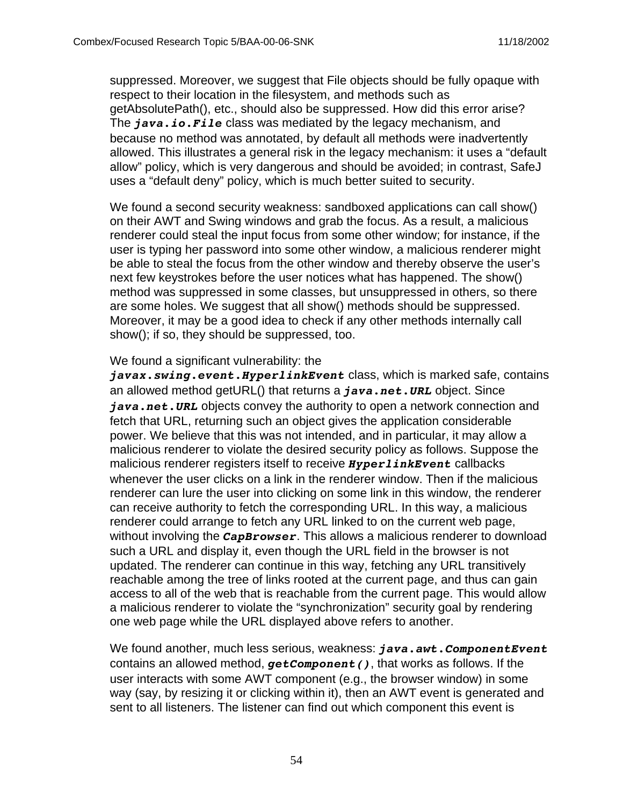suppressed. Moreover, we suggest that File objects should be fully opaque with respect to their location in the filesystem, and methods such as getAbsolutePath(), etc., should also be suppressed. How did this error arise? The *java.io.File* class was mediated by the legacy mechanism, and because no method was annotated, by default all methods were inadvertently allowed. This illustrates a general risk in the legacy mechanism: it uses a "default allow" policy, which is very dangerous and should be avoided; in contrast, SafeJ uses a "default deny" policy, which is much better suited to security.

We found a second security weakness: sandboxed applications can call show() on their AWT and Swing windows and grab the focus. As a result, a malicious renderer could steal the input focus from some other window; for instance, if the user is typing her password into some other window, a malicious renderer might be able to steal the focus from the other window and thereby observe the user's next few keystrokes before the user notices what has happened. The show() method was suppressed in some classes, but unsuppressed in others, so there are some holes. We suggest that all show() methods should be suppressed. Moreover, it may be a good idea to check if any other methods internally call show(); if so, they should be suppressed, too.

#### We found a significant vulnerability: the

*javax.swing.event.HyperlinkEvent* class, which is marked safe, contains an allowed method getURL() that returns a *java.net.URL* object. Since *java.net.URL* objects convey the authority to open a network connection and fetch that URL, returning such an object gives the application considerable power. We believe that this was not intended, and in particular, it may allow a malicious renderer to violate the desired security policy as follows. Suppose the malicious renderer registers itself to receive *HyperlinkEvent* callbacks whenever the user clicks on a link in the renderer window. Then if the malicious renderer can lure the user into clicking on some link in this window, the renderer can receive authority to fetch the corresponding URL. In this way, a malicious renderer could arrange to fetch any URL linked to on the current web page, without involving the *CapBrowser*. This allows a malicious renderer to download such a URL and display it, even though the URL field in the browser is not updated. The renderer can continue in this way, fetching any URL transitively reachable among the tree of links rooted at the current page, and thus can gain access to all of the web that is reachable from the current page. This would allow a malicious renderer to violate the "synchronization" security goal by rendering one web page while the URL displayed above refers to another.

We found another, much less serious, weakness: *java.awt.ComponentEvent* contains an allowed method, *getComponent()*, that works as follows. If the user interacts with some AWT component (e.g., the browser window) in some way (say, by resizing it or clicking within it), then an AWT event is generated and sent to all listeners. The listener can find out which component this event is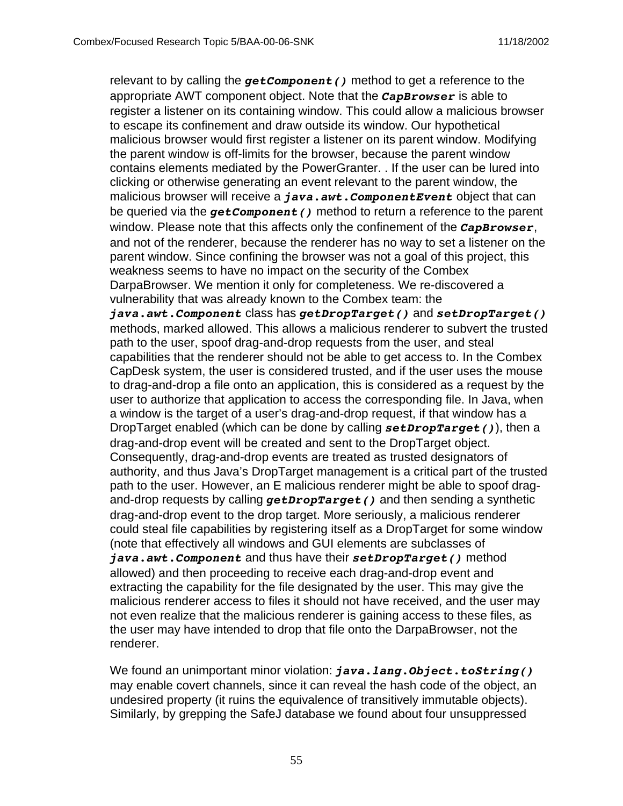relevant to by calling the *getComponent()* method to get a reference to the appropriate AWT component object. Note that the *CapBrowser* is able to register a listener on its containing window. This could allow a malicious browser to escape its confinement and draw outside its window. Our hypothetical malicious browser would first register a listener on its parent window. Modifying the parent window is off-limits for the browser, because the parent window contains elements mediated by the PowerGranter. . If the user can be lured into clicking or otherwise generating an event relevant to the parent window, the malicious browser will receive a *java.awt.ComponentEvent* object that can be queried via the *getComponent()* method to return a reference to the parent window. Please note that this affects only the confinement of the *CapBrowser*, and not of the renderer, because the renderer has no way to set a listener on the parent window. Since confining the browser was not a goal of this project, this weakness seems to have no impact on the security of the Combex DarpaBrowser. We mention it only for completeness. We re-discovered a vulnerability that was already known to the Combex team: the *java.awt.Component* class has *getDropTarget()* and *setDropTarget()* methods, marked allowed. This allows a malicious renderer to subvert the trusted path to the user, spoof drag-and-drop requests from the user, and steal capabilities that the renderer should not be able to get access to. In the Combex CapDesk system, the user is considered trusted, and if the user uses the mouse to drag-and-drop a file onto an application, this is considered as a request by the user to authorize that application to access the corresponding file. In Java, when a window is the target of a user's drag-and-drop request, if that window has a DropTarget enabled (which can be done by calling *setDropTarget()*), then a drag-and-drop event will be created and sent to the DropTarget object. Consequently, drag-and-drop events are treated as trusted designators of authority, and thus Java's DropTarget management is a critical part of the trusted path to the user. However, an E malicious renderer might be able to spoof dragand-drop requests by calling *getDropTarget()* and then sending a synthetic drag-and-drop event to the drop target. More seriously, a malicious renderer could steal file capabilities by registering itself as a DropTarget for some window (note that effectively all windows and GUI elements are subclasses of *java.awt.Component* and thus have their *setDropTarget()* method allowed) and then proceeding to receive each drag-and-drop event and extracting the capability for the file designated by the user. This may give the malicious renderer access to files it should not have received, and the user may not even realize that the malicious renderer is gaining access to these files, as the user may have intended to drop that file onto the DarpaBrowser, not the renderer.

We found an unimportant minor violation: *java.lang.Object.toString()* may enable covert channels, since it can reveal the hash code of the object, an undesired property (it ruins the equivalence of transitively immutable objects). Similarly, by grepping the SafeJ database we found about four unsuppressed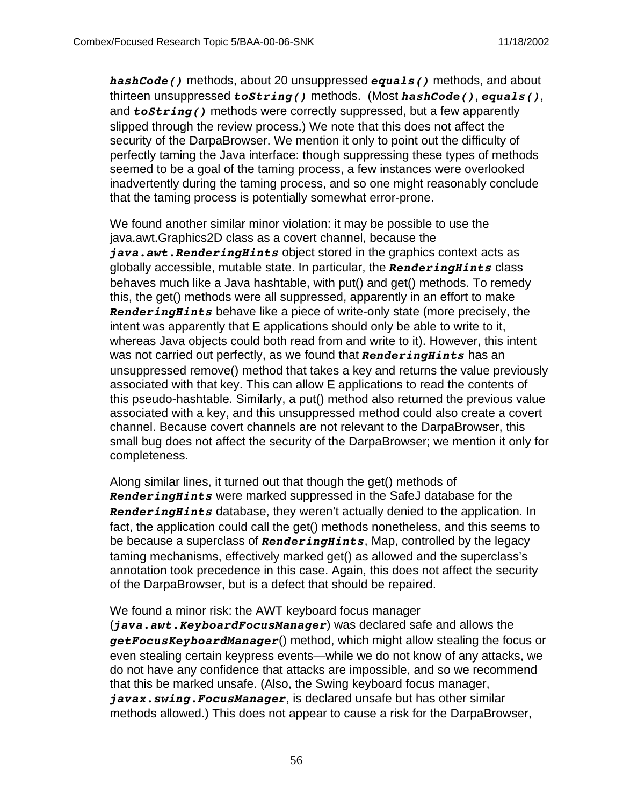*hashCode()* methods, about 20 unsuppressed *equals()* methods, and about thirteen unsuppressed *toString()* methods. (Most *hashCode()*, *equals()*, and *toString()* methods were correctly suppressed, but a few apparently slipped through the review process.) We note that this does not affect the security of the DarpaBrowser. We mention it only to point out the difficulty of perfectly taming the Java interface: though suppressing these types of methods seemed to be a goal of the taming process, a few instances were overlooked inadvertently during the taming process, and so one might reasonably conclude that the taming process is potentially somewhat error-prone.

We found another similar minor violation: it may be possible to use the java.awt.Graphics2D class as a covert channel, because the *java.awt.RenderingHints* object stored in the graphics context acts as globally accessible, mutable state. In particular, the *RenderingHints* class behaves much like a Java hashtable, with put() and get() methods. To remedy this, the get() methods were all suppressed, apparently in an effort to make *RenderingHints* behave like a piece of write-only state (more precisely, the intent was apparently that E applications should only be able to write to it, whereas Java objects could both read from and write to it). However, this intent was not carried out perfectly, as we found that *RenderingHints* has an unsuppressed remove() method that takes a key and returns the value previously associated with that key. This can allow E applications to read the contents of this pseudo-hashtable. Similarly, a put() method also returned the previous value associated with a key, and this unsuppressed method could also create a covert channel. Because covert channels are not relevant to the DarpaBrowser, this small bug does not affect the security of the DarpaBrowser; we mention it only for completeness.

Along similar lines, it turned out that though the get() methods of *RenderingHints* were marked suppressed in the SafeJ database for the *RenderingHints* database, they weren't actually denied to the application. In fact, the application could call the get() methods nonetheless, and this seems to be because a superclass of *RenderingHints*, Map, controlled by the legacy taming mechanisms, effectively marked get() as allowed and the superclass's annotation took precedence in this case. Again, this does not affect the security of the DarpaBrowser, but is a defect that should be repaired.

We found a minor risk: the AWT keyboard focus manager

(*java.awt.KeyboardFocusManager*) was declared safe and allows the *getFocusKeyboardManager*() method, which might allow stealing the focus or even stealing certain keypress events—while we do not know of any attacks, we do not have any confidence that attacks are impossible, and so we recommend that this be marked unsafe. (Also, the Swing keyboard focus manager, *javax.swing.FocusManager*, is declared unsafe but has other similar methods allowed.) This does not appear to cause a risk for the DarpaBrowser,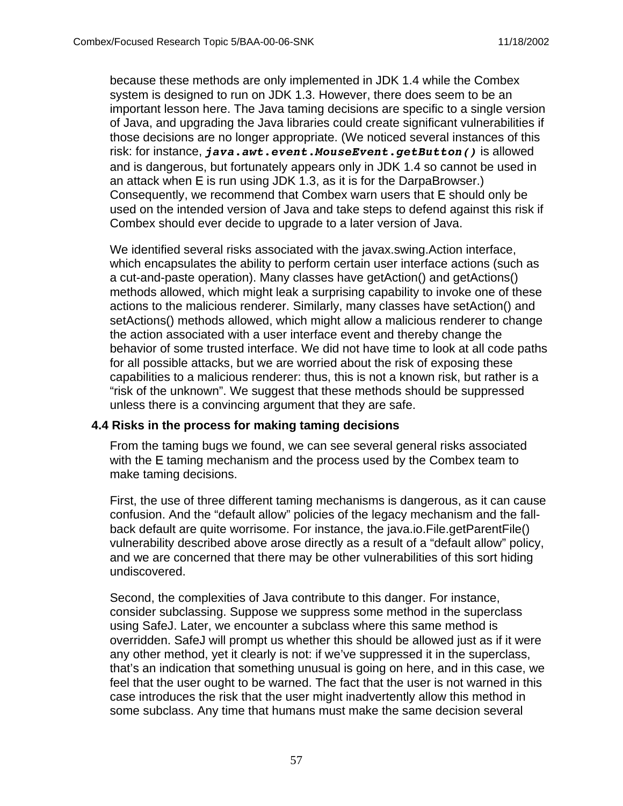because these methods are only implemented in JDK 1.4 while the Combex system is designed to run on JDK 1.3. However, there does seem to be an important lesson here. The Java taming decisions are specific to a single version of Java, and upgrading the Java libraries could create significant vulnerabilities if those decisions are no longer appropriate. (We noticed several instances of this risk: for instance, *java.awt.event.MouseEvent.getButton()* is allowed and is dangerous, but fortunately appears only in JDK 1.4 so cannot be used in an attack when E is run using JDK 1.3, as it is for the DarpaBrowser.) Consequently, we recommend that Combex warn users that E should only be used on the intended version of Java and take steps to defend against this risk if Combex should ever decide to upgrade to a later version of Java.

We identified several risks associated with the javax.swing.Action interface, which encapsulates the ability to perform certain user interface actions (such as a cut-and-paste operation). Many classes have getAction() and getActions() methods allowed, which might leak a surprising capability to invoke one of these actions to the malicious renderer. Similarly, many classes have setAction() and setActions() methods allowed, which might allow a malicious renderer to change the action associated with a user interface event and thereby change the behavior of some trusted interface. We did not have time to look at all code paths for all possible attacks, but we are worried about the risk of exposing these capabilities to a malicious renderer: thus, this is not a known risk, but rather is a "risk of the unknown". We suggest that these methods should be suppressed unless there is a convincing argument that they are safe.

#### **4.4 Risks in the process for making taming decisions**

From the taming bugs we found, we can see several general risks associated with the E taming mechanism and the process used by the Combex team to make taming decisions.

First, the use of three different taming mechanisms is dangerous, as it can cause confusion. And the "default allow" policies of the legacy mechanism and the fallback default are quite worrisome. For instance, the java.io.File.getParentFile() vulnerability described above arose directly as a result of a "default allow" policy, and we are concerned that there may be other vulnerabilities of this sort hiding undiscovered.

Second, the complexities of Java contribute to this danger. For instance, consider subclassing. Suppose we suppress some method in the superclass using SafeJ. Later, we encounter a subclass where this same method is overridden. SafeJ will prompt us whether this should be allowed just as if it were any other method, yet it clearly is not: if we've suppressed it in the superclass, that's an indication that something unusual is going on here, and in this case, we feel that the user ought to be warned. The fact that the user is not warned in this case introduces the risk that the user might inadvertently allow this method in some subclass. Any time that humans must make the same decision several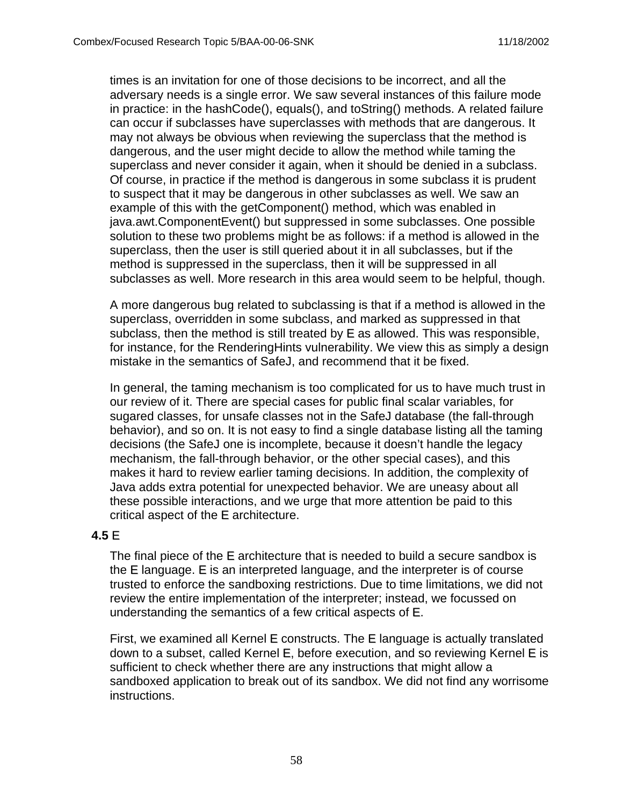times is an invitation for one of those decisions to be incorrect, and all the adversary needs is a single error. We saw several instances of this failure mode in practice: in the hashCode(), equals(), and toString() methods. A related failure can occur if subclasses have superclasses with methods that are dangerous. It may not always be obvious when reviewing the superclass that the method is dangerous, and the user might decide to allow the method while taming the superclass and never consider it again, when it should be denied in a subclass. Of course, in practice if the method is dangerous in some subclass it is prudent to suspect that it may be dangerous in other subclasses as well. We saw an example of this with the getComponent() method, which was enabled in java.awt.ComponentEvent() but suppressed in some subclasses. One possible solution to these two problems might be as follows: if a method is allowed in the superclass, then the user is still queried about it in all subclasses, but if the method is suppressed in the superclass, then it will be suppressed in all subclasses as well. More research in this area would seem to be helpful, though.

A more dangerous bug related to subclassing is that if a method is allowed in the superclass, overridden in some subclass, and marked as suppressed in that subclass, then the method is still treated by E as allowed. This was responsible, for instance, for the RenderingHints vulnerability. We view this as simply a design mistake in the semantics of SafeJ, and recommend that it be fixed.

In general, the taming mechanism is too complicated for us to have much trust in our review of it. There are special cases for public final scalar variables, for sugared classes, for unsafe classes not in the SafeJ database (the fall-through behavior), and so on. It is not easy to find a single database listing all the taming decisions (the SafeJ one is incomplete, because it doesn't handle the legacy mechanism, the fall-through behavior, or the other special cases), and this makes it hard to review earlier taming decisions. In addition, the complexity of Java adds extra potential for unexpected behavior. We are uneasy about all these possible interactions, and we urge that more attention be paid to this critical aspect of the E architecture.

#### **4.5** E

The final piece of the E architecture that is needed to build a secure sandbox is the E language. E is an interpreted language, and the interpreter is of course trusted to enforce the sandboxing restrictions. Due to time limitations, we did not review the entire implementation of the interpreter; instead, we focussed on understanding the semantics of a few critical aspects of E.

First, we examined all Kernel E constructs. The E language is actually translated down to a subset, called Kernel E, before execution, and so reviewing Kernel E is sufficient to check whether there are any instructions that might allow a sandboxed application to break out of its sandbox. We did not find any worrisome instructions.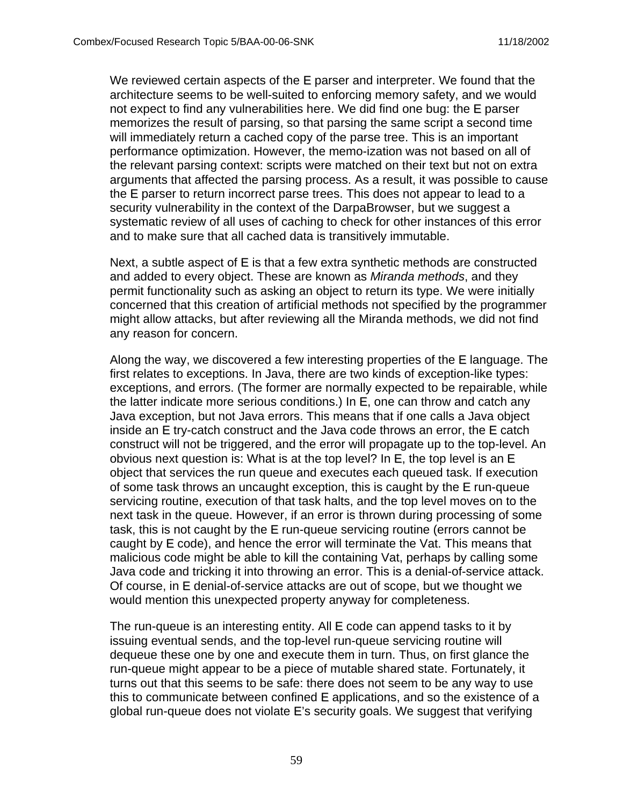We reviewed certain aspects of the E parser and interpreter. We found that the architecture seems to be well-suited to enforcing memory safety, and we would not expect to find any vulnerabilities here. We did find one bug: the E parser memorizes the result of parsing, so that parsing the same script a second time will immediately return a cached copy of the parse tree. This is an important performance optimization. However, the memo-ization was not based on all of the relevant parsing context: scripts were matched on their text but not on extra arguments that affected the parsing process. As a result, it was possible to cause the E parser to return incorrect parse trees. This does not appear to lead to a security vulnerability in the context of the DarpaBrowser, but we suggest a systematic review of all uses of caching to check for other instances of this error and to make sure that all cached data is transitively immutable.

Next, a subtle aspect of E is that a few extra synthetic methods are constructed and added to every object. These are known as Miranda methods, and they permit functionality such as asking an object to return its type. We were initially concerned that this creation of artificial methods not specified by the programmer might allow attacks, but after reviewing all the Miranda methods, we did not find any reason for concern.

Along the way, we discovered a few interesting properties of the E language. The first relates to exceptions. In Java, there are two kinds of exception-like types: exceptions, and errors. (The former are normally expected to be repairable, while the latter indicate more serious conditions.) In E, one can throw and catch any Java exception, but not Java errors. This means that if one calls a Java object inside an E try-catch construct and the Java code throws an error, the E catch construct will not be triggered, and the error will propagate up to the top-level. An obvious next question is: What is at the top level? In E, the top level is an E object that services the run queue and executes each queued task. If execution of some task throws an uncaught exception, this is caught by the E run-queue servicing routine, execution of that task halts, and the top level moves on to the next task in the queue. However, if an error is thrown during processing of some task, this is not caught by the E run-queue servicing routine (errors cannot be caught by E code), and hence the error will terminate the Vat. This means that malicious code might be able to kill the containing Vat, perhaps by calling some Java code and tricking it into throwing an error. This is a denial-of-service attack. Of course, in E denial-of-service attacks are out of scope, but we thought we would mention this unexpected property anyway for completeness.

The run-queue is an interesting entity. All E code can append tasks to it by issuing eventual sends, and the top-level run-queue servicing routine will dequeue these one by one and execute them in turn. Thus, on first glance the run-queue might appear to be a piece of mutable shared state. Fortunately, it turns out that this seems to be safe: there does not seem to be any way to use this to communicate between confined E applications, and so the existence of a global run-queue does not violate E's security goals. We suggest that verifying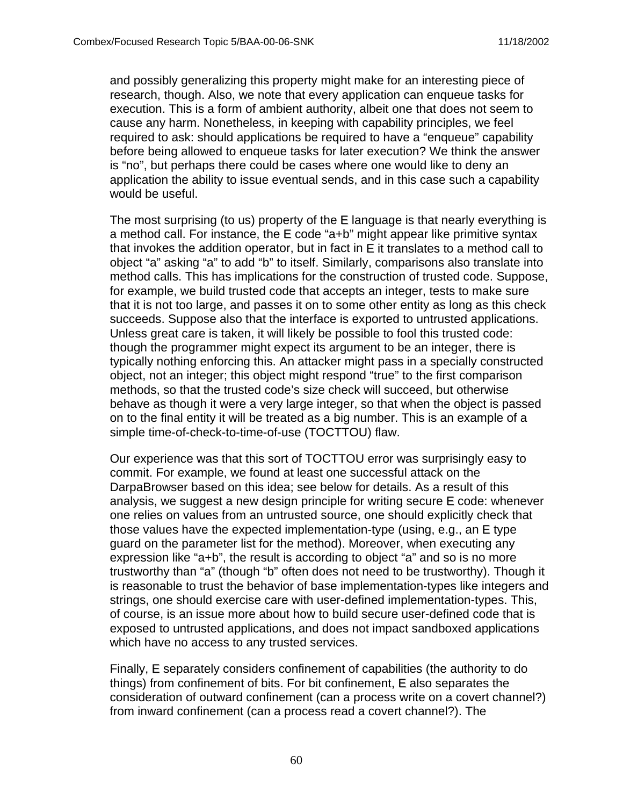and possibly generalizing this property might make for an interesting piece of research, though. Also, we note that every application can enqueue tasks for execution. This is a form of ambient authority, albeit one that does not seem to cause any harm. Nonetheless, in keeping with capability principles, we feel required to ask: should applications be required to have a "enqueue" capability before being allowed to enqueue tasks for later execution? We think the answer is "no", but perhaps there could be cases where one would like to deny an application the ability to issue eventual sends, and in this case such a capability would be useful.

The most surprising (to us) property of the E language is that nearly everything is a method call. For instance, the E code "a+b" might appear like primitive syntax that invokes the addition operator, but in fact in E it translates to a method call to object "a" asking "a" to add "b" to itself. Similarly, comparisons also translate into method calls. This has implications for the construction of trusted code. Suppose, for example, we build trusted code that accepts an integer, tests to make sure that it is not too large, and passes it on to some other entity as long as this check succeeds. Suppose also that the interface is exported to untrusted applications. Unless great care is taken, it will likely be possible to fool this trusted code: though the programmer might expect its argument to be an integer, there is typically nothing enforcing this. An attacker might pass in a specially constructed object, not an integer; this object might respond "true" to the first comparison methods, so that the trusted code's size check will succeed, but otherwise behave as though it were a very large integer, so that when the object is passed on to the final entity it will be treated as a big number. This is an example of a simple time-of-check-to-time-of-use (TOCTTOU) flaw.

Our experience was that this sort of TOCTTOU error was surprisingly easy to commit. For example, we found at least one successful attack on the DarpaBrowser based on this idea; see below for details. As a result of this analysis, we suggest a new design principle for writing secure E code: whenever one relies on values from an untrusted source, one should explicitly check that those values have the expected implementation-type (using, e.g., an E type guard on the parameter list for the method). Moreover, when executing any expression like "a+b", the result is according to object "a" and so is no more trustworthy than "a" (though "b" often does not need to be trustworthy). Though it is reasonable to trust the behavior of base implementation-types like integers and strings, one should exercise care with user-defined implementation-types. This, of course, is an issue more about how to build secure user-defined code that is exposed to untrusted applications, and does not impact sandboxed applications which have no access to any trusted services.

Finally, E separately considers confinement of capabilities (the authority to do things) from confinement of bits. For bit confinement, E also separates the consideration of outward confinement (can a process write on a covert channel?) from inward confinement (can a process read a covert channel?). The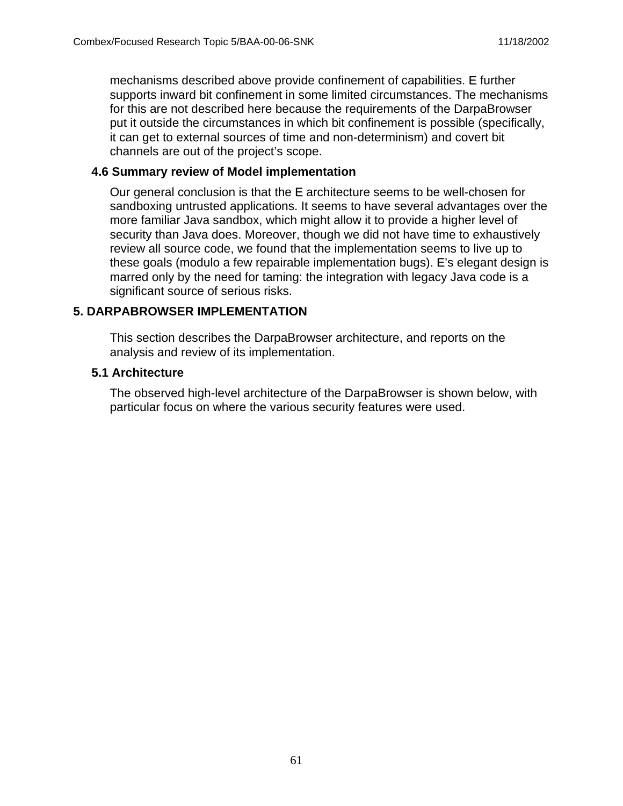mechanisms described above provide confinement of capabilities. E further supports inward bit confinement in some limited circumstances. The mechanisms for this are not described here because the requirements of the DarpaBrowser put it outside the circumstances in which bit confinement is possible (specifically, it can get to external sources of time and non-determinism) and covert bit channels are out of the project's scope.

#### **4.6 Summary review of Model implementation**

Our general conclusion is that the E architecture seems to be well-chosen for sandboxing untrusted applications. It seems to have several advantages over the more familiar Java sandbox, which might allow it to provide a higher level of security than Java does. Moreover, though we did not have time to exhaustively review all source code, we found that the implementation seems to live up to these goals (modulo a few repairable implementation bugs). E's elegant design is marred only by the need for taming: the integration with legacy Java code is a significant source of serious risks.

# **5. DARPABROWSER IMPLEMENTATION**

This section describes the DarpaBrowser architecture, and reports on the analysis and review of its implementation.

#### **5.1 Architecture**

The observed high-level architecture of the DarpaBrowser is shown below, with particular focus on where the various security features were used.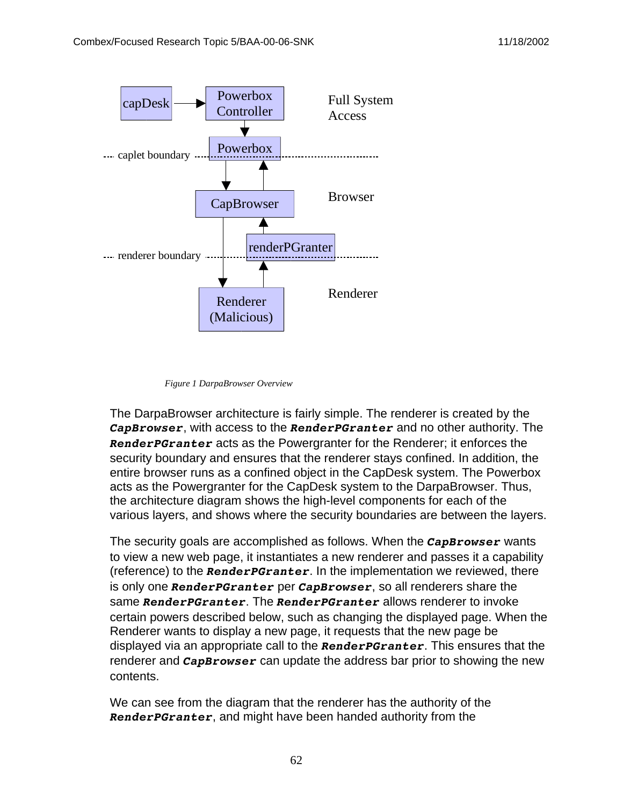

*Figure 1 DarpaBrowser Overview*

The DarpaBrowser architecture is fairly simple. The renderer is created by the *CapBrowser*, with access to the *RenderPGranter* and no other authority. The *RenderPGranter* acts as the Powergranter for the Renderer; it enforces the security boundary and ensures that the renderer stays confined. In addition, the entire browser runs as a confined object in the CapDesk system. The Powerbox acts as the Powergranter for the CapDesk system to the DarpaBrowser. Thus, the architecture diagram shows the high-level components for each of the various layers, and shows where the security boundaries are between the layers.

The security goals are accomplished as follows. When the *CapBrowser* wants to view a new web page, it instantiates a new renderer and passes it a capability (reference) to the *RenderPGranter*. In the implementation we reviewed, there is only one *RenderPGranter* per *CapBrowser*, so all renderers share the same *RenderPGranter*. The *RenderPGranter* allows renderer to invoke certain powers described below, such as changing the displayed page. When the Renderer wants to display a new page, it requests that the new page be displayed via an appropriate call to the *RenderPGranter*. This ensures that the renderer and *CapBrowser* can update the address bar prior to showing the new contents.

We can see from the diagram that the renderer has the authority of the *RenderPGranter*, and might have been handed authority from the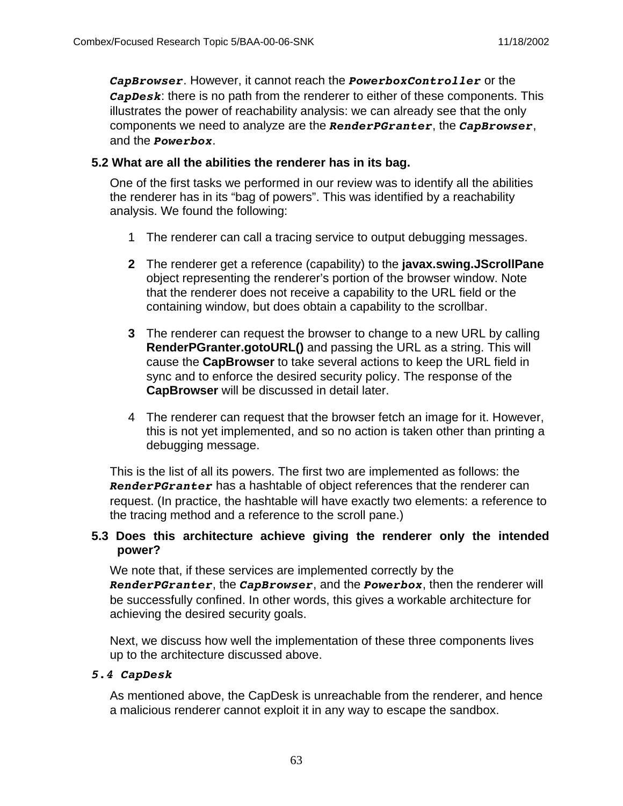*CapBrowser*. However, it cannot reach the *PowerboxController* or the *CapDesk*: there is no path from the renderer to either of these components. This illustrates the power of reachability analysis: we can already see that the only components we need to analyze are the *RenderPGranter*, the *CapBrowser*, and the *Powerbox*.

#### **5.2 What are all the abilities the renderer has in its bag.**

One of the first tasks we performed in our review was to identify all the abilities the renderer has in its "bag of powers". This was identified by a reachability analysis. We found the following:

- 1 The renderer can call a tracing service to output debugging messages.
- **2** The renderer get a reference (capability) to the **javax.swing.JScrollPane** object representing the renderer's portion of the browser window. Note that the renderer does not receive a capability to the URL field or the containing window, but does obtain a capability to the scrollbar.
- **3** The renderer can request the browser to change to a new URL by calling **RenderPGranter.gotoURL()** and passing the URL as a string. This will cause the **CapBrowser** to take several actions to keep the URL field in sync and to enforce the desired security policy. The response of the **CapBrowser** will be discussed in detail later.
- 4 The renderer can request that the browser fetch an image for it. However, this is not yet implemented, and so no action is taken other than printing a debugging message.

This is the list of all its powers. The first two are implemented as follows: the *RenderPGranter* has a hashtable of object references that the renderer can request. (In practice, the hashtable will have exactly two elements: a reference to the tracing method and a reference to the scroll pane.)

### **5.3 Does this architecture achieve giving the renderer only the intended power?**

We note that, if these services are implemented correctly by the *RenderPGranter*, the *CapBrowser*, and the *Powerbox*, then the renderer will be successfully confined. In other words, this gives a workable architecture for achieving the desired security goals.

Next, we discuss how well the implementation of these three components lives up to the architecture discussed above.

#### *5.4 CapDesk*

As mentioned above, the CapDesk is unreachable from the renderer, and hence a malicious renderer cannot exploit it in any way to escape the sandbox.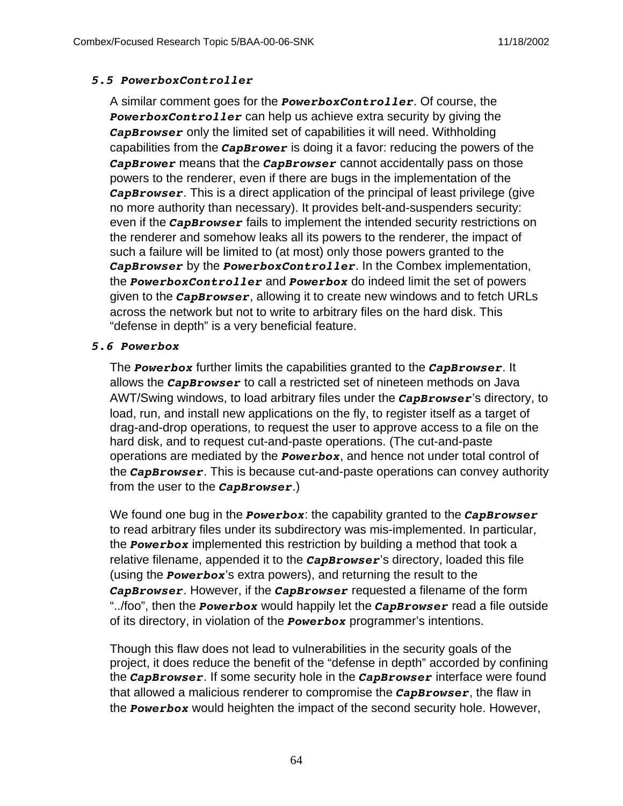#### *5.5 PowerboxController*

A similar comment goes for the *PowerboxController*. Of course, the *PowerboxController* can help us achieve extra security by giving the *CapBrowser* only the limited set of capabilities it will need. Withholding capabilities from the *CapBrower* is doing it a favor: reducing the powers of the *CapBrower* means that the *CapBrowser* cannot accidentally pass on those powers to the renderer, even if there are bugs in the implementation of the *CapBrowser*. This is a direct application of the principal of least privilege (give no more authority than necessary). It provides belt-and-suspenders security: even if the *CapBrowser* fails to implement the intended security restrictions on the renderer and somehow leaks all its powers to the renderer, the impact of such a failure will be limited to (at most) only those powers granted to the *CapBrowser* by the *PowerboxController*. In the Combex implementation, the *PowerboxController* and *Powerbox* do indeed limit the set of powers given to the *CapBrowser*, allowing it to create new windows and to fetch URLs across the network but not to write to arbitrary files on the hard disk. This "defense in depth" is a very beneficial feature.

#### *5.6 Powerbox*

The *Powerbox* further limits the capabilities granted to the *CapBrowser*. It allows the *CapBrowser* to call a restricted set of nineteen methods on Java AWT/Swing windows, to load arbitrary files under the *CapBrowser*'s directory, to load, run, and install new applications on the fly, to register itself as a target of drag-and-drop operations, to request the user to approve access to a file on the hard disk, and to request cut-and-paste operations. (The cut-and-paste operations are mediated by the *Powerbox*, and hence not under total control of the *CapBrowser*. This is because cut-and-paste operations can convey authority from the user to the *CapBrowser*.)

We found one bug in the *Powerbox*: the capability granted to the *CapBrowser* to read arbitrary files under its subdirectory was mis-implemented. In particular, the *Powerbox* implemented this restriction by building a method that took a relative filename, appended it to the *CapBrowser*'s directory, loaded this file (using the *Powerbox*'s extra powers), and returning the result to the *CapBrowser*. However, if the *CapBrowser* requested a filename of the form "../foo", then the *Powerbox* would happily let the *CapBrowser* read a file outside of its directory, in violation of the *Powerbox* programmer's intentions.

Though this flaw does not lead to vulnerabilities in the security goals of the project, it does reduce the benefit of the "defense in depth" accorded by confining the *CapBrowser*. If some security hole in the *CapBrowser* interface were found that allowed a malicious renderer to compromise the *CapBrowser*, the flaw in the *Powerbox* would heighten the impact of the second security hole. However,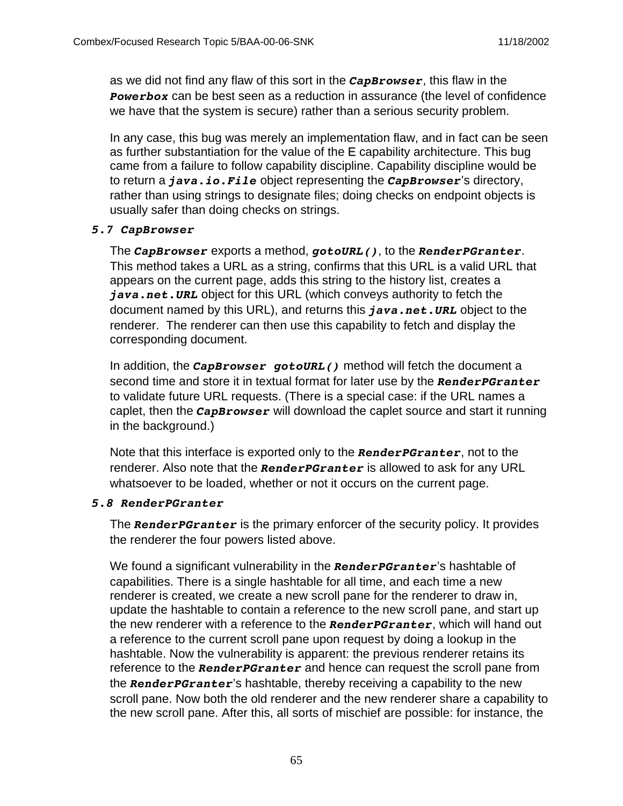as we did not find any flaw of this sort in the *CapBrowser*, this flaw in the **Powerbox** can be best seen as a reduction in assurance (the level of confidence we have that the system is secure) rather than a serious security problem.

In any case, this bug was merely an implementation flaw, and in fact can be seen as further substantiation for the value of the E capability architecture. This bug came from a failure to follow capability discipline. Capability discipline would be to return a *java.io.File* object representing the *CapBrowser*'s directory, rather than using strings to designate files; doing checks on endpoint objects is usually safer than doing checks on strings.

#### *5.7 CapBrowser*

The *CapBrowser* exports a method, *gotoURL()*, to the *RenderPGranter*. This method takes a URL as a string, confirms that this URL is a valid URL that appears on the current page, adds this string to the history list, creates a *java.net.URL* object for this URL (which conveys authority to fetch the document named by this URL), and returns this *java.net.URL* object to the renderer. The renderer can then use this capability to fetch and display the corresponding document.

In addition, the *CapBrowser gotoURL()* method will fetch the document a second time and store it in textual format for later use by the *RenderPGranter* to validate future URL requests. (There is a special case: if the URL names a caplet, then the *CapBrowser* will download the caplet source and start it running in the background.)

Note that this interface is exported only to the *RenderPGranter*, not to the renderer. Also note that the *RenderPGranter* is allowed to ask for any URL whatsoever to be loaded, whether or not it occurs on the current page.

#### *5.8 RenderPGranter*

The *RenderPGranter* is the primary enforcer of the security policy. It provides the renderer the four powers listed above.

We found a significant vulnerability in the *RenderPGranter*'s hashtable of capabilities. There is a single hashtable for all time, and each time a new renderer is created, we create a new scroll pane for the renderer to draw in, update the hashtable to contain a reference to the new scroll pane, and start up the new renderer with a reference to the *RenderPGranter*, which will hand out a reference to the current scroll pane upon request by doing a lookup in the hashtable. Now the vulnerability is apparent: the previous renderer retains its reference to the *RenderPGranter* and hence can request the scroll pane from the *RenderPGranter*'s hashtable, thereby receiving a capability to the new scroll pane. Now both the old renderer and the new renderer share a capability to the new scroll pane. After this, all sorts of mischief are possible: for instance, the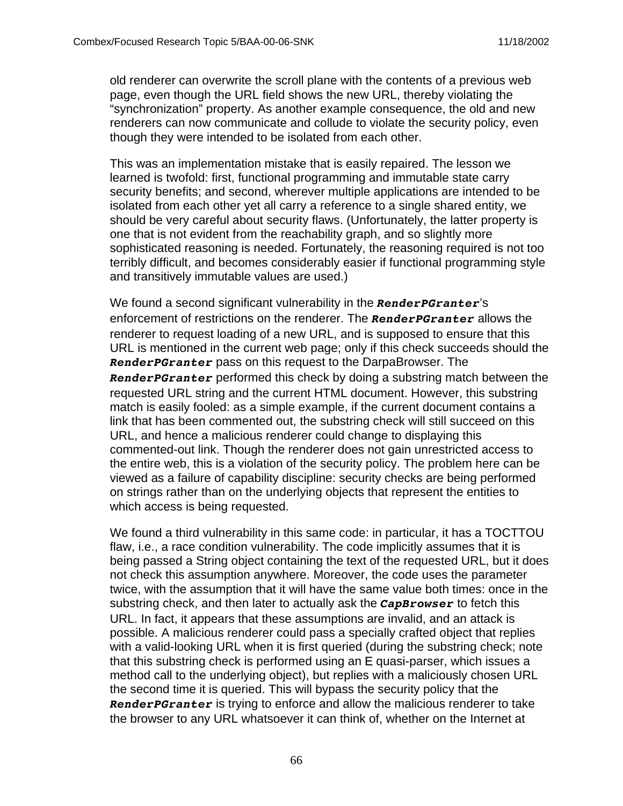old renderer can overwrite the scroll plane with the contents of a previous web page, even though the URL field shows the new URL, thereby violating the "synchronization" property. As another example consequence, the old and new renderers can now communicate and collude to violate the security policy, even though they were intended to be isolated from each other.

This was an implementation mistake that is easily repaired. The lesson we learned is twofold: first, functional programming and immutable state carry security benefits; and second, wherever multiple applications are intended to be isolated from each other yet all carry a reference to a single shared entity, we should be very careful about security flaws. (Unfortunately, the latter property is one that is not evident from the reachability graph, and so slightly more sophisticated reasoning is needed. Fortunately, the reasoning required is not too terribly difficult, and becomes considerably easier if functional programming style and transitively immutable values are used.)

We found a second significant vulnerability in the *RenderPGranter*'s enforcement of restrictions on the renderer. The *RenderPGranter* allows the renderer to request loading of a new URL, and is supposed to ensure that this URL is mentioned in the current web page; only if this check succeeds should the *RenderPGranter* pass on this request to the DarpaBrowser. The *RenderPGranter* performed this check by doing a substring match between the requested URL string and the current HTML document. However, this substring match is easily fooled: as a simple example, if the current document contains a link that has been commented out, the substring check will still succeed on this URL, and hence a malicious renderer could change to displaying this commented-out link. Though the renderer does not gain unrestricted access to the entire web, this is a violation of the security policy. The problem here can be viewed as a failure of capability discipline: security checks are being performed on strings rather than on the underlying objects that represent the entities to which access is being requested.

We found a third vulnerability in this same code: in particular, it has a TOCTTOU flaw, i.e., a race condition vulnerability. The code implicitly assumes that it is being passed a String object containing the text of the requested URL, but it does not check this assumption anywhere. Moreover, the code uses the parameter twice, with the assumption that it will have the same value both times: once in the substring check, and then later to actually ask the *CapBrowser* to fetch this URL. In fact, it appears that these assumptions are invalid, and an attack is possible. A malicious renderer could pass a specially crafted object that replies with a valid-looking URL when it is first queried (during the substring check; note that this substring check is performed using an E quasi-parser, which issues a method call to the underlying object), but replies with a maliciously chosen URL the second time it is queried. This will bypass the security policy that the *RenderPGranter* is trying to enforce and allow the malicious renderer to take the browser to any URL whatsoever it can think of, whether on the Internet at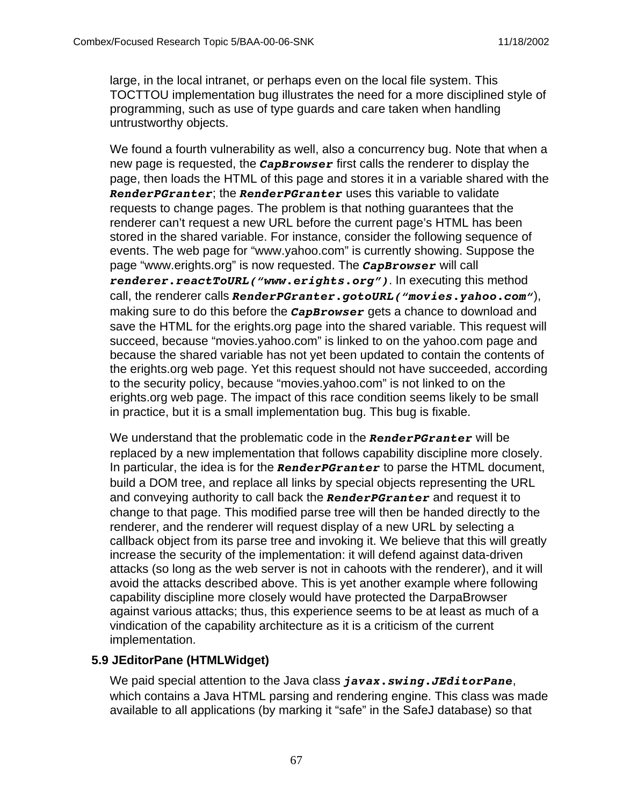large, in the local intranet, or perhaps even on the local file system. This TOCTTOU implementation bug illustrates the need for a more disciplined style of programming, such as use of type guards and care taken when handling untrustworthy objects.

We found a fourth vulnerability as well, also a concurrency bug. Note that when a new page is requested, the *CapBrowser* first calls the renderer to display the page, then loads the HTML of this page and stores it in a variable shared with the *RenderPGranter*; the *RenderPGranter* uses this variable to validate requests to change pages. The problem is that nothing guarantees that the renderer can't request a new URL before the current page's HTML has been stored in the shared variable. For instance, consider the following sequence of events. The web page for "www.yahoo.com" is currently showing. Suppose the page "www.erights.org" is now requested. The *CapBrowser* will call *renderer.reactToURL("www.erights.org")*. In executing this method call, the renderer calls *RenderPGranter.gotoURL("movies.yahoo.com"*), making sure to do this before the *CapBrowser* gets a chance to download and save the HTML for the erights.org page into the shared variable. This request will succeed, because "movies.yahoo.com" is linked to on the yahoo.com page and because the shared variable has not yet been updated to contain the contents of the erights.org web page. Yet this request should not have succeeded, according to the security policy, because "movies.yahoo.com" is not linked to on the erights.org web page. The impact of this race condition seems likely to be small in practice, but it is a small implementation bug. This bug is fixable.

We understand that the problematic code in the *RenderPGranter* will be replaced by a new implementation that follows capability discipline more closely. In particular, the idea is for the *RenderPGranter* to parse the HTML document, build a DOM tree, and replace all links by special objects representing the URL and conveying authority to call back the *RenderPGranter* and request it to change to that page. This modified parse tree will then be handed directly to the renderer, and the renderer will request display of a new URL by selecting a callback object from its parse tree and invoking it. We believe that this will greatly increase the security of the implementation: it will defend against data-driven attacks (so long as the web server is not in cahoots with the renderer), and it will avoid the attacks described above. This is yet another example where following capability discipline more closely would have protected the DarpaBrowser against various attacks; thus, this experience seems to be at least as much of a vindication of the capability architecture as it is a criticism of the current implementation.

# **5.9 JEditorPane (HTMLWidget)**

We paid special attention to the Java class *javax.swing.JEditorPane*, which contains a Java HTML parsing and rendering engine. This class was made available to all applications (by marking it "safe" in the SafeJ database) so that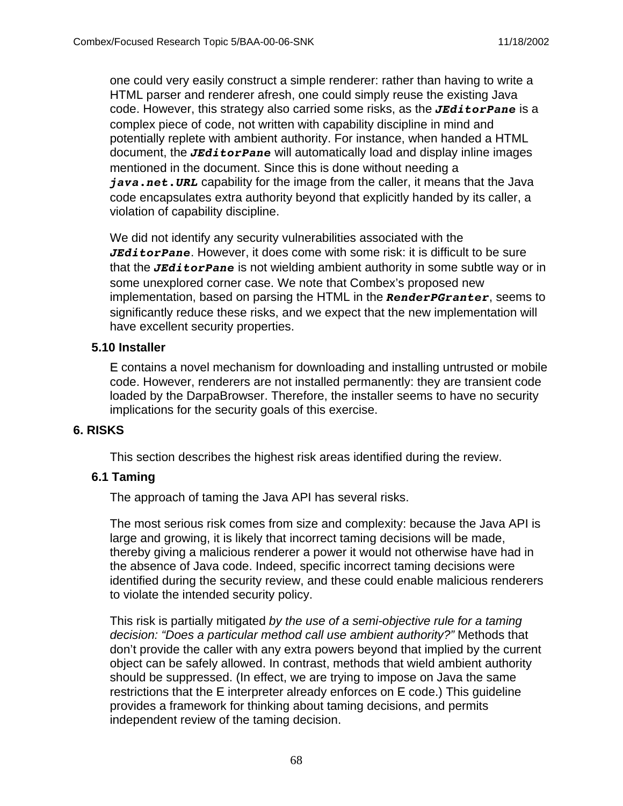one could very easily construct a simple renderer: rather than having to write a HTML parser and renderer afresh, one could simply reuse the existing Java code. However, this strategy also carried some risks, as the *JEditorPane* is a complex piece of code, not written with capability discipline in mind and potentially replete with ambient authority. For instance, when handed a HTML document, the *JEditorPane* will automatically load and display inline images mentioned in the document. Since this is done without needing a *java.net.URL* capability for the image from the caller, it means that the Java code encapsulates extra authority beyond that explicitly handed by its caller, a violation of capability discipline.

We did not identify any security vulnerabilities associated with the *JEditorPane*. However, it does come with some risk: it is difficult to be sure that the *JEditorPane* is not wielding ambient authority in some subtle way or in some unexplored corner case. We note that Combex's proposed new implementation, based on parsing the HTML in the *RenderPGranter*, seems to significantly reduce these risks, and we expect that the new implementation will have excellent security properties.

#### **5.10 Installer**

E contains a novel mechanism for downloading and installing untrusted or mobile code. However, renderers are not installed permanently: they are transient code loaded by the DarpaBrowser. Therefore, the installer seems to have no security implications for the security goals of this exercise.

#### **6. RISKS**

This section describes the highest risk areas identified during the review.

#### **6.1 Taming**

The approach of taming the Java API has several risks.

The most serious risk comes from size and complexity: because the Java API is large and growing, it is likely that incorrect taming decisions will be made, thereby giving a malicious renderer a power it would not otherwise have had in the absence of Java code. Indeed, specific incorrect taming decisions were identified during the security review, and these could enable malicious renderers to violate the intended security policy.

This risk is partially mitigated by the use of a semi-objective rule for a taming decision: "Does a particular method call use ambient authority?" Methods that don't provide the caller with any extra powers beyond that implied by the current object can be safely allowed. In contrast, methods that wield ambient authority should be suppressed. (In effect, we are trying to impose on Java the same restrictions that the E interpreter already enforces on E code.) This guideline provides a framework for thinking about taming decisions, and permits independent review of the taming decision.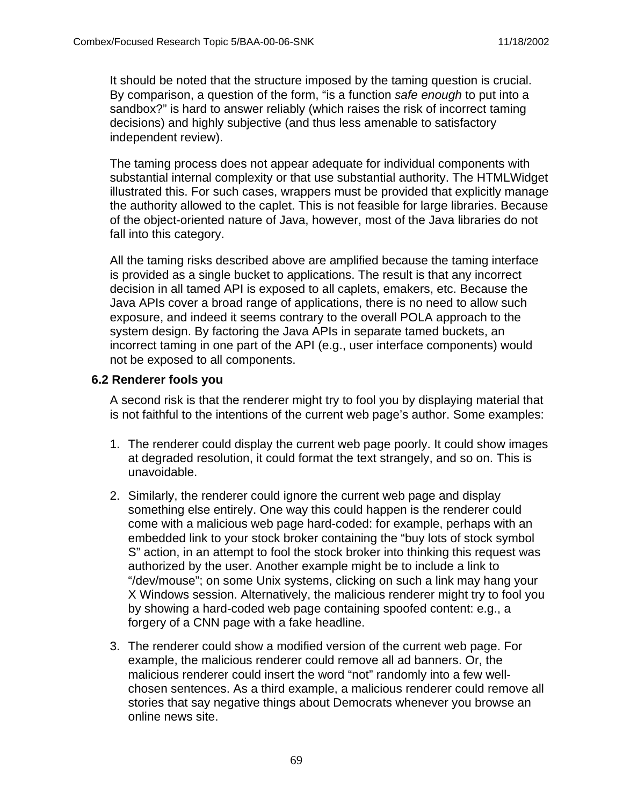It should be noted that the structure imposed by the taming question is crucial. By comparison, a question of the form, "is a function safe enough to put into a sandbox?" is hard to answer reliably (which raises the risk of incorrect taming decisions) and highly subjective (and thus less amenable to satisfactory independent review).

The taming process does not appear adequate for individual components with substantial internal complexity or that use substantial authority. The HTMLWidget illustrated this. For such cases, wrappers must be provided that explicitly manage the authority allowed to the caplet. This is not feasible for large libraries. Because of the object-oriented nature of Java, however, most of the Java libraries do not fall into this category.

All the taming risks described above are amplified because the taming interface is provided as a single bucket to applications. The result is that any incorrect decision in all tamed API is exposed to all caplets, emakers, etc. Because the Java APIs cover a broad range of applications, there is no need to allow such exposure, and indeed it seems contrary to the overall POLA approach to the system design. By factoring the Java APIs in separate tamed buckets, an incorrect taming in one part of the API (e.g., user interface components) would not be exposed to all components.

#### **6.2 Renderer fools you**

A second risk is that the renderer might try to fool you by displaying material that is not faithful to the intentions of the current web page's author. Some examples:

- 1. The renderer could display the current web page poorly. It could show images at degraded resolution, it could format the text strangely, and so on. This is unavoidable.
- 2. Similarly, the renderer could ignore the current web page and display something else entirely. One way this could happen is the renderer could come with a malicious web page hard-coded: for example, perhaps with an embedded link to your stock broker containing the "buy lots of stock symbol S" action, in an attempt to fool the stock broker into thinking this request was authorized by the user. Another example might be to include a link to "/dev/mouse"; on some Unix systems, clicking on such a link may hang your X Windows session. Alternatively, the malicious renderer might try to fool you by showing a hard-coded web page containing spoofed content: e.g., a forgery of a CNN page with a fake headline.
- 3. The renderer could show a modified version of the current web page. For example, the malicious renderer could remove all ad banners. Or, the malicious renderer could insert the word "not" randomly into a few wellchosen sentences. As a third example, a malicious renderer could remove all stories that say negative things about Democrats whenever you browse an online news site.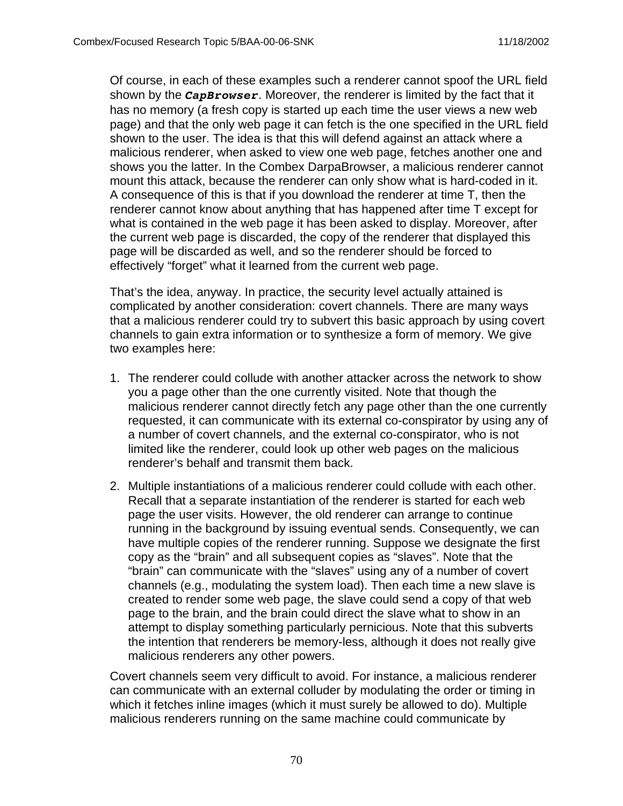Of course, in each of these examples such a renderer cannot spoof the URL field shown by the *CapBrowser*. Moreover, the renderer is limited by the fact that it has no memory (a fresh copy is started up each time the user views a new web page) and that the only web page it can fetch is the one specified in the URL field shown to the user. The idea is that this will defend against an attack where a malicious renderer, when asked to view one web page, fetches another one and shows you the latter. In the Combex DarpaBrowser, a malicious renderer cannot mount this attack, because the renderer can only show what is hard-coded in it. A consequence of this is that if you download the renderer at time T, then the renderer cannot know about anything that has happened after time T except for what is contained in the web page it has been asked to display. Moreover, after the current web page is discarded, the copy of the renderer that displayed this page will be discarded as well, and so the renderer should be forced to effectively "forget" what it learned from the current web page.

That's the idea, anyway. In practice, the security level actually attained is complicated by another consideration: covert channels. There are many ways that a malicious renderer could try to subvert this basic approach by using covert channels to gain extra information or to synthesize a form of memory. We give two examples here:

- 1. The renderer could collude with another attacker across the network to show you a page other than the one currently visited. Note that though the malicious renderer cannot directly fetch any page other than the one currently requested, it can communicate with its external co-conspirator by using any of a number of covert channels, and the external co-conspirator, who is not limited like the renderer, could look up other web pages on the malicious renderer's behalf and transmit them back.
- 2. Multiple instantiations of a malicious renderer could collude with each other. Recall that a separate instantiation of the renderer is started for each web page the user visits. However, the old renderer can arrange to continue running in the background by issuing eventual sends. Consequently, we can have multiple copies of the renderer running. Suppose we designate the first copy as the "brain" and all subsequent copies as "slaves". Note that the "brain" can communicate with the "slaves" using any of a number of covert channels (e.g., modulating the system load). Then each time a new slave is created to render some web page, the slave could send a copy of that web page to the brain, and the brain could direct the slave what to show in an attempt to display something particularly pernicious. Note that this subverts the intention that renderers be memory-less, although it does not really give malicious renderers any other powers.

Covert channels seem very difficult to avoid. For instance, a malicious renderer can communicate with an external colluder by modulating the order or timing in which it fetches inline images (which it must surely be allowed to do). Multiple malicious renderers running on the same machine could communicate by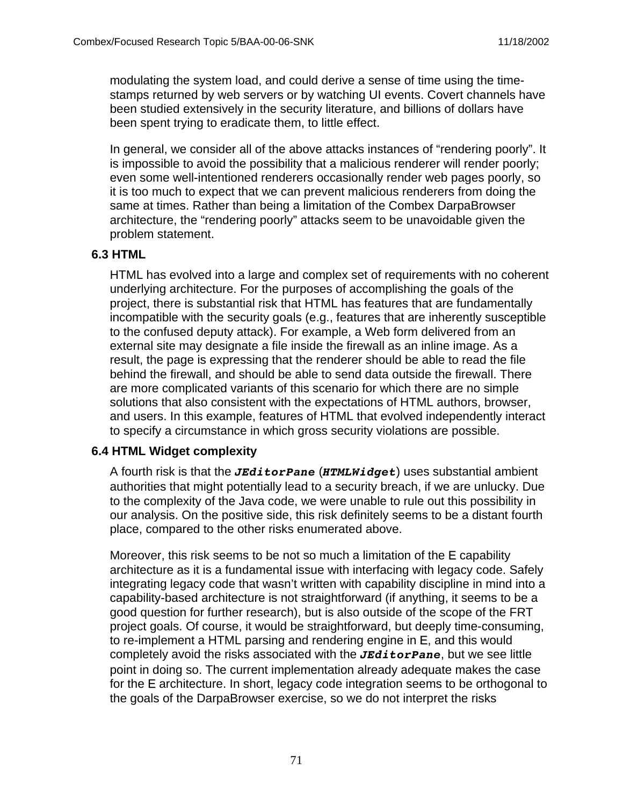modulating the system load, and could derive a sense of time using the timestamps returned by web servers or by watching UI events. Covert channels have been studied extensively in the security literature, and billions of dollars have been spent trying to eradicate them, to little effect.

In general, we consider all of the above attacks instances of "rendering poorly". It is impossible to avoid the possibility that a malicious renderer will render poorly; even some well-intentioned renderers occasionally render web pages poorly, so it is too much to expect that we can prevent malicious renderers from doing the same at times. Rather than being a limitation of the Combex DarpaBrowser architecture, the "rendering poorly" attacks seem to be unavoidable given the problem statement.

#### **6.3 HTML**

HTML has evolved into a large and complex set of requirements with no coherent underlying architecture. For the purposes of accomplishing the goals of the project, there is substantial risk that HTML has features that are fundamentally incompatible with the security goals (e.g., features that are inherently susceptible to the confused deputy attack). For example, a Web form delivered from an external site may designate a file inside the firewall as an inline image. As a result, the page is expressing that the renderer should be able to read the file behind the firewall, and should be able to send data outside the firewall. There are more complicated variants of this scenario for which there are no simple solutions that also consistent with the expectations of HTML authors, browser, and users. In this example, features of HTML that evolved independently interact to specify a circumstance in which gross security violations are possible.

### **6.4 HTML Widget complexity**

A fourth risk is that the *JEditorPane* (*HTMLWidget*) uses substantial ambient authorities that might potentially lead to a security breach, if we are unlucky. Due to the complexity of the Java code, we were unable to rule out this possibility in our analysis. On the positive side, this risk definitely seems to be a distant fourth place, compared to the other risks enumerated above.

Moreover, this risk seems to be not so much a limitation of the E capability architecture as it is a fundamental issue with interfacing with legacy code. Safely integrating legacy code that wasn't written with capability discipline in mind into a capability-based architecture is not straightforward (if anything, it seems to be a good question for further research), but is also outside of the scope of the FRT project goals. Of course, it would be straightforward, but deeply time-consuming, to re-implement a HTML parsing and rendering engine in E, and this would completely avoid the risks associated with the *JEditorPane*, but we see little point in doing so. The current implementation already adequate makes the case for the E architecture. In short, legacy code integration seems to be orthogonal to the goals of the DarpaBrowser exercise, so we do not interpret the risks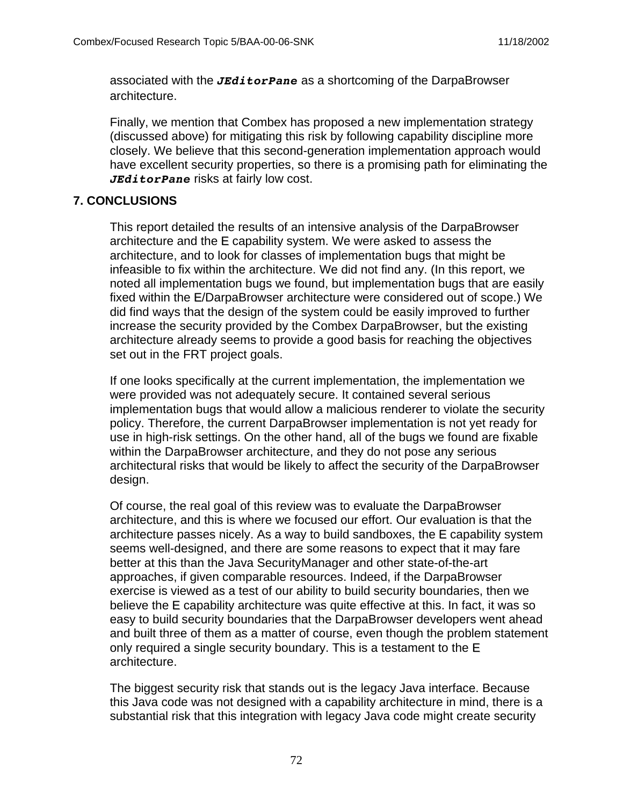associated with the *JEditorPane* as a shortcoming of the DarpaBrowser architecture.

Finally, we mention that Combex has proposed a new implementation strategy (discussed above) for mitigating this risk by following capability discipline more closely. We believe that this second-generation implementation approach would have excellent security properties, so there is a promising path for eliminating the *JEditorPane* risks at fairly low cost.

### **7. CONCLUSIONS**

This report detailed the results of an intensive analysis of the DarpaBrowser architecture and the E capability system. We were asked to assess the architecture, and to look for classes of implementation bugs that might be infeasible to fix within the architecture. We did not find any. (In this report, we noted all implementation bugs we found, but implementation bugs that are easily fixed within the E/DarpaBrowser architecture were considered out of scope.) We did find ways that the design of the system could be easily improved to further increase the security provided by the Combex DarpaBrowser, but the existing architecture already seems to provide a good basis for reaching the objectives set out in the FRT project goals.

If one looks specifically at the current implementation, the implementation we were provided was not adequately secure. It contained several serious implementation bugs that would allow a malicious renderer to violate the security policy. Therefore, the current DarpaBrowser implementation is not yet ready for use in high-risk settings. On the other hand, all of the bugs we found are fixable within the DarpaBrowser architecture, and they do not pose any serious architectural risks that would be likely to affect the security of the DarpaBrowser design.

Of course, the real goal of this review was to evaluate the DarpaBrowser architecture, and this is where we focused our effort. Our evaluation is that the architecture passes nicely. As a way to build sandboxes, the E capability system seems well-designed, and there are some reasons to expect that it may fare better at this than the Java SecurityManager and other state-of-the-art approaches, if given comparable resources. Indeed, if the DarpaBrowser exercise is viewed as a test of our ability to build security boundaries, then we believe the E capability architecture was quite effective at this. In fact, it was so easy to build security boundaries that the DarpaBrowser developers went ahead and built three of them as a matter of course, even though the problem statement only required a single security boundary. This is a testament to the E architecture.

The biggest security risk that stands out is the legacy Java interface. Because this Java code was not designed with a capability architecture in mind, there is a substantial risk that this integration with legacy Java code might create security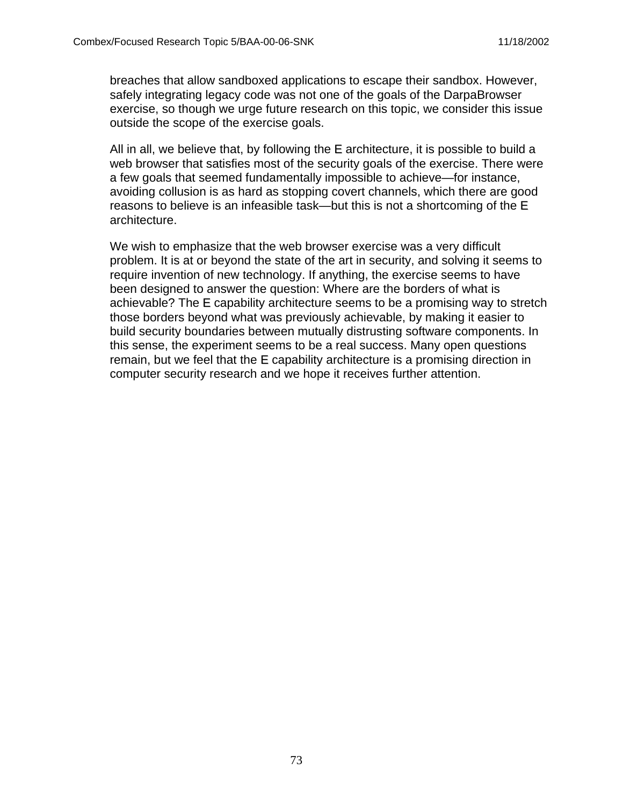breaches that allow sandboxed applications to escape their sandbox. However, safely integrating legacy code was not one of the goals of the DarpaBrowser exercise, so though we urge future research on this topic, we consider this issue outside the scope of the exercise goals.

All in all, we believe that, by following the E architecture, it is possible to build a web browser that satisfies most of the security goals of the exercise. There were a few goals that seemed fundamentally impossible to achieve—for instance, avoiding collusion is as hard as stopping covert channels, which there are good reasons to believe is an infeasible task—but this is not a shortcoming of the E architecture.

We wish to emphasize that the web browser exercise was a very difficult problem. It is at or beyond the state of the art in security, and solving it seems to require invention of new technology. If anything, the exercise seems to have been designed to answer the question: Where are the borders of what is achievable? The E capability architecture seems to be a promising way to stretch those borders beyond what was previously achievable, by making it easier to build security boundaries between mutually distrusting software components. In this sense, the experiment seems to be a real success. Many open questions remain, but we feel that the E capability architecture is a promising direction in computer security research and we hope it receives further attention.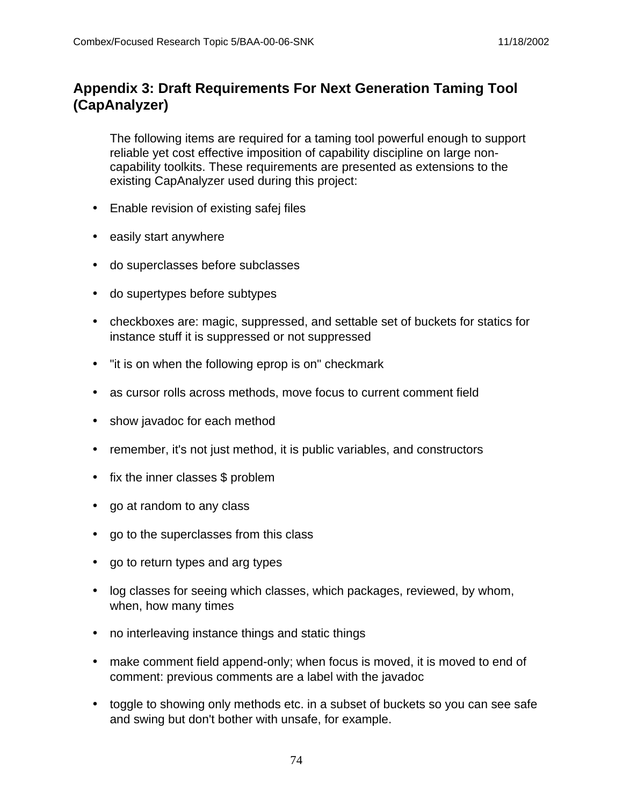# **Appendix 3: Draft Requirements For Next Generation Taming Tool (CapAnalyzer)**

The following items are required for a taming tool powerful enough to support reliable yet cost effective imposition of capability discipline on large noncapability toolkits. These requirements are presented as extensions to the existing CapAnalyzer used during this project:

- Enable revision of existing safej files
- easily start anywhere
- do superclasses before subclasses
- do supertypes before subtypes
- checkboxes are: magic, suppressed, and settable set of buckets for statics for instance stuff it is suppressed or not suppressed
- "it is on when the following eprop is on" checkmark
- as cursor rolls across methods, move focus to current comment field
- show javadoc for each method
- remember, it's not just method, it is public variables, and constructors
- fix the inner classes \$ problem
- go at random to any class
- go to the superclasses from this class
- go to return types and arg types
- log classes for seeing which classes, which packages, reviewed, by whom, when, how many times
- no interleaving instance things and static things
- make comment field append-only; when focus is moved, it is moved to end of comment: previous comments are a label with the javadoc
- toggle to showing only methods etc. in a subset of buckets so you can see safe and swing but don't bother with unsafe, for example.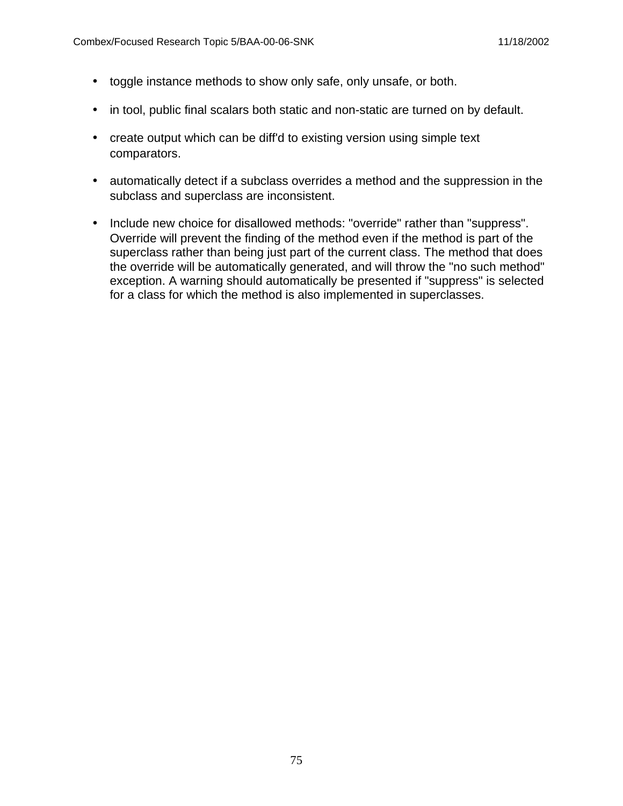- toggle instance methods to show only safe, only unsafe, or both.
- in tool, public final scalars both static and non-static are turned on by default.
- create output which can be diff'd to existing version using simple text comparators.
- automatically detect if a subclass overrides a method and the suppression in the subclass and superclass are inconsistent.
- Include new choice for disallowed methods: "override" rather than "suppress". Override will prevent the finding of the method even if the method is part of the superclass rather than being just part of the current class. The method that does the override will be automatically generated, and will throw the "no such method" exception. A warning should automatically be presented if "suppress" is selected for a class for which the method is also implemented in superclasses.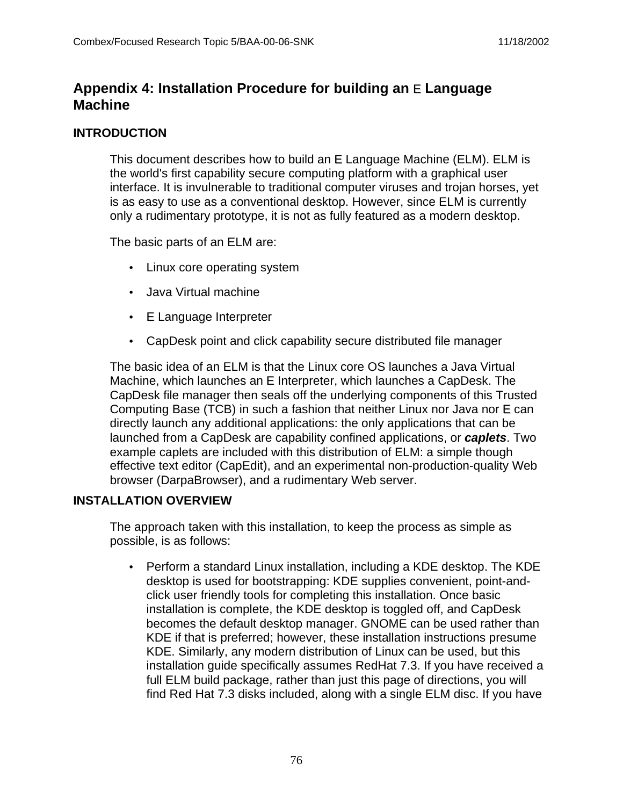# **Appendix 4: Installation Procedure for building an** E **Language Machine**

#### **INTRODUCTION**

This document describes how to build an E Language Machine (ELM). ELM is the world's first capability secure computing platform with a graphical user interface. It is invulnerable to traditional computer viruses and trojan horses, yet is as easy to use as a conventional desktop. However, since ELM is currently only a rudimentary prototype, it is not as fully featured as a modern desktop.

The basic parts of an ELM are:

- Linux core operating system
- Java Virtual machine
- E Language Interpreter
- CapDesk point and click capability secure distributed file manager

The basic idea of an ELM is that the Linux core OS launches a Java Virtual Machine, which launches an E Interpreter, which launches a CapDesk. The CapDesk file manager then seals off the underlying components of this Trusted Computing Base (TCB) in such a fashion that neither Linux nor Java nor E can directly launch any additional applications: the only applications that can be launched from a CapDesk are capability confined applications, or **caplets**. Two example caplets are included with this distribution of ELM: a simple though effective text editor (CapEdit), and an experimental non-production-quality Web browser (DarpaBrowser), and a rudimentary Web server.

### **INSTALLATION OVERVIEW**

The approach taken with this installation, to keep the process as simple as possible, is as follows:

• Perform a standard Linux installation, including a KDE desktop. The KDE desktop is used for bootstrapping: KDE supplies convenient, point-andclick user friendly tools for completing this installation. Once basic installation is complete, the KDE desktop is toggled off, and CapDesk becomes the default desktop manager. GNOME can be used rather than KDE if that is preferred; however, these installation instructions presume KDE. Similarly, any modern distribution of Linux can be used, but this installation guide specifically assumes RedHat 7.3. If you have received a full ELM build package, rather than just this page of directions, you will find Red Hat 7.3 disks included, along with a single ELM disc. If you have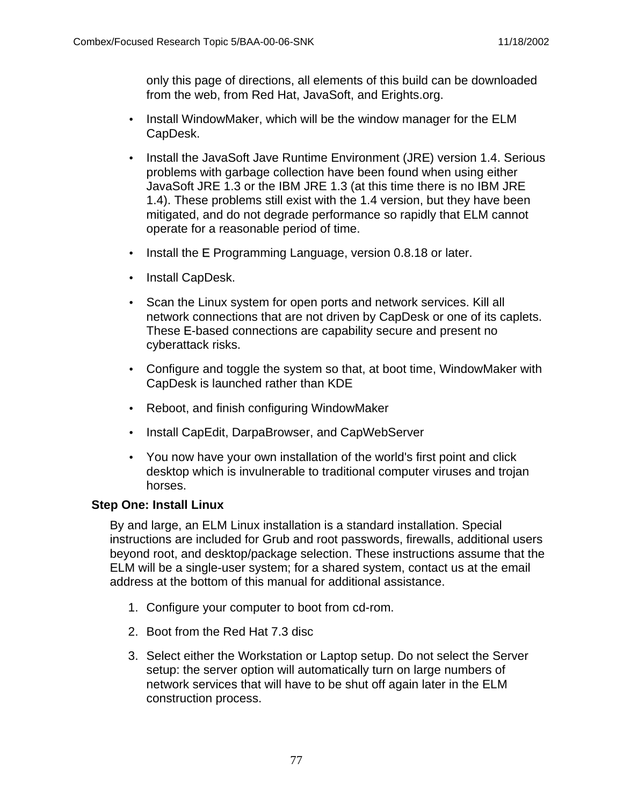only this page of directions, all elements of this build can be downloaded from the web, from Red Hat, JavaSoft, and Erights.org.

- Install WindowMaker, which will be the window manager for the ELM CapDesk.
- Install the JavaSoft Jave Runtime Environment (JRE) version 1.4. Serious problems with garbage collection have been found when using either JavaSoft JRE 1.3 or the IBM JRE 1.3 (at this time there is no IBM JRE 1.4). These problems still exist with the 1.4 version, but they have been mitigated, and do not degrade performance so rapidly that ELM cannot operate for a reasonable period of time.
- Install the E Programming Language, version 0.8.18 or later.
- Install CapDesk.
- Scan the Linux system for open ports and network services. Kill all network connections that are not driven by CapDesk or one of its caplets. These E-based connections are capability secure and present no cyberattack risks.
- Configure and toggle the system so that, at boot time, WindowMaker with CapDesk is launched rather than KDE
- Reboot, and finish configuring WindowMaker
- Install CapEdit, DarpaBrowser, and CapWebServer
- You now have your own installation of the world's first point and click desktop which is invulnerable to traditional computer viruses and trojan horses.

#### **Step One: Install Linux**

By and large, an ELM Linux installation is a standard installation. Special instructions are included for Grub and root passwords, firewalls, additional users beyond root, and desktop/package selection. These instructions assume that the ELM will be a single-user system; for a shared system, contact us at the email address at the bottom of this manual for additional assistance.

- 1. Configure your computer to boot from cd-rom.
- 2. Boot from the Red Hat 7.3 disc
- 3. Select either the Workstation or Laptop setup. Do not select the Server setup: the server option will automatically turn on large numbers of network services that will have to be shut off again later in the ELM construction process.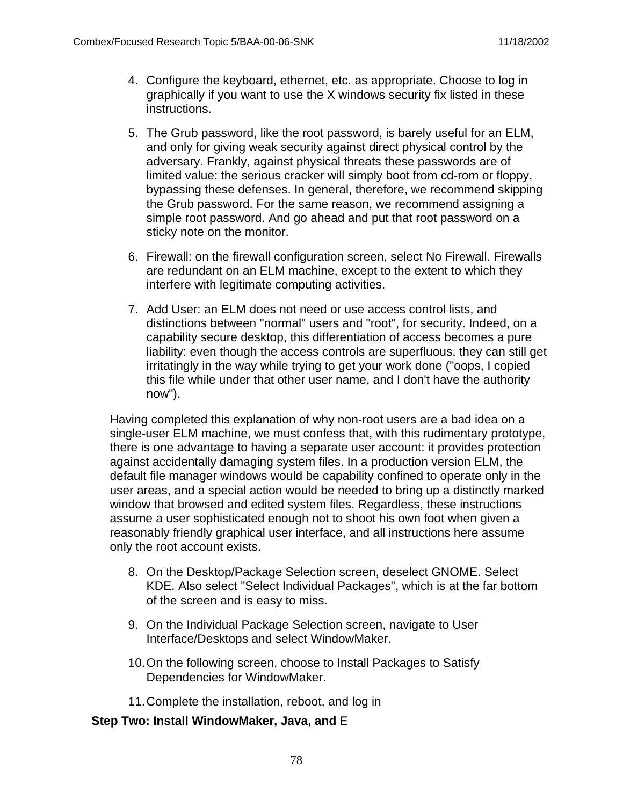- 4. Configure the keyboard, ethernet, etc. as appropriate. Choose to log in graphically if you want to use the X windows security fix listed in these instructions.
- 5. The Grub password, like the root password, is barely useful for an ELM, and only for giving weak security against direct physical control by the adversary. Frankly, against physical threats these passwords are of limited value: the serious cracker will simply boot from cd-rom or floppy, bypassing these defenses. In general, therefore, we recommend skipping the Grub password. For the same reason, we recommend assigning a simple root password. And go ahead and put that root password on a sticky note on the monitor.
- 6. Firewall: on the firewall configuration screen, select No Firewall. Firewalls are redundant on an ELM machine, except to the extent to which they interfere with legitimate computing activities.
- 7. Add User: an ELM does not need or use access control lists, and distinctions between "normal" users and "root", for security. Indeed, on a capability secure desktop, this differentiation of access becomes a pure liability: even though the access controls are superfluous, they can still get irritatingly in the way while trying to get your work done ("oops, I copied this file while under that other user name, and I don't have the authority now").

Having completed this explanation of why non-root users are a bad idea on a single-user ELM machine, we must confess that, with this rudimentary prototype, there is one advantage to having a separate user account: it provides protection against accidentally damaging system files. In a production version ELM, the default file manager windows would be capability confined to operate only in the user areas, and a special action would be needed to bring up a distinctly marked window that browsed and edited system files. Regardless, these instructions assume a user sophisticated enough not to shoot his own foot when given a reasonably friendly graphical user interface, and all instructions here assume only the root account exists.

- 8. On the Desktop/Package Selection screen, deselect GNOME. Select KDE. Also select "Select Individual Packages", which is at the far bottom of the screen and is easy to miss.
- 9. On the Individual Package Selection screen, navigate to User Interface/Desktops and select WindowMaker.
- 10.On the following screen, choose to Install Packages to Satisfy Dependencies for WindowMaker.
- 11.Complete the installation, reboot, and log in

#### **Step Two: Install WindowMaker, Java, and** E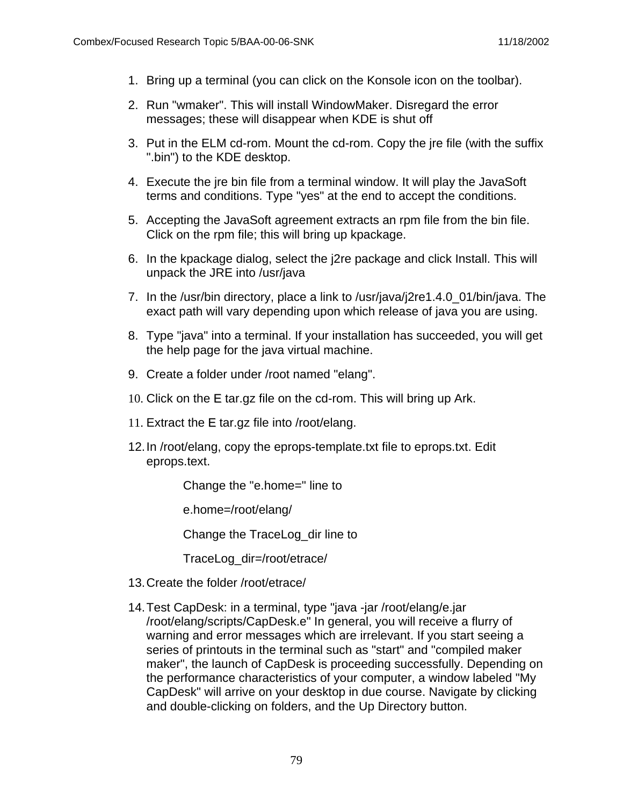- 1. Bring up a terminal (you can click on the Konsole icon on the toolbar).
- 2. Run "wmaker". This will install WindowMaker. Disregard the error messages; these will disappear when KDE is shut off
- 3. Put in the ELM cd-rom. Mount the cd-rom. Copy the jre file (with the suffix ".bin") to the KDE desktop.
- 4. Execute the jre bin file from a terminal window. It will play the JavaSoft terms and conditions. Type "yes" at the end to accept the conditions.
- 5. Accepting the JavaSoft agreement extracts an rpm file from the bin file. Click on the rpm file; this will bring up kpackage.
- 6. In the kpackage dialog, select the j2re package and click Install. This will unpack the JRE into /usr/java
- 7. In the /usr/bin directory, place a link to /usr/java/j2re1.4.0\_01/bin/java. The exact path will vary depending upon which release of java you are using.
- 8. Type "java" into a terminal. If your installation has succeeded, you will get the help page for the java virtual machine.
- 9. Create a folder under /root named "elang".
- 10. Click on the E tar.gz file on the cd-rom. This will bring up Ark.
- 11. Extract the E tar.gz file into /root/elang.
- 12.In /root/elang, copy the eprops-template.txt file to eprops.txt. Edit eprops.text.

Change the "e.home=" line to

e.home=/root/elang/

Change the TraceLog\_dir line to

TraceLog\_dir=/root/etrace/

- 13.Create the folder /root/etrace/
- 14.Test CapDesk: in a terminal, type "java -jar /root/elang/e.jar /root/elang/scripts/CapDesk.e" In general, you will receive a flurry of warning and error messages which are irrelevant. If you start seeing a series of printouts in the terminal such as "start" and "compiled maker maker", the launch of CapDesk is proceeding successfully. Depending on the performance characteristics of your computer, a window labeled "My CapDesk" will arrive on your desktop in due course. Navigate by clicking and double-clicking on folders, and the Up Directory button.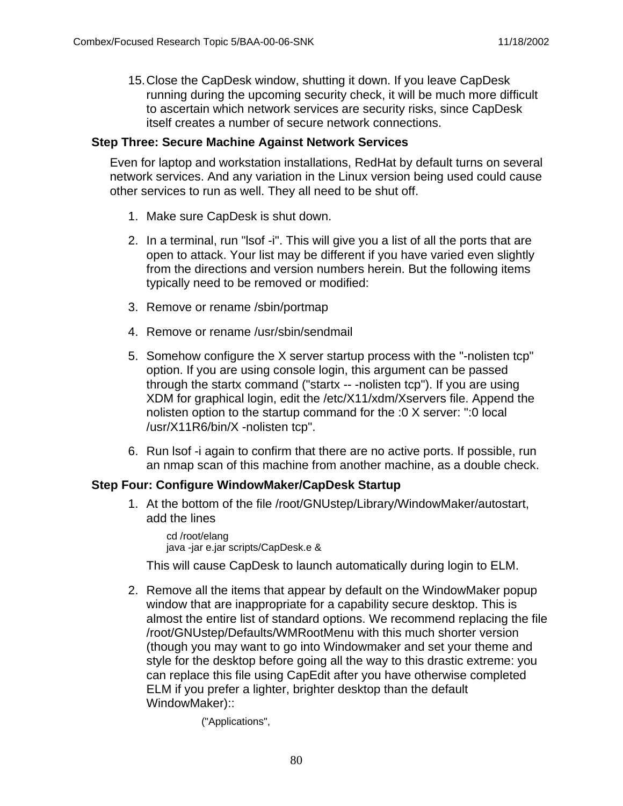15.Close the CapDesk window, shutting it down. If you leave CapDesk running during the upcoming security check, it will be much more difficult to ascertain which network services are security risks, since CapDesk itself creates a number of secure network connections.

#### **Step Three: Secure Machine Against Network Services**

Even for laptop and workstation installations, RedHat by default turns on several network services. And any variation in the Linux version being used could cause other services to run as well. They all need to be shut off.

- 1. Make sure CapDesk is shut down.
- 2. In a terminal, run "lsof -i". This will give you a list of all the ports that are open to attack. Your list may be different if you have varied even slightly from the directions and version numbers herein. But the following items typically need to be removed or modified:
- 3. Remove or rename /sbin/portmap
- 4. Remove or rename /usr/sbin/sendmail
- 5. Somehow configure the X server startup process with the "-nolisten tcp" option. If you are using console login, this argument can be passed through the startx command ("startx -- -nolisten tcp"). If you are using XDM for graphical login, edit the /etc/X11/xdm/Xservers file. Append the nolisten option to the startup command for the :0 X server: ":0 local /usr/X11R6/bin/X -nolisten tcp".
- 6. Run lsof -i again to confirm that there are no active ports. If possible, run an nmap scan of this machine from another machine, as a double check.

### **Step Four: Configure WindowMaker/CapDesk Startup**

1. At the bottom of the file /root/GNUstep/Library/WindowMaker/autostart, add the lines

cd /root/elang java -jar e.jar scripts/CapDesk.e &

This will cause CapDesk to launch automatically during login to ELM.

2. Remove all the items that appear by default on the WindowMaker popup window that are inappropriate for a capability secure desktop. This is almost the entire list of standard options. We recommend replacing the file /root/GNUstep/Defaults/WMRootMenu with this much shorter version (though you may want to go into Windowmaker and set your theme and style for the desktop before going all the way to this drastic extreme: you can replace this file using CapEdit after you have otherwise completed ELM if you prefer a lighter, brighter desktop than the default WindowMaker)::

("Applications",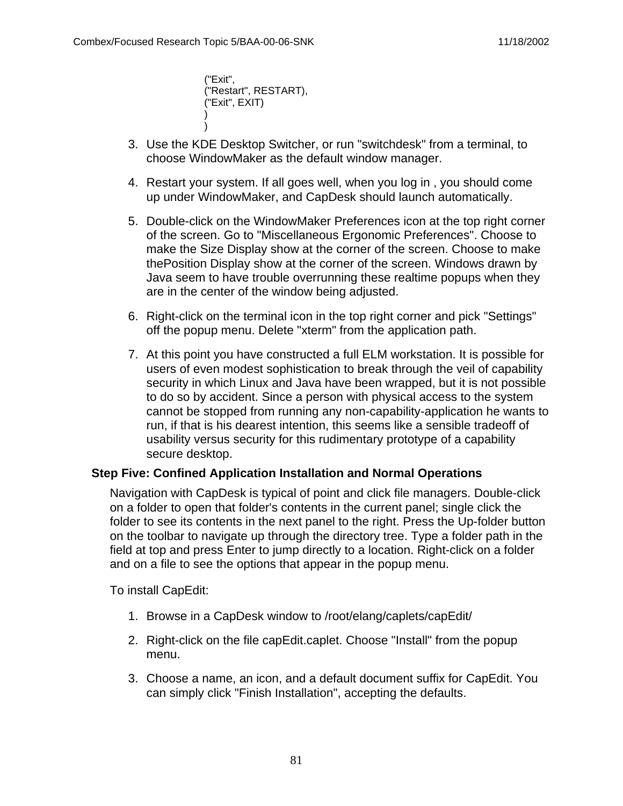("Exit", ("Restart", RESTART), ("Exit", EXIT) ) )

- 3. Use the KDE Desktop Switcher, or run "switchdesk" from a terminal, to choose WindowMaker as the default window manager.
- 4. Restart your system. If all goes well, when you log in , you should come up under WindowMaker, and CapDesk should launch automatically.
- 5. Double-click on the WindowMaker Preferences icon at the top right corner of the screen. Go to "Miscellaneous Ergonomic Preferences". Choose to make the Size Display show at the corner of the screen. Choose to make thePosition Display show at the corner of the screen. Windows drawn by Java seem to have trouble overrunning these realtime popups when they are in the center of the window being adjusted.
- 6. Right-click on the terminal icon in the top right corner and pick "Settings" off the popup menu. Delete "xterm" from the application path.
- 7. At this point you have constructed a full ELM workstation. It is possible for users of even modest sophistication to break through the veil of capability security in which Linux and Java have been wrapped, but it is not possible to do so by accident. Since a person with physical access to the system cannot be stopped from running any non-capability-application he wants to run, if that is his dearest intention, this seems like a sensible tradeoff of usability versus security for this rudimentary prototype of a capability secure desktop.

#### **Step Five: Confined Application Installation and Normal Operations**

Navigation with CapDesk is typical of point and click file managers. Double-click on a folder to open that folder's contents in the current panel; single click the folder to see its contents in the next panel to the right. Press the Up-folder button on the toolbar to navigate up through the directory tree. Type a folder path in the field at top and press Enter to jump directly to a location. Right-click on a folder and on a file to see the options that appear in the popup menu.

To install CapEdit:

- 1. Browse in a CapDesk window to /root/elang/caplets/capEdit/
- 2. Right-click on the file capEdit.caplet. Choose "Install" from the popup menu.
- 3. Choose a name, an icon, and a default document suffix for CapEdit. You can simply click "Finish Installation", accepting the defaults.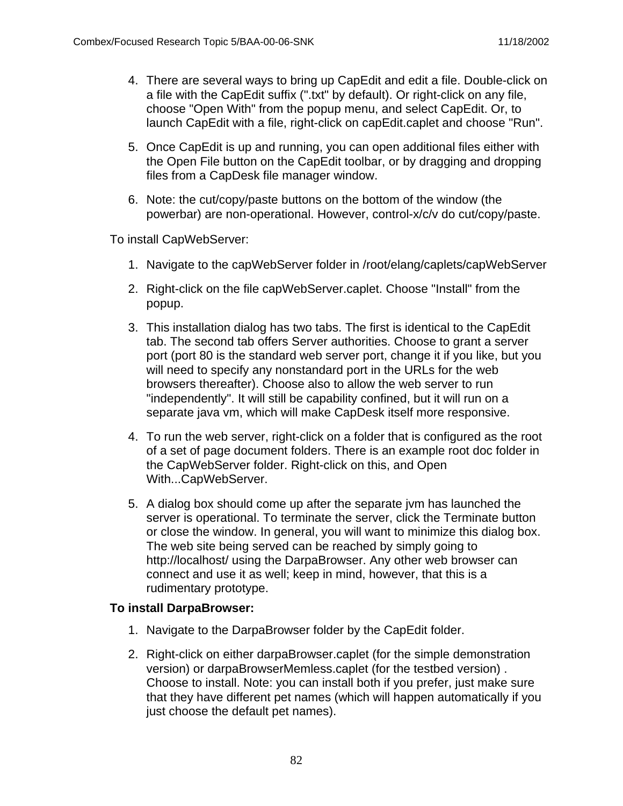- 4. There are several ways to bring up CapEdit and edit a file. Double-click on a file with the CapEdit suffix (".txt" by default). Or right-click on any file, choose "Open With" from the popup menu, and select CapEdit. Or, to launch CapEdit with a file, right-click on capEdit.caplet and choose "Run".
- 5. Once CapEdit is up and running, you can open additional files either with the Open File button on the CapEdit toolbar, or by dragging and dropping files from a CapDesk file manager window.
- 6. Note: the cut/copy/paste buttons on the bottom of the window (the powerbar) are non-operational. However, control-x/c/v do cut/copy/paste.

To install CapWebServer:

- 1. Navigate to the capWebServer folder in /root/elang/caplets/capWebServer
- 2. Right-click on the file capWebServer.caplet. Choose "Install" from the popup.
- 3. This installation dialog has two tabs. The first is identical to the CapEdit tab. The second tab offers Server authorities. Choose to grant a server port (port 80 is the standard web server port, change it if you like, but you will need to specify any nonstandard port in the URLs for the web browsers thereafter). Choose also to allow the web server to run "independently". It will still be capability confined, but it will run on a separate java vm, which will make CapDesk itself more responsive.
- 4. To run the web server, right-click on a folder that is configured as the root of a set of page document folders. There is an example root doc folder in the CapWebServer folder. Right-click on this, and Open With...CapWebServer.
- 5. A dialog box should come up after the separate jvm has launched the server is operational. To terminate the server, click the Terminate button or close the window. In general, you will want to minimize this dialog box. The web site being served can be reached by simply going to http://localhost/ using the DarpaBrowser. Any other web browser can connect and use it as well; keep in mind, however, that this is a rudimentary prototype.

#### **To install DarpaBrowser:**

- 1. Navigate to the DarpaBrowser folder by the CapEdit folder.
- 2. Right-click on either darpaBrowser.caplet (for the simple demonstration version) or darpaBrowserMemless.caplet (for the testbed version) . Choose to install. Note: you can install both if you prefer, just make sure that they have different pet names (which will happen automatically if you just choose the default pet names).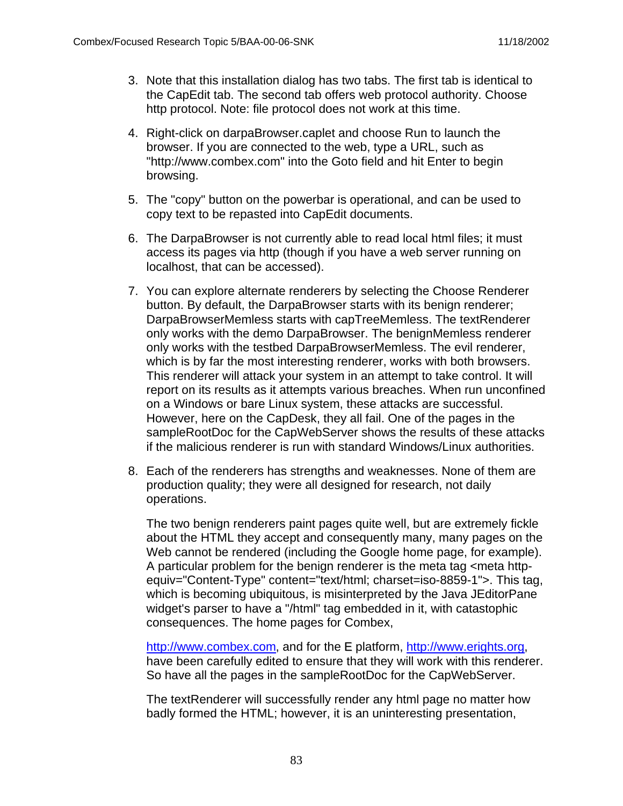- 3. Note that this installation dialog has two tabs. The first tab is identical to the CapEdit tab. The second tab offers web protocol authority. Choose http protocol. Note: file protocol does not work at this time.
- 4. Right-click on darpaBrowser.caplet and choose Run to launch the browser. If you are connected to the web, type a URL, such as "http://www.combex.com" into the Goto field and hit Enter to begin browsing.
- 5. The "copy" button on the powerbar is operational, and can be used to copy text to be repasted into CapEdit documents.
- 6. The DarpaBrowser is not currently able to read local html files; it must access its pages via http (though if you have a web server running on localhost, that can be accessed).
- 7. You can explore alternate renderers by selecting the Choose Renderer button. By default, the DarpaBrowser starts with its benign renderer; DarpaBrowserMemless starts with capTreeMemless. The textRenderer only works with the demo DarpaBrowser. The benignMemless renderer only works with the testbed DarpaBrowserMemless. The evil renderer, which is by far the most interesting renderer, works with both browsers. This renderer will attack your system in an attempt to take control. It will report on its results as it attempts various breaches. When run unconfined on a Windows or bare Linux system, these attacks are successful. However, here on the CapDesk, they all fail. One of the pages in the sampleRootDoc for the CapWebServer shows the results of these attacks if the malicious renderer is run with standard Windows/Linux authorities.
- 8. Each of the renderers has strengths and weaknesses. None of them are production quality; they were all designed for research, not daily operations.

The two benign renderers paint pages quite well, but are extremely fickle about the HTML they accept and consequently many, many pages on the Web cannot be rendered (including the Google home page, for example). A particular problem for the benign renderer is the meta tag <meta httpequiv="Content-Type" content="text/html; charset=iso-8859-1">. This tag, which is becoming ubiquitous, is misinterpreted by the Java JEditorPane widget's parser to have a "/html" tag embedded in it, with catastophic consequences. The home pages for Combex,

http://www.combex.com, and for the E platform, http://www.erights.org, have been carefully edited to ensure that they will work with this renderer. So have all the pages in the sampleRootDoc for the CapWebServer.

The textRenderer will successfully render any html page no matter how badly formed the HTML; however, it is an uninteresting presentation,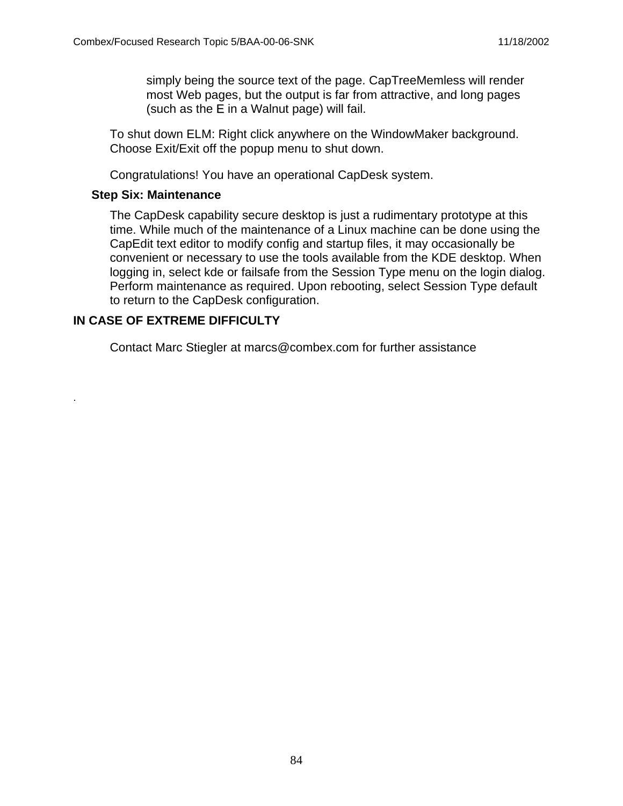simply being the source text of the page. CapTreeMemless will render most Web pages, but the output is far from attractive, and long pages (such as the E in a Walnut page) will fail.

To shut down ELM: Right click anywhere on the WindowMaker background. Choose Exit/Exit off the popup menu to shut down.

Congratulations! You have an operational CapDesk system.

#### **Step Six: Maintenance**

The CapDesk capability secure desktop is just a rudimentary prototype at this time. While much of the maintenance of a Linux machine can be done using the CapEdit text editor to modify config and startup files, it may occasionally be convenient or necessary to use the tools available from the KDE desktop. When logging in, select kde or failsafe from the Session Type menu on the login dialog. Perform maintenance as required. Upon rebooting, select Session Type default to return to the CapDesk configuration.

#### **IN CASE OF EXTREME DIFFICULTY**

.

Contact Marc Stiegler at marcs@combex.com for further assistance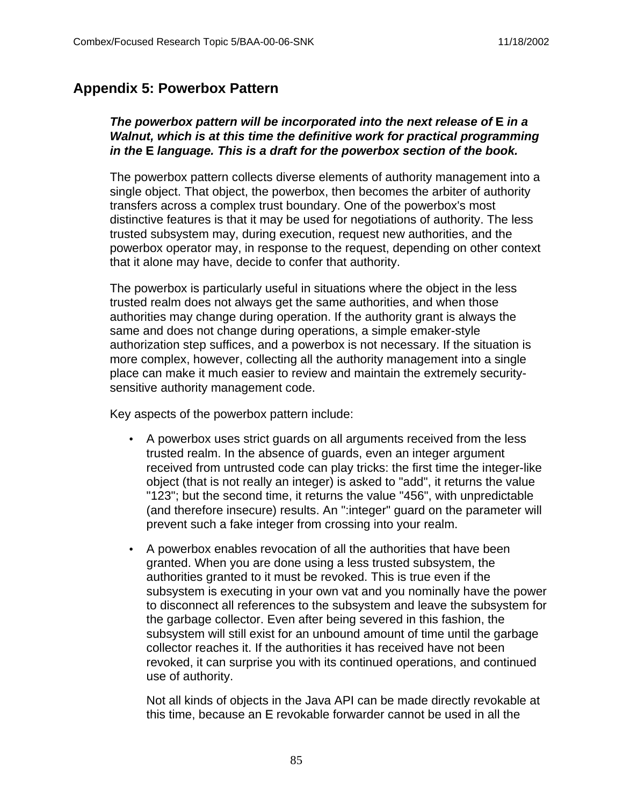## **Appendix 5: Powerbox Pattern**

#### **The powerbox pattern will be incorporated into the next release of E in a Walnut, which is at this time the definitive work for practical programming in the E language. This is a draft for the powerbox section of the book.**

The powerbox pattern collects diverse elements of authority management into a single object. That object, the powerbox, then becomes the arbiter of authority transfers across a complex trust boundary. One of the powerbox's most distinctive features is that it may be used for negotiations of authority. The less trusted subsystem may, during execution, request new authorities, and the powerbox operator may, in response to the request, depending on other context that it alone may have, decide to confer that authority.

The powerbox is particularly useful in situations where the object in the less trusted realm does not always get the same authorities, and when those authorities may change during operation. If the authority grant is always the same and does not change during operations, a simple emaker-style authorization step suffices, and a powerbox is not necessary. If the situation is more complex, however, collecting all the authority management into a single place can make it much easier to review and maintain the extremely securitysensitive authority management code.

Key aspects of the powerbox pattern include:

- A powerbox uses strict guards on all arguments received from the less trusted realm. In the absence of guards, even an integer argument received from untrusted code can play tricks: the first time the integer-like object (that is not really an integer) is asked to "add", it returns the value "123"; but the second time, it returns the value "456", with unpredictable (and therefore insecure) results. An ":integer" guard on the parameter will prevent such a fake integer from crossing into your realm.
- A powerbox enables revocation of all the authorities that have been granted. When you are done using a less trusted subsystem, the authorities granted to it must be revoked. This is true even if the subsystem is executing in your own vat and you nominally have the power to disconnect all references to the subsystem and leave the subsystem for the garbage collector. Even after being severed in this fashion, the subsystem will still exist for an unbound amount of time until the garbage collector reaches it. If the authorities it has received have not been revoked, it can surprise you with its continued operations, and continued use of authority.

Not all kinds of objects in the Java API can be made directly revokable at this time, because an E revokable forwarder cannot be used in all the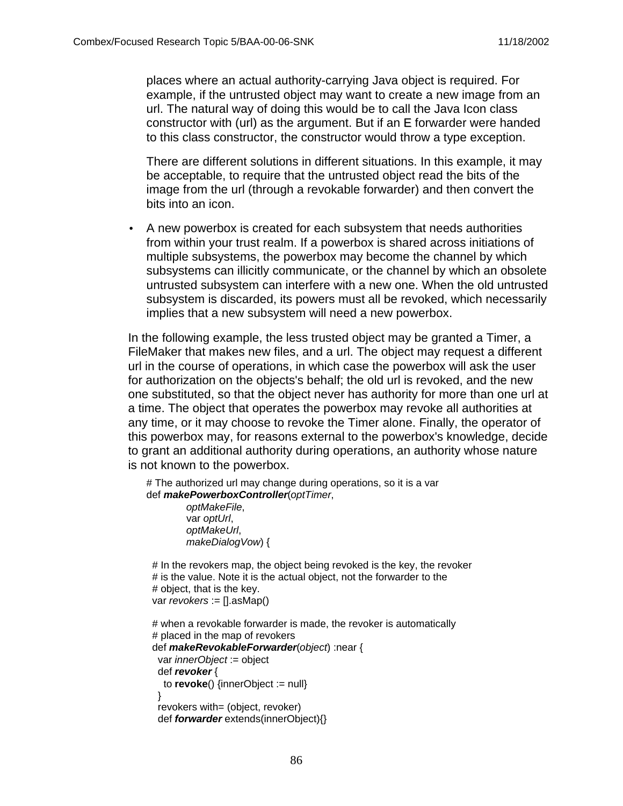places where an actual authority-carrying Java object is required. For example, if the untrusted object may want to create a new image from an url. The natural way of doing this would be to call the Java Icon class constructor with (url) as the argument. But if an E forwarder were handed to this class constructor, the constructor would throw a type exception.

There are different solutions in different situations. In this example, it may be acceptable, to require that the untrusted object read the bits of the image from the url (through a revokable forwarder) and then convert the bits into an icon.

• A new powerbox is created for each subsystem that needs authorities from within your trust realm. If a powerbox is shared across initiations of multiple subsystems, the powerbox may become the channel by which subsystems can illicitly communicate, or the channel by which an obsolete untrusted subsystem can interfere with a new one. When the old untrusted subsystem is discarded, its powers must all be revoked, which necessarily implies that a new subsystem will need a new powerbox.

In the following example, the less trusted object may be granted a Timer, a FileMaker that makes new files, and a url. The object may request a different url in the course of operations, in which case the powerbox will ask the user for authorization on the objects's behalf; the old url is revoked, and the new one substituted, so that the object never has authority for more than one url at a time. The object that operates the powerbox may revoke all authorities at any time, or it may choose to revoke the Timer alone. Finally, the operator of this powerbox may, for reasons external to the powerbox's knowledge, decide to grant an additional authority during operations, an authority whose nature is not known to the powerbox.

```
# The authorized url may change during operations, so it is a var
def makePowerboxController(optTimer,
         optMakeFile,
         var optUrl,
         optMakeUrl,
         makeDialogVow) {
```

```
# In the revokers map, the object being revoked is the key, the revoker
# is the value. Note it is the actual object, not the forwarder to the
 # object, that is the key.
var revokers := [1.asMap()
```

```
# when a revokable forwarder is made, the revoker is automatically
 # placed in the map of revokers
 def makeRevokableForwarder(object) :near {
 var innerObject := object
  def revoker {
   to revoke() {innerObject := null}
  }
 revokers with= (object, revoker)
  def forwarder extends(innerObject){}
```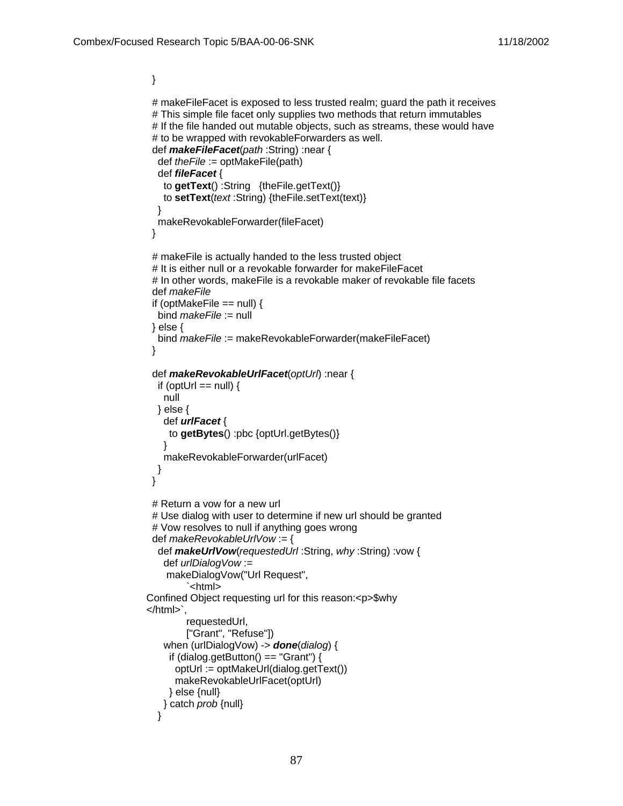}

```
# makeFileFacet is exposed to less trusted realm; guard the path it receives
  # This simple file facet only supplies two methods that return immutables
  # If the file handed out mutable objects, such as streams, these would have
  # to be wrapped with revokableForwarders as well.
  def makeFileFacet(path :String) :near {
   def theFile := optMakeFile(path)
   def fileFacet {
    to getText() :String {theFile.getText()}
    to setText(text :String) {theFile.setText(text)}
   }
   makeRevokableForwarder(fileFacet)
  }
  # makeFile is actually handed to the less trusted object
  # It is either null or a revokable forwarder for makeFileFacet
  # In other words, makeFile is a revokable maker of revokable file facets
  def makeFile
 if (optMakeFile == null) {
   bind makeFile := null
  } else {
   bind makeFile := makeRevokableForwarder(makeFileFacet)
  }
  def makeRevokableUrlFacet(optUrl) :near {
  if (optUrl == null) {
    null
   } else {
    def urlFacet {
     to getBytes() :pbc {optUrl.getBytes()}
    }
    makeRevokableForwarder(urlFacet)
   }
  }
  # Return a vow for a new url 
  # Use dialog with user to determine if new url should be granted
  # Vow resolves to null if anything goes wrong
  def makeRevokableUrlVow := {
   def makeUrlVow(requestedUrl :String, why :String) :vow {
    def urlDialogVow := 
     makeDialogVow("Url Request",
          `<html>
Confined Object requesting url for this reason:<p>$why
</html>`,
         requestedUrl,
         ["Grant", "Refuse"])
    when (urlDialogVow) -> done(dialog) {
    if (dialog.getButton() == "Grant") {
       optUrl := optMakeUrl(dialog.getText())
       makeRevokableUrlFacet(optUrl)
     } else {null}
    } catch prob {null}
   }
```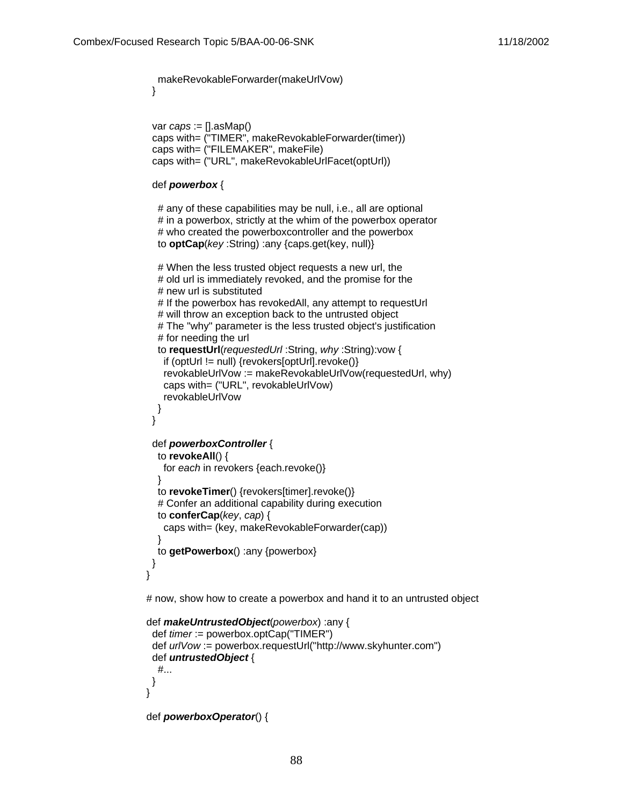makeRevokableForwarder(makeUrlVow)

}

```
var caps := [1, asMap() caps with= ("TIMER", makeRevokableForwarder(timer))
 caps with= ("FILEMAKER", makeFile)
 caps with= ("URL", makeRevokableUrlFacet(optUrl))
```
#### def **powerbox** {

```
 # any of these capabilities may be null, i.e., all are optional
# in a powerbox, strictly at the whim of the powerbox operator
 # who created the powerboxcontroller and the powerbox
 to optCap(key :String) :any {caps.get(key, null)}
```

```
 # When the less trusted object requests a new url, the
  # old url is immediately revoked, and the promise for the
  # new url is substituted
  # If the powerbox has revokedAll, any attempt to requestUrl
  # will throw an exception back to the untrusted object
  # The "why" parameter is the less trusted object's justification
  # for needing the url
  to requestUrl(requestedUrl :String, why :String):vow {
   if (optUrl != null) {revokers[optUrl].revoke()}
   revokableUrlVow := makeRevokableUrlVow(requestedUrl, why)
   caps with= ("URL", revokableUrlVow)
   revokableUrlVow
  }
 }
 def powerboxController {
  to revokeAll() {
   for each in revokers {each.revoke()}
  }
  to revokeTimer() {revokers[timer].revoke()}
  # Confer an additional capability during execution
  to conferCap(key, cap) {
   caps with= (key, makeRevokableForwarder(cap))
  }
  to getPowerbox() :any {powerbox}
 }
```
# now, show how to create a powerbox and hand it to an untrusted object

```
def makeUntrustedObject(powerbox) :any {
  def timer := powerbox.optCap("TIMER")
  def urlVow := powerbox.requestUrl("http://www.skyhunter.com")
  def untrustedObject {
   #...
  }
}
```

```
def powerboxOperator() {
```
}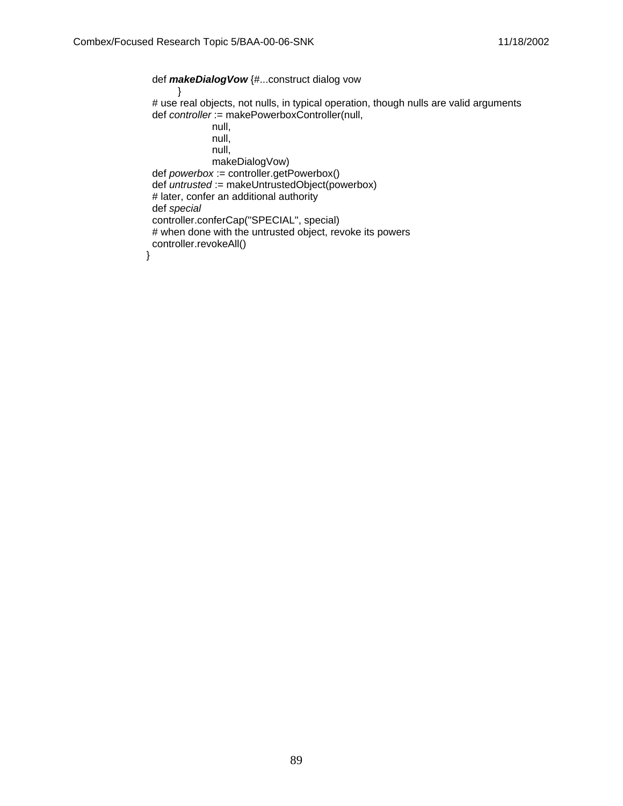def **makeDialogVow** {#...construct dialog vow } # use real objects, not nulls, in typical operation, though nulls are valid arguments def controller := makePowerboxController(null, null, null, null, makeDialogVow) def powerbox := controller.getPowerbox()  $def$  untrusted := makeUntrustedObject(powerbox) # later, confer an additional authority def special controller.conferCap("SPECIAL", special) # when done with the untrusted object, revoke its powers controller.revokeAll()

}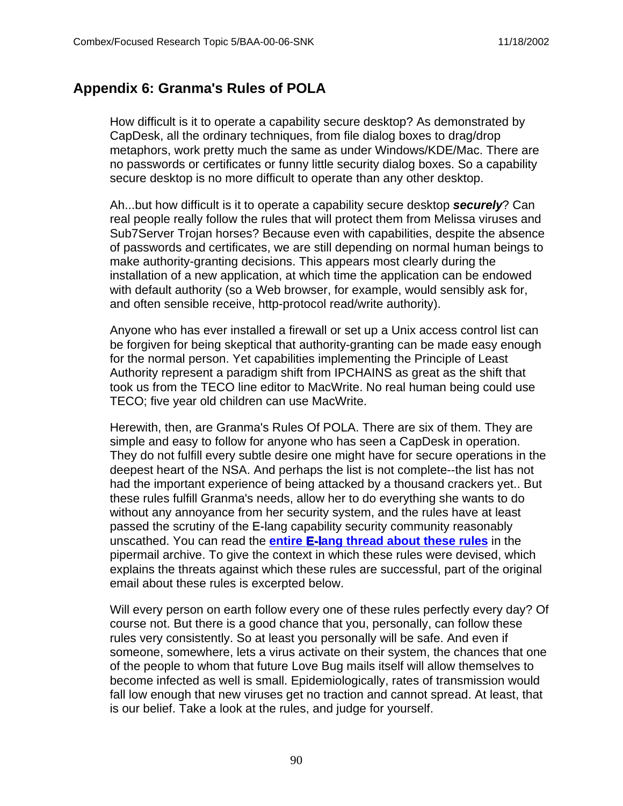## **Appendix 6: Granma's Rules of POLA**

How difficult is it to operate a capability secure desktop? As demonstrated by CapDesk, all the ordinary techniques, from file dialog boxes to drag/drop metaphors, work pretty much the same as under Windows/KDE/Mac. There are no passwords or certificates or funny little security dialog boxes. So a capability secure desktop is no more difficult to operate than any other desktop.

Ah...but how difficult is it to operate a capability secure desktop **securely**? Can real people really follow the rules that will protect them from Melissa viruses and Sub7Server Trojan horses? Because even with capabilities, despite the absence of passwords and certificates, we are still depending on normal human beings to make authority-granting decisions. This appears most clearly during the installation of a new application, at which time the application can be endowed with default authority (so a Web browser, for example, would sensibly ask for, and often sensible receive, http-protocol read/write authority).

Anyone who has ever installed a firewall or set up a Unix access control list can be forgiven for being skeptical that authority-granting can be made easy enough for the normal person. Yet capabilities implementing the Principle of Least Authority represent a paradigm shift from IPCHAINS as great as the shift that took us from the TECO line editor to MacWrite. No real human being could use TECO; five year old children can use MacWrite.

Herewith, then, are Granma's Rules Of POLA. There are six of them. They are simple and easy to follow for anyone who has seen a CapDesk in operation. They do not fulfill every subtle desire one might have for secure operations in the deepest heart of the NSA. And perhaps the list is not complete--the list has not had the important experience of being attacked by a thousand crackers yet.. But these rules fulfill Granma's needs, allow her to do everything she wants to do without any annoyance from her security system, and the rules have at least passed the scrutiny of the E-lang capability security community reasonably unscathed. You can read the **entire E-lang thread about these rules** in the pipermail archive. To give the context in which these rules were devised, which explains the threats against which these rules are successful, part of the original email about these rules is excerpted below.

Will every person on earth follow every one of these rules perfectly every day? Of course not. But there is a good chance that you, personally, can follow these rules very consistently. So at least you personally will be safe. And even if someone, somewhere, lets a virus activate on their system, the chances that one of the people to whom that future Love Bug mails itself will allow themselves to become infected as well is small. Epidemiologically, rates of transmission would fall low enough that new viruses get no traction and cannot spread. At least, that is our belief. Take a look at the rules, and judge for yourself.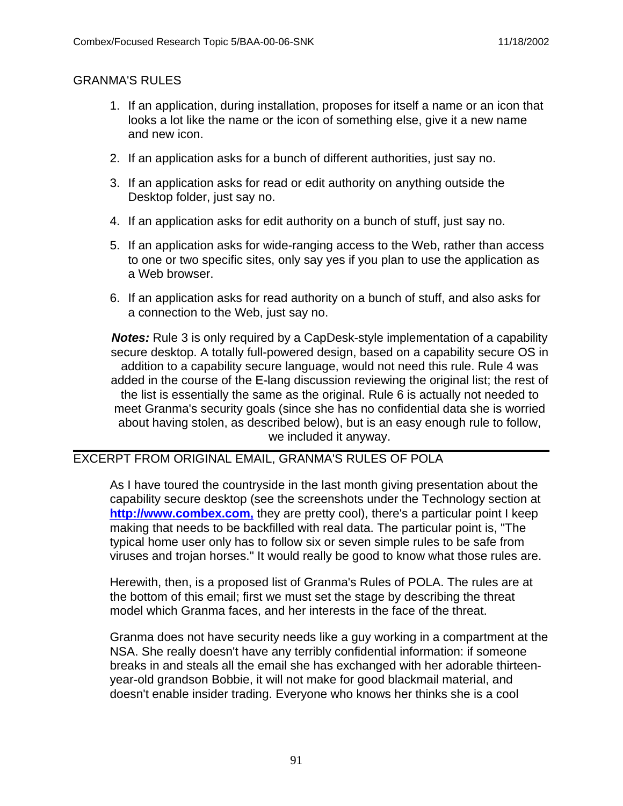#### GRANMA'S RULES

- 1. If an application, during installation, proposes for itself a name or an icon that looks a lot like the name or the icon of something else, give it a new name and new icon.
- 2. If an application asks for a bunch of different authorities, just say no.
- 3. If an application asks for read or edit authority on anything outside the Desktop folder, just say no.
- 4. If an application asks for edit authority on a bunch of stuff, just say no.
- 5. If an application asks for wide-ranging access to the Web, rather than access to one or two specific sites, only say yes if you plan to use the application as a Web browser.
- 6. If an application asks for read authority on a bunch of stuff, and also asks for a connection to the Web, just say no.

**Notes:** Rule 3 is only required by a CapDesk-style implementation of a capability secure desktop. A totally full-powered design, based on a capability secure OS in addition to a capability secure language, would not need this rule. Rule 4 was added in the course of the E-lang discussion reviewing the original list; the rest of the list is essentially the same as the original. Rule 6 is actually not needed to meet Granma's security goals (since she has no confidential data she is worried about having stolen, as described below), but is an easy enough rule to follow, we included it anyway.

### EXCERPT FROM ORIGINAL EMAIL, GRANMA'S RULES OF POLA

As I have toured the countryside in the last month giving presentation about the capability secure desktop (see the screenshots under the Technology section at **http://www.combex.com,** they are pretty cool), there's a particular point I keep making that needs to be backfilled with real data. The particular point is, "The typical home user only has to follow six or seven simple rules to be safe from viruses and trojan horses." It would really be good to know what those rules are.

Herewith, then, is a proposed list of Granma's Rules of POLA. The rules are at the bottom of this email; first we must set the stage by describing the threat model which Granma faces, and her interests in the face of the threat.

Granma does not have security needs like a guy working in a compartment at the NSA. She really doesn't have any terribly confidential information: if someone breaks in and steals all the email she has exchanged with her adorable thirteenyear-old grandson Bobbie, it will not make for good blackmail material, and doesn't enable insider trading. Everyone who knows her thinks she is a cool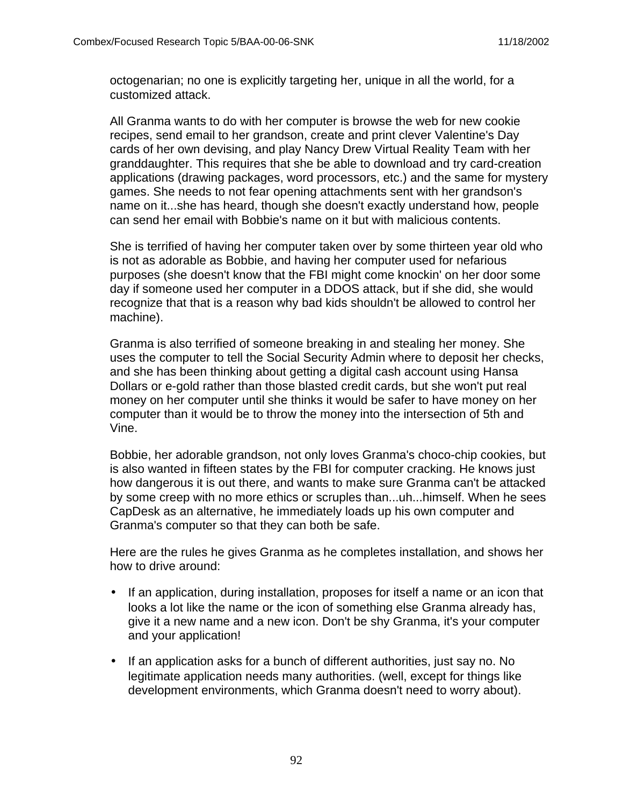octogenarian; no one is explicitly targeting her, unique in all the world, for a customized attack.

All Granma wants to do with her computer is browse the web for new cookie recipes, send email to her grandson, create and print clever Valentine's Day cards of her own devising, and play Nancy Drew Virtual Reality Team with her granddaughter. This requires that she be able to download and try card-creation applications (drawing packages, word processors, etc.) and the same for mystery games. She needs to not fear opening attachments sent with her grandson's name on it...she has heard, though she doesn't exactly understand how, people can send her email with Bobbie's name on it but with malicious contents.

She is terrified of having her computer taken over by some thirteen year old who is not as adorable as Bobbie, and having her computer used for nefarious purposes (she doesn't know that the FBI might come knockin' on her door some day if someone used her computer in a DDOS attack, but if she did, she would recognize that that is a reason why bad kids shouldn't be allowed to control her machine).

Granma is also terrified of someone breaking in and stealing her money. She uses the computer to tell the Social Security Admin where to deposit her checks, and she has been thinking about getting a digital cash account using Hansa Dollars or e-gold rather than those blasted credit cards, but she won't put real money on her computer until she thinks it would be safer to have money on her computer than it would be to throw the money into the intersection of 5th and Vine.

Bobbie, her adorable grandson, not only loves Granma's choco-chip cookies, but is also wanted in fifteen states by the FBI for computer cracking. He knows just how dangerous it is out there, and wants to make sure Granma can't be attacked by some creep with no more ethics or scruples than...uh...himself. When he sees CapDesk as an alternative, he immediately loads up his own computer and Granma's computer so that they can both be safe.

Here are the rules he gives Granma as he completes installation, and shows her how to drive around:

- If an application, during installation, proposes for itself a name or an icon that looks a lot like the name or the icon of something else Granma already has, give it a new name and a new icon. Don't be shy Granma, it's your computer and your application!
- If an application asks for a bunch of different authorities, just say no. No legitimate application needs many authorities. (well, except for things like development environments, which Granma doesn't need to worry about).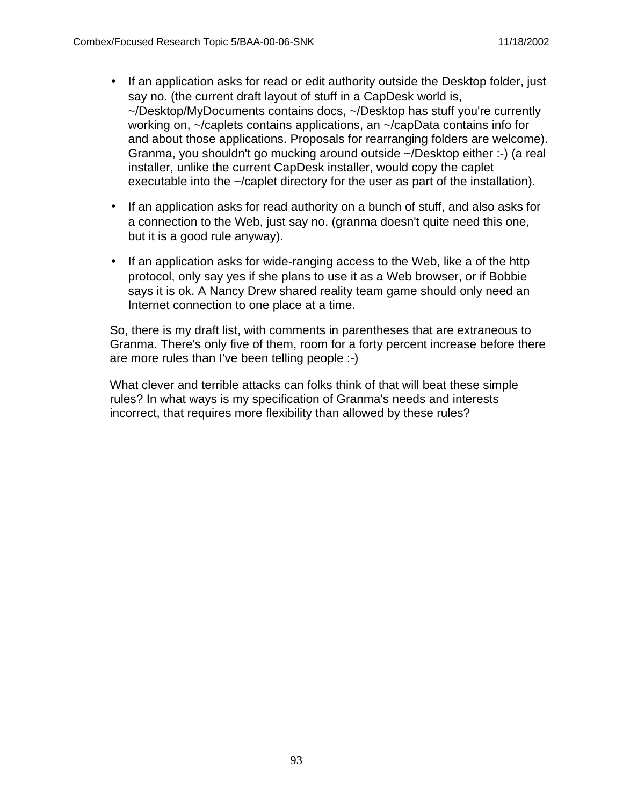- If an application asks for read or edit authority outside the Desktop folder, just say no. (the current draft layout of stuff in a CapDesk world is, ~/Desktop/MyDocuments contains docs, ~/Desktop has stuff you're currently working on, ~/caplets contains applications, an ~/capData contains info for and about those applications. Proposals for rearranging folders are welcome). Granma, you shouldn't go mucking around outside ~/Desktop either :-) (a real installer, unlike the current CapDesk installer, would copy the caplet executable into the ~/caplet directory for the user as part of the installation).
- If an application asks for read authority on a bunch of stuff, and also asks for a connection to the Web, just say no. (granma doesn't quite need this one, but it is a good rule anyway).
- If an application asks for wide-ranging access to the Web, like a of the http protocol, only say yes if she plans to use it as a Web browser, or if Bobbie says it is ok. A Nancy Drew shared reality team game should only need an Internet connection to one place at a time.

So, there is my draft list, with comments in parentheses that are extraneous to Granma. There's only five of them, room for a forty percent increase before there are more rules than I've been telling people :-)

What clever and terrible attacks can folks think of that will beat these simple rules? In what ways is my specification of Granma's needs and interests incorrect, that requires more flexibility than allowed by these rules?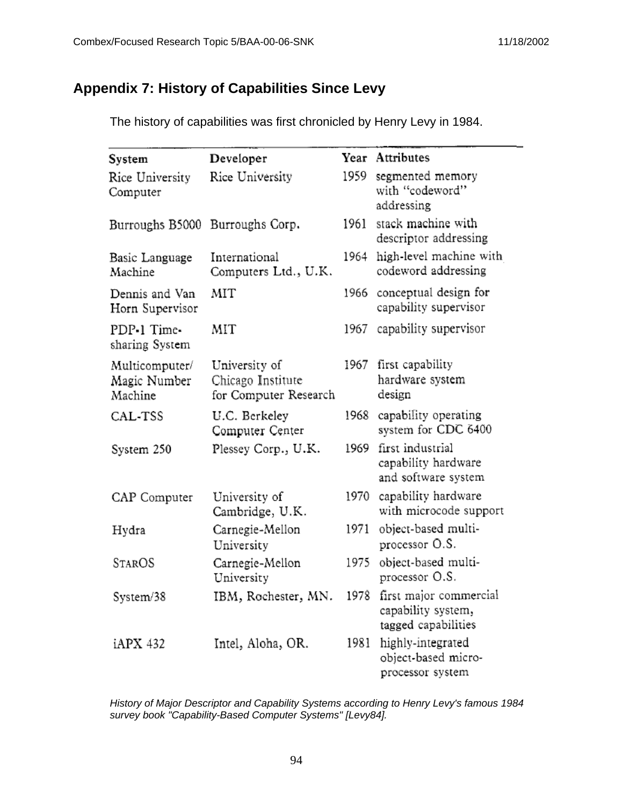# **Appendix 7: History of Capabilities Since Levy**

The history of capabilities was first chronicled by Henry Levy in 1984.

| System                                    | Developer                                                   |       | Year Attributes                                                     |
|-------------------------------------------|-------------------------------------------------------------|-------|---------------------------------------------------------------------|
| Rice University<br>Computer               | Rice University                                             | 1959. | segmented memory<br>with "codeword"<br>addressing                   |
| Burroughs B5000                           | Burroughs Corp.                                             | 1961  | stack machine with<br>descriptor addressing                         |
| Basic Language<br>Machine                 | International<br>Computers Ltd., U.K.                       | 1964  | high-level machine with<br>codeword addressing                      |
| Dennis and Van<br>Horn Supervisor         | MIT                                                         | 1966  | conceptual design for<br>capability supervisor                      |
| PDP-1 Time-<br>sharing System             | MIT                                                         | 1967  | capability supervisor                                               |
| Multicomputer/<br>Magic Number<br>Machine | University of<br>Chicago Institute<br>for Computer Research | 1967  | first capability<br>hardware system<br>design                       |
| CAL-TSS                                   | U.C. Berkeley<br>Computer Center                            | 1968  | capability operating<br>system for CDC 6400                         |
| System 250                                | Plessey Corp., U.K.                                         | 1969  | first industrial<br>capability hardware<br>and software system      |
| CAP Computer                              | University of<br>Cambridge, U.K.                            | 1970  | capability hardware<br>with microcode support                       |
| Hydra                                     | Carnegie-Mellon<br>University                               | 1971  | object-based multi-<br>processor O.S.                               |
| <b>STAROS</b>                             | Carnegie-Mellon<br>University                               | 1975  | object-based multi-<br>processor O.S.                               |
| System/38                                 | IBM, Rochester, MN.                                         | 1978  | first major commercial<br>capability system,<br>tagged capabilities |
| iAPX 432                                  | Intel, Aloha, OR.                                           | 1981  | highly-integrated<br>object-based micro-<br>processor system        |

History of Major Descriptor and Capability Systems according to Henry Levy's famous 1984 survey book "Capability-Based Computer Systems" [Levy84].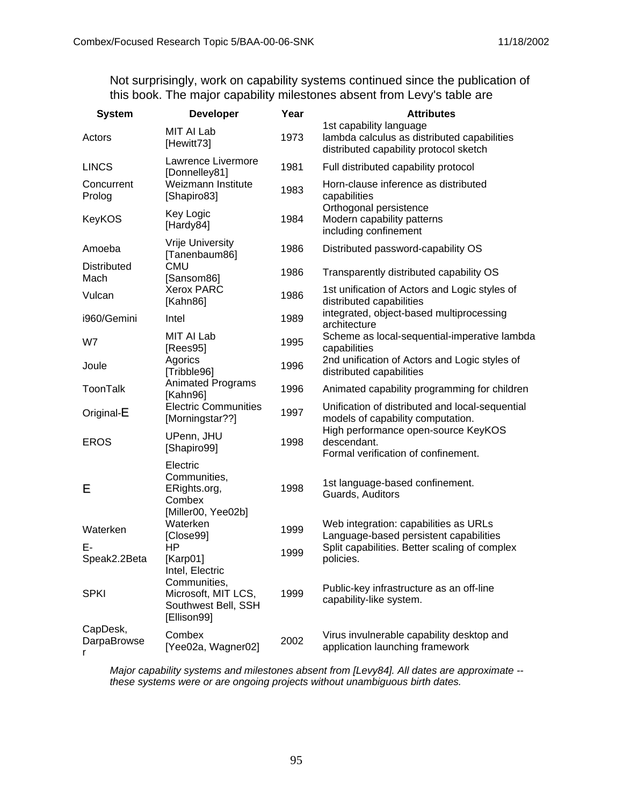Not surprisingly, work on capability systems continued since the publication of this book. The major capability milestones absent from Levy's table are

| <b>System</b>                | <b>Developer</b>                                                          | Year | <b>Attributes</b>                                                                                                |  |
|------------------------------|---------------------------------------------------------------------------|------|------------------------------------------------------------------------------------------------------------------|--|
| Actors                       | MIT AI Lab<br>[Hewitt73]                                                  | 1973 | 1st capability language<br>lambda calculus as distributed capabilities<br>distributed capability protocol sketch |  |
| <b>LINCS</b>                 | Lawrence Livermore<br>[Donnelley81]                                       | 1981 | Full distributed capability protocol                                                                             |  |
| Concurrent<br>Prolog         | Weizmann Institute<br>[Shapiro83]                                         | 1983 | Horn-clause inference as distributed<br>capabilities                                                             |  |
| <b>KeyKOS</b>                | Key Logic<br>[Hardy84]                                                    | 1984 | Orthogonal persistence<br>Modern capability patterns<br>including confinement                                    |  |
| Amoeba                       | Vrije University<br>[Tanenbaum86]                                         | 1986 | Distributed password-capability OS                                                                               |  |
| <b>Distributed</b><br>Mach   | <b>CMU</b><br>[Sansom86]                                                  | 1986 | Transparently distributed capability OS                                                                          |  |
| Vulcan                       | <b>Xerox PARC</b><br>[Kahn86]                                             | 1986 | 1st unification of Actors and Logic styles of<br>distributed capabilities                                        |  |
| i960/Gemini                  | Intel                                                                     | 1989 | integrated, object-based multiprocessing<br>architecture                                                         |  |
| W7                           | MIT AI Lab<br>[Rees95]                                                    | 1995 | Scheme as local-sequential-imperative lambda<br>capabilities                                                     |  |
| Joule                        | Agorics<br>[Tribble96]                                                    | 1996 | 2nd unification of Actors and Logic styles of<br>distributed capabilities                                        |  |
| <b>ToonTalk</b>              | <b>Animated Programs</b><br>[Kahn96]                                      | 1996 | Animated capability programming for children                                                                     |  |
| Original-E                   | <b>Electric Communities</b><br>[Morningstar??]                            | 1997 | Unification of distributed and local-sequential<br>models of capability computation.                             |  |
| <b>EROS</b>                  | UPenn, JHU<br>[Shapiro99]                                                 | 1998 | High performance open-source KeyKOS<br>descendant.<br>Formal verification of confinement.                        |  |
| Е                            | Electric<br>Communities,<br>ERights.org,<br>Combex                        | 1998 | 1st language-based confinement.<br>Guards, Auditors                                                              |  |
| Waterken                     | [Miller00, Yee02b]<br>Waterken<br>[Close99]                               | 1999 | Web integration: capabilities as URLs<br>Language-based persistent capabilities                                  |  |
| E-<br>Speak2.2Beta           | HP<br>[Karp01]<br>Intel, Electric                                         | 1999 | Split capabilities. Better scaling of complex<br>policies.                                                       |  |
| <b>SPKI</b>                  | Communities,<br>Microsoft, MIT LCS,<br>Southwest Bell, SSH<br>[Ellison99] | 1999 | Public-key infrastructure as an off-line<br>capability-like system.                                              |  |
| CapDesk,<br>DarpaBrowse<br>r | Combex<br>[Yee02a, Wagner02]                                              | 2002 | Virus invulnerable capability desktop and<br>application launching framework                                     |  |

Major capability systems and milestones absent from [Levy84]. All dates are approximate - these systems were or are ongoing projects without unambiguous birth dates.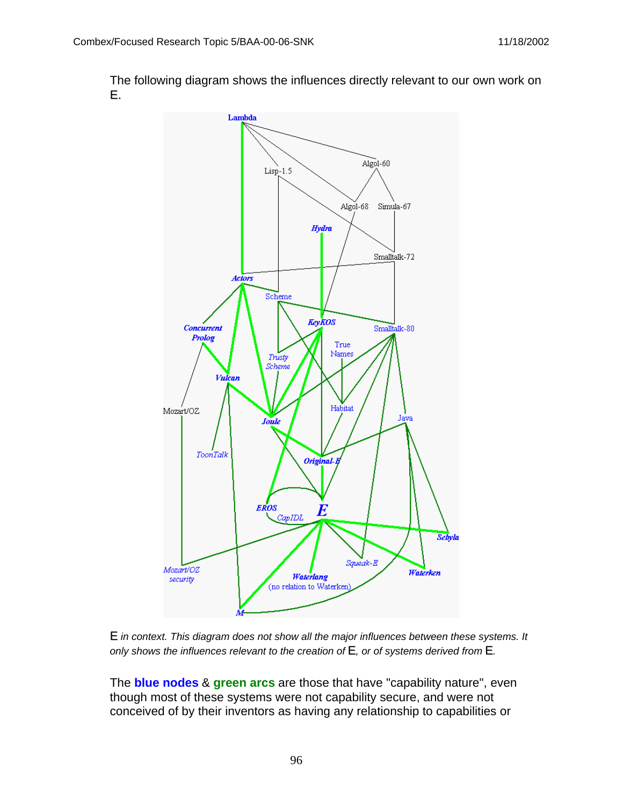The following diagram shows the influences directly relevant to our own work on E.





The **blue nodes** & **green arcs** are those that have "capability nature", even though most of these systems were not capability secure, and were not conceived of by their inventors as having any relationship to capabilities or